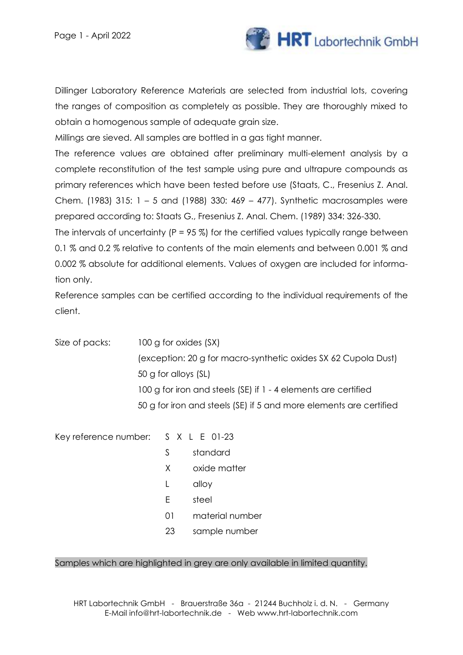

Dillinger Laboratory Reference Materials are selected from industrial lots, covering the ranges of composition as completely as possible. They are thoroughly mixed to obtain a homogenous sample of adequate grain size.

Millings are sieved. All samples are bottled in a gas tight manner.

The reference values are obtained after preliminary multi-element analysis by a complete reconstitution of the test sample using pure and ultrapure compounds as primary references which have been tested before use (Staats, C., Fresenius Z. Anal. Chem. (1983) 315: 1 – 5 and (1988) 330: 469 – 477). Synthetic macrosamples were prepared according to: Staats G., Fresenius Z. Anal. Chem. (1989) 334: 326-330.

The intervals of uncertainty ( $P = 95\%$ ) for the certified values typically range between 0.1 % and 0.2 % relative to contents of the main elements and between 0.001 % and 0.002 % absolute for additional elements. Values of oxygen are included for information only.

Reference samples can be certified according to the individual requirements of the client.

Size of packs: 100 g for oxides (SX) (exception: 20 g for macro-synthetic oxides SX 62 Cupola Dust) 50 g for alloys (SL) 100 g for iron and steels (SE) if 1 - 4 elements are certified 50 g for iron and steels (SE) if 5 and more elements are certified

Key reference number: S X L E 01-23

- S standard
- X oxide matter
- L alloy
- E steel
- 01 material number
- 23 sample number

#### Samples which are highlighted in grey are only available in limited quantity.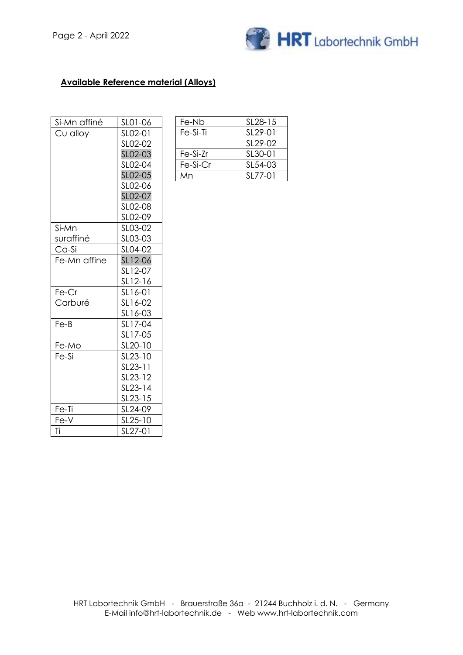

#### **Available Reference material (Alloys)**

| Si-Mn affiné | SL01-06 |
|--------------|---------|
| Cu alloy     | SL02-01 |
|              | SL02-02 |
|              | SL02-03 |
|              | SL02-04 |
|              | SL02-05 |
|              | SL02-06 |
|              | SL02-07 |
|              | SL02-08 |
|              | SL02-09 |
| Si-Mn        | SL03-02 |
| suraffiné    | SL03-03 |
| Ca-Si        | SL04-02 |
| Fe-Mn affine | SL12-06 |
|              | SL12-07 |
|              | SL12-16 |
| Fe-Cr        | SL16-01 |
| Carburé      | SL16-02 |
|              | SL16-03 |
| $Fe-B$       | SL17-04 |
|              | SL17-05 |
| Fe-Mo        | SL20-10 |
| Fe-Si        | SL23-10 |
|              | SL23-11 |
|              | SL23-12 |
|              | SL23-14 |
|              | SL23-15 |
| Fe-Ti        | SL24-09 |
| Fe-V         | SL25-10 |
| Ti           | SL27-01 |

| Fe-Nb    | SL <sub>28</sub> -15 |  |
|----------|----------------------|--|
| Fe-Si-Ti | SL <sub>29</sub> -01 |  |
|          | SL29-02              |  |
| Fe-Si-Zr | SL30-01              |  |
| Fe-Si-Cr | SL54-03              |  |
| Mn       | SL77-01              |  |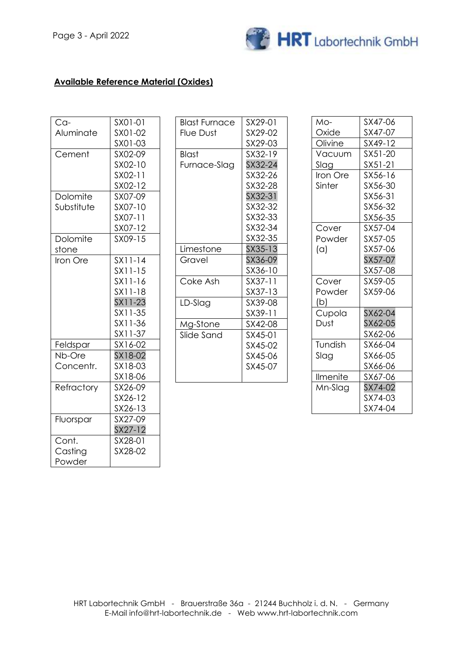

### **Available Reference Material (Oxides)**

| Ca-        | SX01-01   |
|------------|-----------|
| Aluminate  | SX01-02   |
|            | SX01-03   |
| Cement     | SX02-09   |
|            | SX02-10   |
|            | SX02-11   |
|            | SX02-12   |
| Dolomite   | SX07-09   |
| Substitute | SX07-10   |
|            | SX07-11   |
|            | SX07-12   |
| Dolomite   | SX09-15   |
| stone      |           |
| Iron Ore   | $SX11-14$ |
|            | $SX11-15$ |
|            | SX11-16   |
|            | SX11-18   |
|            | SX11-23   |
|            | $SX11-35$ |
|            | SX11-36   |
|            | SX11-37   |
| Feldspar   | SX16-02   |
| Nb-Ore     | SX18-02   |
| Concentr.  | SX18-03   |
|            | SX18-06   |
| Refractory | SX26-09   |
|            | SX26-12   |
|            | SX26-13   |
| Fluorspar  | SX27-09   |
|            | SX27-12   |
| Cont.      | SX28-01   |
| Casting    | SX28-02   |
| Powder     |           |

| Blast Furnace | SX29-01 |  |
|---------------|---------|--|
| Flue Dust     | SX29-02 |  |
|               | SX29-03 |  |
| Blast         | SX32-19 |  |
| Furnace-Slag  | SX32-24 |  |
|               | SX32-26 |  |
|               | SX32-28 |  |
|               | SX32-31 |  |
|               | SX32-32 |  |
|               | SX32-33 |  |
|               | SX32-34 |  |
|               | SX32-35 |  |
| Limestone     | SX35-13 |  |
| Gravel        | SX36-09 |  |
|               | SX36-10 |  |
| Coke Ash      | SX37-11 |  |
|               | SX37-13 |  |
| LD-Slag       | SX39-08 |  |
|               | SX39-11 |  |
| Mg-Stone      | SX42-08 |  |
| Slide Sand    | SX45-01 |  |
|               | SX45-02 |  |
|               | SX45-06 |  |
|               | SX45-07 |  |
|               |         |  |

| SX47-06 |
|---------|
| SX47-07 |
| SX49-12 |
| SX51-20 |
| SX51-21 |
| SX56-16 |
| SX56-30 |
| SX56-31 |
| SX56-32 |
| SX56-35 |
| SX57-04 |
| SX57-05 |
| SX57-06 |
| SX57-07 |
| SX57-08 |
| SX59-05 |
| SX59-06 |
|         |
| SX62-04 |
| SX62-05 |
| SX62-06 |
| SX66-04 |
| SX66-05 |
| SX66-06 |
| SX67-06 |
| SX74-02 |
| SX74-03 |
| SX74-04 |
|         |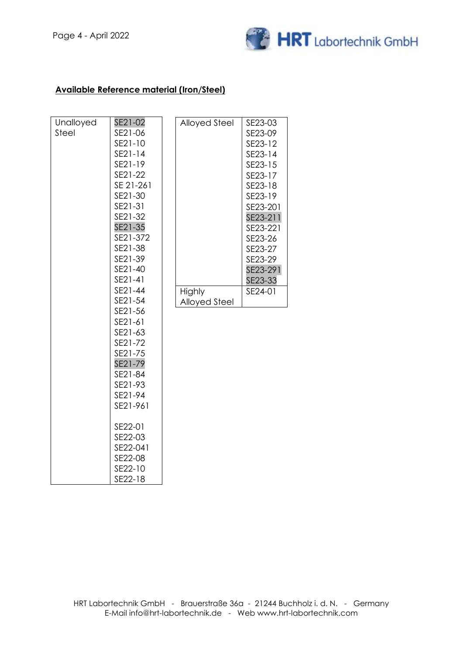

#### **Available Reference material (Iron/Steel)**

| SE23-03<br>SE23-09<br>SE23-12<br>SE23-14<br>SE23-15<br>SE23-17<br>SE23-18<br>SE23-19<br>SE23-201<br>SE23-211<br>SE23-221<br>SE23-26<br>SE23-27<br>SE23-29<br>SE23-291<br>SE23-33<br>SE24-01                                                                                                                                                |                                           |
|--------------------------------------------------------------------------------------------------------------------------------------------------------------------------------------------------------------------------------------------------------------------------------------------------------------------------------------------|-------------------------------------------|
| <b>Alloyed Steel</b><br>Highly<br><b>Alloyed Steel</b>                                                                                                                                                                                                                                                                                     |                                           |
|                                                                                                                                                                                                                                                                                                                                            |                                           |
| SE21-02<br>SE21-06<br>SE21-10<br>SE21-14<br>SE21-19<br>SE21-22<br>SE 21-261<br>SE21-30<br>SE21-31<br>SE21-32<br>SE21-35<br>SE21-372<br>SE21-38<br>SE21-39<br>SE21-40<br>SE21-41<br>SE21-44<br>SE21-54<br>SE21-56<br>SE21-61<br>SE21-63<br>SE21-72<br>SE21-75<br>SE21-79<br>SE21-84<br>SE21-93<br>SE21-94<br>SE21-961<br>SE22-01<br>SE22-03 | SE22-041<br>SE22-08<br>SE22-10<br>SE22-18 |
| Unalloyed<br>Steel                                                                                                                                                                                                                                                                                                                         |                                           |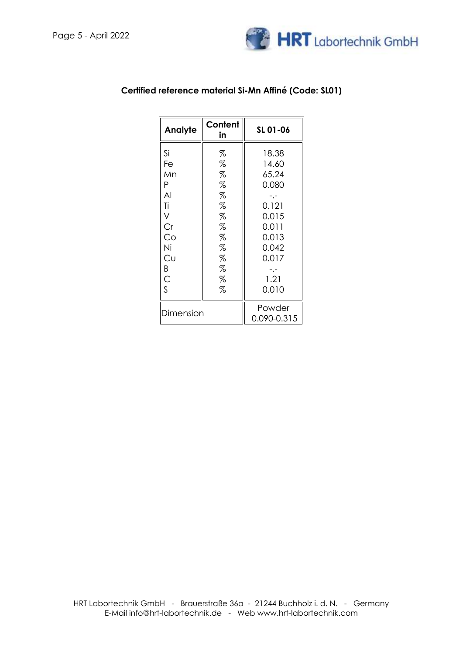

| Content<br>Analyte<br>in |   | SL 01-06    |  |
|--------------------------|---|-------------|--|
| Si                       | % | 18.38       |  |
| Fe                       | % | 14.60       |  |
| Mn                       | % | 65.24       |  |
| Ρ                        | % | 0.080       |  |
| AI                       | % |             |  |
| Τi                       | % | 0.121       |  |
| V                        | % | 0.015       |  |
| Cr                       | % | 0.011       |  |
| Co                       | % | 0.013       |  |
| Ni                       | % | 0.042       |  |
| Cu                       | % | 0.017       |  |
| Β                        | % |             |  |
| $\mathsf{C}$             | % | 1.21        |  |
| S<br>%                   |   | 0.010       |  |
| Dimension                |   | Powder      |  |
|                          |   | 0.090-0.315 |  |

### **Certified reference material Si-Mn Affiné (Code: SL01)**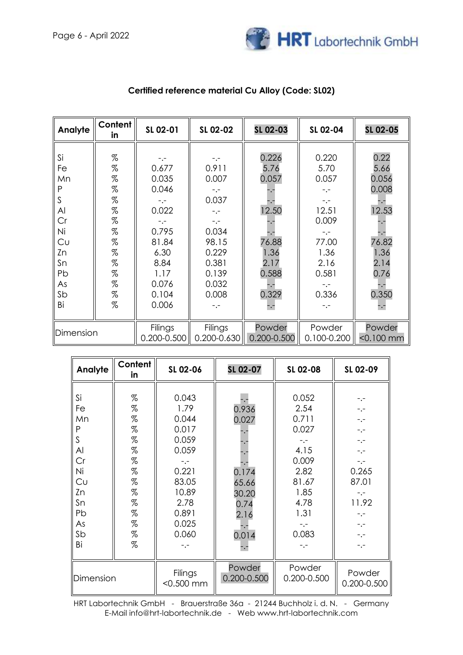

| Analyte                                                            | <b>Content</b><br>in                                                                                                                                                                                                                                                                                                                                                                                                                                                                                                                                                                      | SL 02-01                                                                                   | SL 02-02                                                                                                 | SL 02-03                                                          | SL 02-04                                                                                            | SL 02-05                                                                 |
|--------------------------------------------------------------------|-------------------------------------------------------------------------------------------------------------------------------------------------------------------------------------------------------------------------------------------------------------------------------------------------------------------------------------------------------------------------------------------------------------------------------------------------------------------------------------------------------------------------------------------------------------------------------------------|--------------------------------------------------------------------------------------------|----------------------------------------------------------------------------------------------------------|-------------------------------------------------------------------|-----------------------------------------------------------------------------------------------------|--------------------------------------------------------------------------|
| Si<br>Fe<br>Mn<br>P<br>S<br>AI<br>Cr<br>Ni<br>Cu<br>Zn<br>Sn<br>Pb | $% \mathcal{L}_{\mathrm{C}}\times\mathcal{L}_{\mathrm{C}}\times\mathcal{L}_{\mathrm{C}}\times\mathcal{L}_{\mathrm{C}}\times\mathcal{L}_{\mathrm{C}}\times\mathcal{L}_{\mathrm{C}}\times\mathcal{L}_{\mathrm{C}}\times\mathcal{L}_{\mathrm{C}}\times\mathcal{L}_{\mathrm{C}}\times\mathcal{L}_{\mathrm{C}}\times\mathcal{L}_{\mathrm{C}}\times\mathcal{L}_{\mathrm{C}}\times\mathcal{L}_{\mathrm{C}}\times\mathcal{L}_{\mathrm{C}}\times\mathcal{L}_{\mathrm{C}}\times\mathcal{L}_{\mathrm{C}}\times\mathcal{L}_{\mathrm{C}}$<br>%<br>%<br>%<br>%<br>%<br>%<br>$\%$<br>$\%$<br>%<br>%<br>% | $-,-$<br>0.677<br>0.035<br>0.046<br>0.022<br>-.-<br>0.795<br>81.84<br>6.30<br>8.84<br>1.17 | $-,-$<br>0.911<br>0.007<br>$-,-$<br>0.037<br>$-,-$<br>$-,-$<br>0.034<br>98.15<br>0.229<br>0.381<br>0.139 | 0.226<br>5.76<br>0.057<br>12.50<br>76.88<br>1.36<br>2.17<br>0.588 | 0.220<br>5.70<br>0.057<br>$-1$<br>$-,-$<br>12.51<br>0.009<br>$-1$<br>77.00<br>1.36<br>2.16<br>0.581 | 0.22<br>5.66<br>0.056<br>0.008<br>12.53<br>76.82<br>1.36<br>2.14<br>0.76 |
| As<br>Sb<br>Bi                                                     | %<br>%<br>$\%$                                                                                                                                                                                                                                                                                                                                                                                                                                                                                                                                                                            | 0.076<br>0.104<br>0.006                                                                    | 0.032<br>0.008                                                                                           | 0.329                                                             | 0.336                                                                                               | 0.350<br>-.-                                                             |
| Dimension                                                          |                                                                                                                                                                                                                                                                                                                                                                                                                                                                                                                                                                                           | Filings<br>0.200-0.500                                                                     | Filings<br>0.200-0.630                                                                                   | Powder<br>0.200-0.500                                             | Powder<br>0.100-0.200                                                                               | Powder<br>$< 0.100$ mm                                                   |

## **Certified reference material Cu Alloy (Code: SL02)**

| Analyte                                                  | Content<br>in                                                 | SL 02-06                                                                             | SL 02-07                                                | SL 02-08                                                                         | SL 02-09                                                                           |
|----------------------------------------------------------|---------------------------------------------------------------|--------------------------------------------------------------------------------------|---------------------------------------------------------|----------------------------------------------------------------------------------|------------------------------------------------------------------------------------|
| Si<br>Fe<br>Mn<br>Ρ<br>S                                 | %<br>%<br>%<br>$\%$<br>%                                      | 0.043<br>1.79<br>0.044<br>0.017<br>0.059                                             | 0.936<br>0.027                                          | 0.052<br>2.54<br>0.711<br>0.027                                                  | $-$ .-<br>$-$ .-<br>$-,-$<br>$-,-$<br>$-1 -$                                       |
| Al<br>Cr<br>Ni<br>Cυ<br>Zn<br>Sn<br>Pb<br>As<br>Sb<br>Bi | $\%$<br>%<br>$\%$<br>$\%$<br>%<br>%<br>$\%$<br>%<br>$\%$<br>% | 0.059<br>$-1$<br>0.221<br>83.05<br>10.89<br>2.78<br>0.891<br>0.025<br>0.060<br>$-,-$ | 0.174<br>65.66<br>30.20<br>0.74<br>2.16<br>0.014<br>-.- | 4.15<br>0.009<br>2.82<br>81.67<br>1.85<br>4.78<br>1.31<br>$-1$<br>0.083<br>$-,-$ | -.-<br>$-,-$<br>0.265<br>87.01<br>-.-<br>11.92<br>$-,-$<br>$-,-$<br>$-,-$<br>$-,-$ |
| Dimension                                                |                                                               | Filings<br>$< 0.500$ mm                                                              | Powder<br>0.200-0.500                                   | Powder<br>0.200-0.500                                                            | Powder<br>0.200-0.500                                                              |

HRT Labortechnik GmbH - Brauerstraße 36a - 21244 Buchholz i. d. N. - Germany E-Mail info@hrt-labortechnik.de - Web www.hrt-labortechnik.com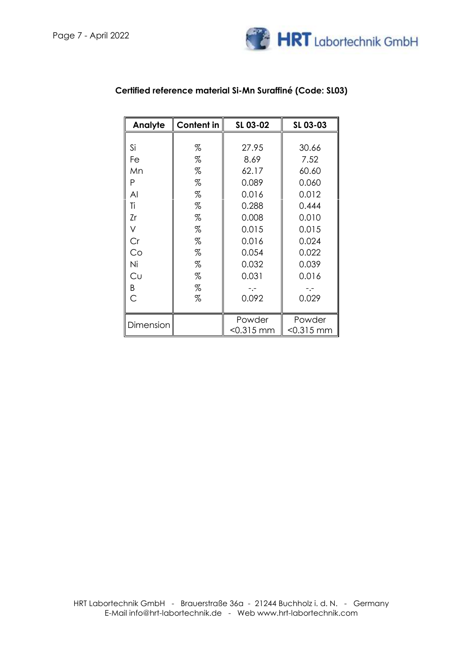

| Analyte   | <b>Content in</b> | SL 03-02  | SL 03-03  |
|-----------|-------------------|-----------|-----------|
|           |                   |           |           |
| Si        | %                 | 27.95     | 30.66     |
| Fe        | %                 | 8.69      | 7.52      |
| Mn        | %                 | 62.17     | 60.60     |
| Ρ         | %                 | 0.089     | 0.060     |
| Al        | %                 | 0.016     | 0.012     |
| Τi        | %                 | 0.288     | 0.444     |
| Zr        | %                 | 0.008     | 0.010     |
| V         | %                 | 0.015     | 0.015     |
| Cr        | %                 | 0.016     | 0.024     |
| Co        | %                 | 0.054     | 0.022     |
| Ni        | %                 | 0.032     | 0.039     |
| Cυ        | %                 | 0.031     | 0.016     |
| Β         | %                 |           |           |
| Ć         | %                 | 0.092     | 0.029     |
|           |                   |           |           |
| Dimension |                   | Powder    | Powder    |
|           |                   | <0.315 mm | <0.315 mm |

## **Certified reference material Si-Mn Suraffiné (Code: SL03)**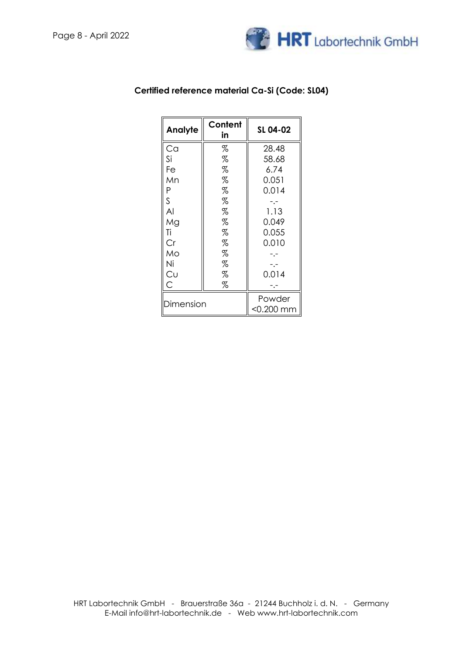

| Content<br>Analyte<br>in |   | SL 04-02     |  |
|--------------------------|---|--------------|--|
| Ca                       | % | 28.48        |  |
| Si                       | % | 58.68        |  |
| Fe                       | % | 6.74         |  |
| Mn                       | % | 0.051        |  |
| Ρ                        | % | 0.014        |  |
| S                        | % |              |  |
| Al                       | % | 1.13         |  |
| Mg                       | % | 0.049        |  |
| Τi                       | % |              |  |
| Cr                       | % | 0.010        |  |
| Mo                       | % |              |  |
| Ni                       | % |              |  |
| Cυ                       | % | 0.014        |  |
| Ć<br>%                   |   |              |  |
| Dimension                |   | Powder       |  |
|                          |   | $<$ 0.200 mm |  |

### **Certified reference material Ca-Si (Code: SL04)**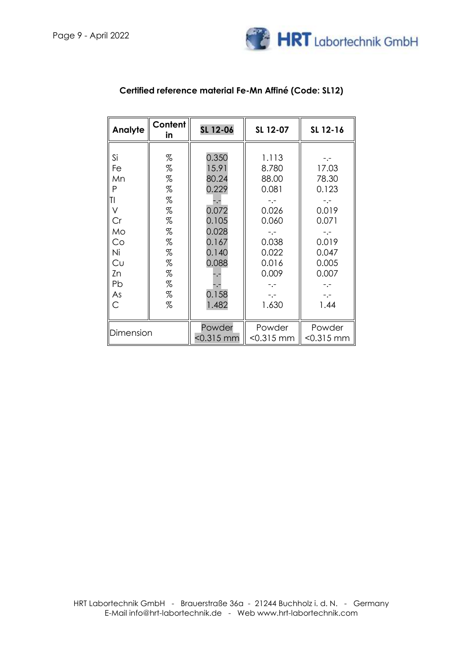

| Analyte                                                                             | Content<br>in                                                                    | SL 12-06                                                                                                        | SL 12-07                                                                                                      | SL 12-16                                                                              |
|-------------------------------------------------------------------------------------|----------------------------------------------------------------------------------|-----------------------------------------------------------------------------------------------------------------|---------------------------------------------------------------------------------------------------------------|---------------------------------------------------------------------------------------|
| Si<br>Fe<br>Mn<br>P<br>ΤI<br>V<br>Cr<br>Mo<br>Co<br>Ni<br>Cυ<br>Zn<br>Pb<br>As<br>Ć | %<br>%<br>%<br>%<br>%<br>%<br>$\%$<br>%<br>%<br>$\%$<br>%<br>%<br>%<br>$\%$<br>% | 0.350<br>15.91<br>80.24<br>0.229<br>-.-<br>0.072<br>0.105<br>0.028<br>0.167<br>0.140<br>0.088<br>0.158<br>1.482 | 1.113<br>8.780<br>88.00<br>0.081<br>0.026<br>0.060<br>0.038<br>0.022<br>0.016<br>0.009<br>-.-<br>-.-<br>1.630 | 17.03<br>78.30<br>0.123<br>0.019<br>0.071<br>0.019<br>0.047<br>0.005<br>0.007<br>1.44 |
| Dimension                                                                           |                                                                                  | Powder<br>$<$ 0.315 mm                                                                                          | Powder<br>$< 0.315$ mm                                                                                        | Powder<br>$< 0.315$ mm                                                                |

## **Certified reference material Fe-Mn Affiné (Code: SL12)**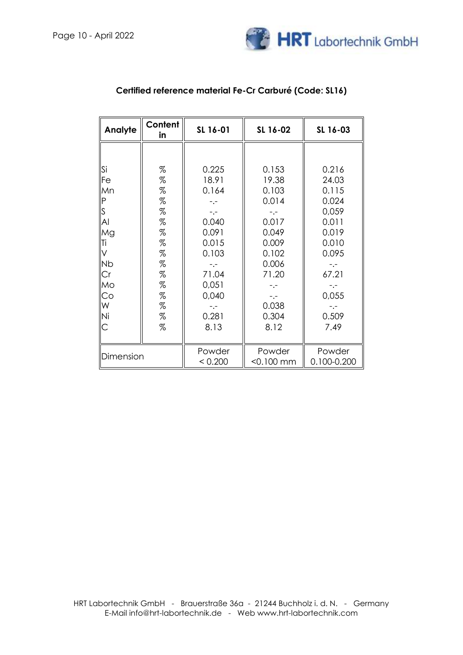

| Analyte      | Content<br>in | SL 16-01 | SL 16-02     | SL 16-03    |
|--------------|---------------|----------|--------------|-------------|
|              |               |          |              |             |
| Si           | %             | 0.225    | 0.153        | 0.216       |
| Fe           | $\%$          | 18.91    | 19.38        | 24.03       |
| Mn           | %             | 0.164    | 0.103        | 0.115       |
| $\mathsf{P}$ | %             |          | 0.014        | 0.024       |
| S            | %             | $-,-$    |              | 0,059       |
| Al           | %             | 0.040    | 0.017        | 0.011       |
| Mg           | %             | 0.091    | 0.049        | 0.019       |
| Τi           | $\%$          | 0.015    | 0.009        | 0.010       |
| V            | %             | 0.103    | 0.102        | 0.095       |
| <b>Nb</b>    | $\%$          | -.-      | 0.006        | $-,-$       |
| Cr           | %             | 71.04    | 71.20        | 67.21       |
| Mo           | $\%$          | 0,051    | -.-          | $-,-$       |
| Co           | $\%$          | 0,040    | $-,-$        | 0,055       |
| W            | %             |          | 0.038        | $-,-$       |
| Ni           | %             | 0.281    | 0.304        | 0.509       |
| С            | %             | 8.13     | 8.12         | 7.49        |
|              |               | Powder   | Powder       | Powder      |
| Dimension    |               | < 0.200  | $<$ 0.100 mm | 0.100-0.200 |

## **Certified reference material Fe-Cr Carburé (Code: SL16)**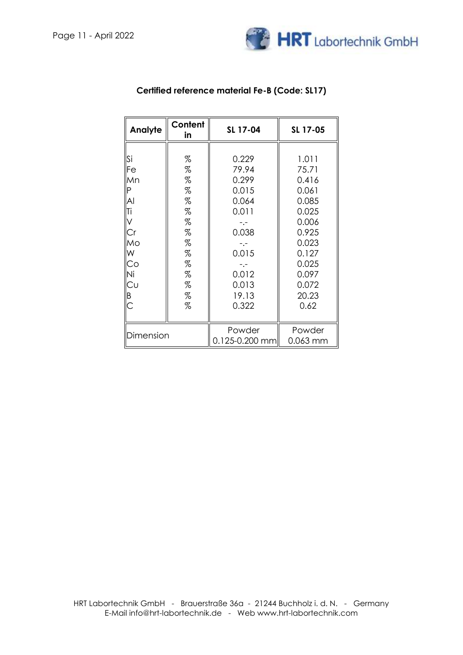

| Analyte   | Content<br>in | SL 17-04       | SL 17-05 |
|-----------|---------------|----------------|----------|
|           |               |                |          |
| Si        | %             | 0.229          | 1.011    |
| Fe        | %             | 79.94          | 75.71    |
| Mn        | %             | 0.299          | 0.416    |
| Ρ         | %             | 0.015          | 0.061    |
| Al        | %             | 0.064          | 0.085    |
| Ti        | %             | 0.011          | 0.025    |
|           | %             |                | 0.006    |
| Сr        | %             | 0.038          | 0.925    |
| Mo        | %             |                | 0.023    |
| W         | %             | 0.015          | 0.127    |
| Co        | %             | $-1 -$         | 0.025    |
| Ni        | %             | 0.012          | 0.097    |
| Cυ        | %             | 0.013          | 0.072    |
| Β         | %             | 19.13          | 20.23    |
| С         | %             | 0.322          | 0.62     |
|           |               |                |          |
|           |               | Powder         | Powder   |
| Dimension |               | 0.125-0.200 mm | 0.063 mm |

### **Certified reference material Fe-B (Code: SL17)**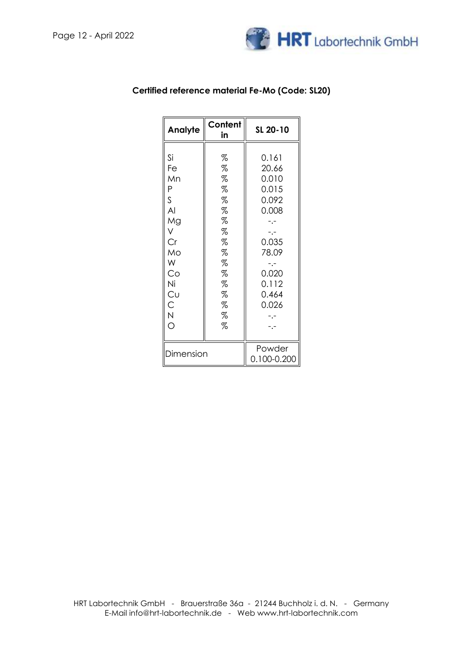

| Analyte                                                                                                           | Content<br>in                                                                        | SL 20-10                                                                                                        |
|-------------------------------------------------------------------------------------------------------------------|--------------------------------------------------------------------------------------|-----------------------------------------------------------------------------------------------------------------|
| Si<br>Fe<br>Mn<br>Ρ<br>S<br>AI<br>Mg<br>V<br>Сr<br>Mo<br>W<br>Co<br>Ni<br>Cu<br>C<br>$\overline{\mathsf{N}}$<br>Ó | %<br>%<br>$\%$<br>%<br>%<br>%<br>%<br>%<br>%<br>%<br>%<br>%<br>%<br>%<br>%<br>%<br>% | 0.161<br>20.66<br>0.010<br>0.015<br>0.092<br>0.008<br>-.-<br>0.035<br>78.09<br>0.020<br>0.112<br>0.464<br>0.026 |
| Dimension                                                                                                         |                                                                                      | Powder<br>0.100-0.200                                                                                           |

### **Certified reference material Fe-Mo (Code: SL20)**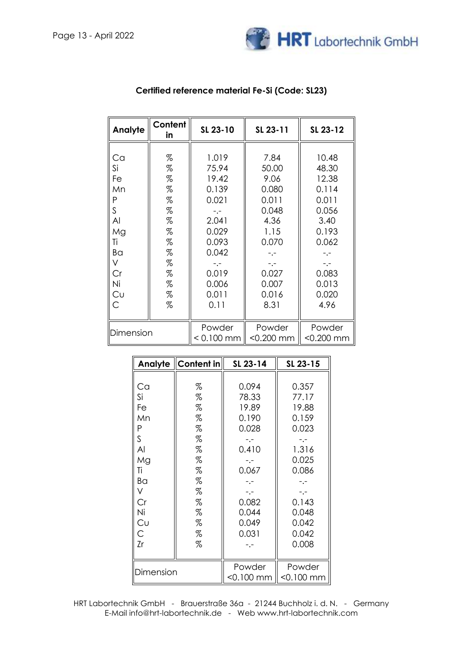

| Analyte                                                      | Content<br>in                                            | SL 23-10                                                                                             | SL 23-11                                                                                    | SL 23-12                                                                                     |
|--------------------------------------------------------------|----------------------------------------------------------|------------------------------------------------------------------------------------------------------|---------------------------------------------------------------------------------------------|----------------------------------------------------------------------------------------------|
| Ca<br>Si<br>Fe<br>Mn<br>P<br>S<br>Al<br>Mg<br>Τi<br>Ba<br>Cr | %<br>%<br>%<br>%<br>%<br>%<br>%<br>%<br>%<br>%<br>%<br>% | 1.019<br>75.94<br>19.42<br>0.139<br>0.021<br>-.-<br>2.041<br>0.029<br>0.093<br>0.042<br>-.-<br>0.019 | 7.84<br>50.00<br>9.06<br>0.080<br>0.011<br>0.048<br>4.36<br>1.15<br>0.070<br>$-,-$<br>0.027 | 10.48<br>48.30<br>12.38<br>0.114<br>0.011<br>0.056<br>3.40<br>0.193<br>0.062<br>-.-<br>0.083 |
| Ni<br>Cυ<br>С                                                | %<br>%<br>%                                              | 0.006<br>0.011<br>0.11                                                                               | 0.007<br>0.016<br>8.31                                                                      | 0.013<br>0.020<br>4.96                                                                       |
| Dimension                                                    |                                                          | Powder<br>$< 0.100$ mm                                                                               | Powder<br>$< 0.200$ mm                                                                      | Powder<br>$< 0.200$ mm                                                                       |

## **Certified reference material Fe-Si (Code: SL23)**

|           | Analyte Content in | SL 23-14     | SL 23-15     |
|-----------|--------------------|--------------|--------------|
|           |                    |              |              |
| Ca        | %                  | 0.094        | 0.357        |
| Si        | %                  | 78.33        | 77.17        |
| Fe        | %                  | 19.89        | 19.88        |
| Mn        | %                  | 0.190        | 0.159        |
| Ρ         | %                  | 0.028        | 0.023        |
| S         | %                  | -.-          |              |
| Al        | %                  | 0.410        | 1.316        |
| Mg        | %                  | -.-          | 0.025        |
| Τi        | %                  | 0.067        | 0.086        |
| Ba        | %                  |              |              |
| V         | %                  | $-1$         | $- - -$      |
| Cr        | $\%$               | 0.082        | 0.143        |
| Ni        | %                  | 0.044        | 0.048        |
| Cυ        | %                  | 0.049        | 0.042        |
| С         | %                  | 0.031        | 0.042        |
| Zr        | %                  |              | 0.008        |
|           |                    |              |              |
|           |                    |              | Powder       |
| Dimension |                    | $<$ 0.100 mm | $<$ 0.100 mm |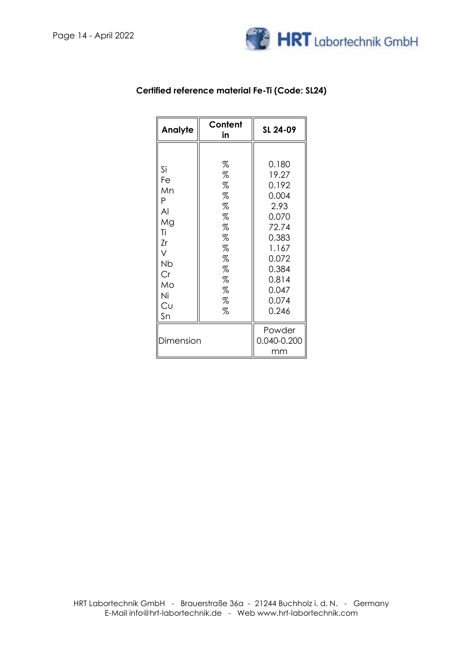

| <b>Analyte</b>                                                                       | Content<br>in                                                           | SL 24-09                                                                                                                           |
|--------------------------------------------------------------------------------------|-------------------------------------------------------------------------|------------------------------------------------------------------------------------------------------------------------------------|
| Si<br>Fe<br>Mn<br>P<br>Al<br>Mg<br>Τi<br>Zr<br>V<br>Nb<br>Cr<br>Mo<br>Ni<br>Cυ<br>Sn | %<br>%<br>%<br>%<br>%<br>%<br>%<br>%<br>%<br>%<br>%<br>%<br>%<br>%<br>% | 0.180<br>19.27<br>0.192<br>0.004<br>2.93<br>0.070<br>72.74<br>0.383<br>1.167<br>0.072<br>0.384<br>0.814<br>0.047<br>0.074<br>0.246 |
| Dimension                                                                            |                                                                         | Powder<br>0.040-0.200<br>mm                                                                                                        |

## **Certified reference material Fe-Ti (Code: SL24)**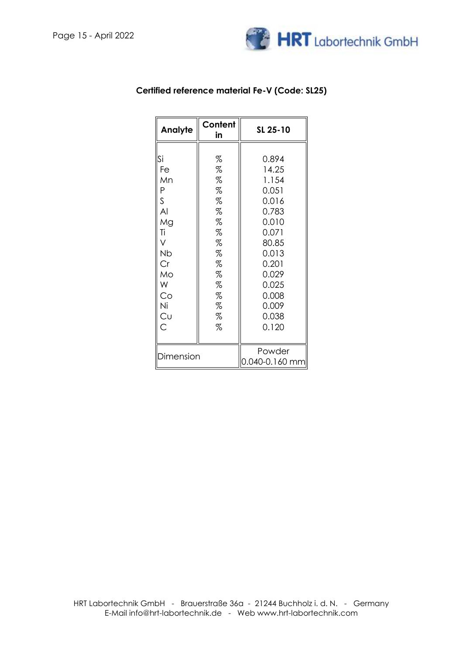

| Analyte   | Content<br>in | SL 25-10       |
|-----------|---------------|----------------|
|           |               |                |
| Si        | %             | 0.894          |
| Fe        | %             | 14.25          |
| Mn        | %             | 1.154          |
| P         | %             | 0.051          |
| S         | %             | 0.016          |
| AI        | %             | 0.783          |
| Mg        | %             | 0.010          |
| Τi        | %             | 0.071          |
| V         | %             | 80.85          |
| Nb        | %             | 0.013          |
| Cr        | %             | 0.201          |
| Mo        | %             | 0.029          |
| W         | %             | 0.025          |
| Co        | %             | 0.008          |
| Ni        | %             | 0.009          |
| Cu        | %             | 0.038          |
| Ć         | %             | 0.120          |
|           |               |                |
|           |               | Powder         |
| Dimension |               | 0.040-0.160 mm |

## **Certified reference material Fe-V (Code: SL25)**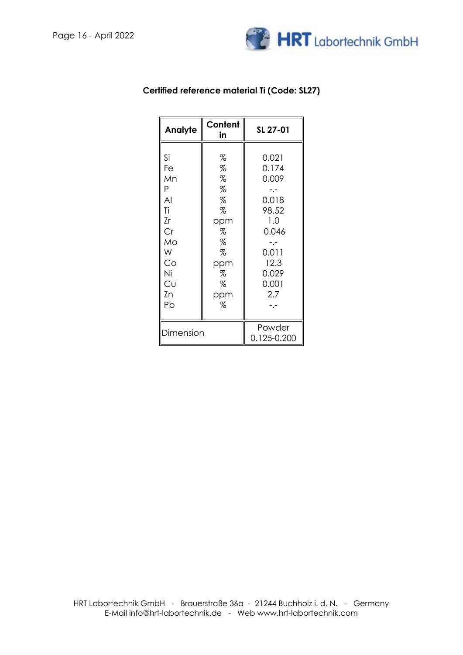

| Analyte                                                       | Content                                           | SL 27-01                                                                  |
|---------------------------------------------------------------|---------------------------------------------------|---------------------------------------------------------------------------|
| Si<br>Fe<br>Mn<br>P<br>$\overline{A}$<br>Ti<br>Zr<br>Cr<br>Mo | in<br>%<br>%<br>%<br>%<br>%<br>%<br>ppm<br>%<br>% | 0.021<br>0.174<br>0.009<br>-.-<br>0.018<br>98.52<br>1.0<br>0.046<br>$- -$ |
| W<br>Co<br>Νi<br>Cu<br>Zn<br>Pb                               | %<br>ppm<br>%<br>%<br>ppm<br>%                    | 0.011<br>12.3<br>0.029<br>0.001<br>2.7<br>-.-                             |
| Dimension                                                     |                                                   | Powder<br>0.125-0.200                                                     |

### **Certified reference material Ti (Code: SL27)**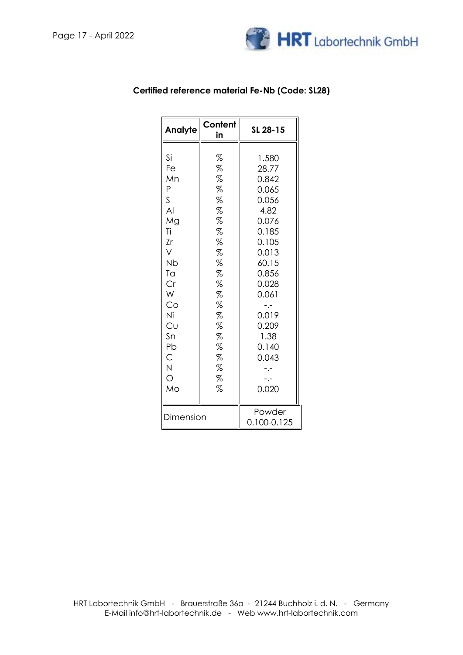

| <b>Analyte</b>                                                                                                                                                                                       | Content<br>in                                                                                                   | SL 28-15                                                                                                                                                                               |
|------------------------------------------------------------------------------------------------------------------------------------------------------------------------------------------------------|-----------------------------------------------------------------------------------------------------------------|----------------------------------------------------------------------------------------------------------------------------------------------------------------------------------------|
| Si<br>Fe<br>Mn<br>Ρ<br>$\mathsf S$<br>$\overline{A}$<br>Mg<br>Τi<br>Zr<br>V<br>Nb<br>Ta<br>Cr<br>W<br>Co<br>Ni<br>Cυ<br>Sn<br>Pb<br>$\mathsf{C}$<br>$\overline{N}$<br>$\overline{\mathcal{O}}$<br>Mo | %<br>%<br>%<br>%<br>%<br>%<br>%<br>%<br>%<br>%<br>%<br>%<br>%<br>%<br>%<br>%<br>%<br>%<br>%<br>%<br>%<br>%<br>% | 1.580<br>28.77<br>0.842<br>0.065<br>0.056<br>4.82<br>0.076<br>0.185<br>0.105<br>0.013<br>60.15<br>0.856<br>0.028<br>0.061<br>$-1$<br>0.019<br>0.209<br>1.38<br>0.140<br>0.043<br>0.020 |
| Dimension                                                                                                                                                                                            |                                                                                                                 | Powder<br>0.100-0.125                                                                                                                                                                  |

### **Certified reference material Fe-Nb (Code: SL28)**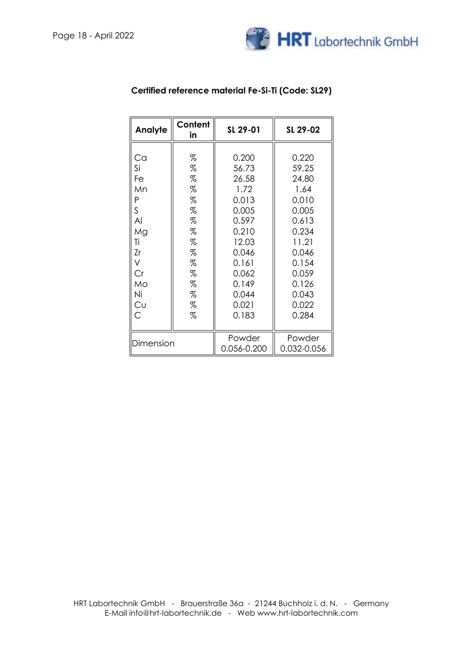

| Analyte   | Content<br>in | SL 29-01    | SL 29-02    |
|-----------|---------------|-------------|-------------|
|           |               |             |             |
| Ca        | %             | 0.200       | 0.220       |
| Si        | %             | 56.73       | 59.25       |
| Fe        | %             | 26.58       | 24.80       |
| Mn        | %             | 1.72        | 1.64        |
| Ρ         | %             | 0.013       | 0.010       |
| S         | %             | 0.005       | 0.005       |
| Al        | %             | 0.597       | 0.613       |
| Mg        | %             | 0.210       | 0.234       |
| Τi        | %             | 12.03       | 11.21       |
| Zr        | %             | 0.046       | 0.046       |
| V         | %             | 0.161       | 0.154       |
| Cr        | %             | 0.062       | 0.059       |
| Mo        | %             | 0.149       | 0.126       |
| Ni        | %             | 0.044       | 0.043       |
| Cυ        | %             | 0.021       | 0.022       |
| Ć         | %             | 0.183       | 0.284       |
|           |               |             |             |
|           |               | Powder      | Powder      |
| Dimension |               | 0.056-0.200 | 0.032-0.056 |

## **Certified reference material Fe-Si-Ti (Code: SL29)**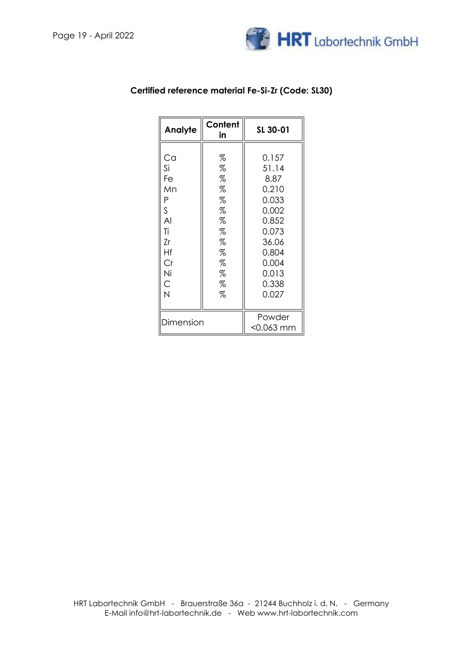

| Analyte                                                                                 | Content<br>in                                                      | SL 30-01                                                                                                                  |
|-----------------------------------------------------------------------------------------|--------------------------------------------------------------------|---------------------------------------------------------------------------------------------------------------------------|
| Ca<br>Si<br>Fe<br>Mn<br>P<br>S<br>AI<br>Ti<br>Zr<br>Hf<br>Cr<br>Ni<br>$\mathsf{C}$<br>N | %<br>%<br>%<br>%<br>%<br>%<br>%<br>%<br>%<br>%<br>%<br>%<br>%<br>% | 0.157<br>51.14<br>8.87<br>0.210<br>0.033<br>0.002<br>0.852<br>0.073<br>36.06<br>0.804<br>0.004<br>0.013<br>0.338<br>0.027 |
| Dimension                                                                               |                                                                    | Powder<br>$<$ 0.063 mm                                                                                                    |

## **Certified reference material Fe-Si-Zr (Code: SL30)**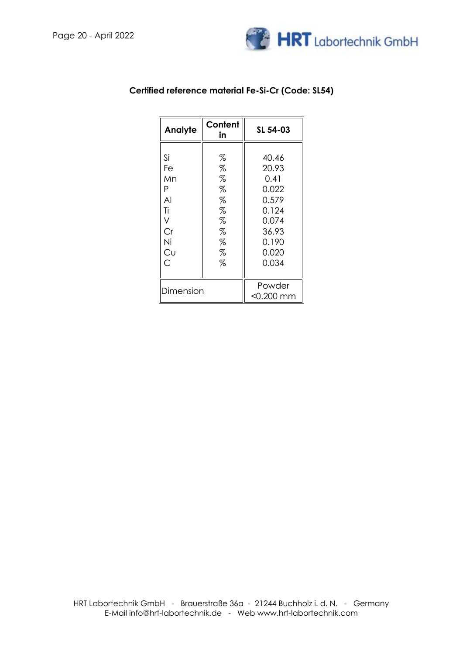

| Analyte                                                                  | Content<br>in                                       | SL 54-03                                                                                       |
|--------------------------------------------------------------------------|-----------------------------------------------------|------------------------------------------------------------------------------------------------|
| Si<br>Fe<br>Mn<br>Ρ<br>AI<br>Ti<br>V<br>Cr<br>Ni<br>Cυ<br>$\overline{C}$ | %<br>%<br>%<br>%<br>%<br>%<br>%<br>%<br>%<br>%<br>% | 40.46<br>20.93<br>0.41<br>0.022<br>0.579<br>0.124<br>0.074<br>36.93<br>0.190<br>0.020<br>0.034 |
| Dimension                                                                |                                                     | Powder<br>$<$ 0.200 mm                                                                         |

### **Certified reference material Fe-Si-Cr (Code: SL54)**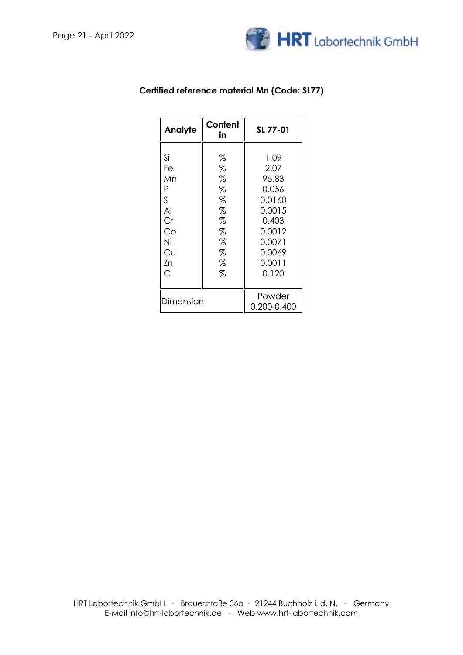

| Content<br><b>Analyte</b><br>in                                   |                                                          | SL 77-01                                                                                                     |
|-------------------------------------------------------------------|----------------------------------------------------------|--------------------------------------------------------------------------------------------------------------|
| Si<br>Fe<br>Mn<br>P<br>S<br>AI<br>Cr<br>Co<br>Ni<br>Cυ<br>Zn<br>Ć | %<br>%<br>%<br>%<br>%<br>%<br>%<br>%<br>%<br>%<br>%<br>% | 1.09<br>2.07<br>95.83<br>0.056<br>0.0160<br>0.0015<br>0.403<br>0.0012<br>0.0071<br>0.0069<br>0.0011<br>0.120 |
| Dimension                                                         |                                                          | Powder<br>0.200-0.400                                                                                        |

### **Certified reference material Mn (Code: SL77)**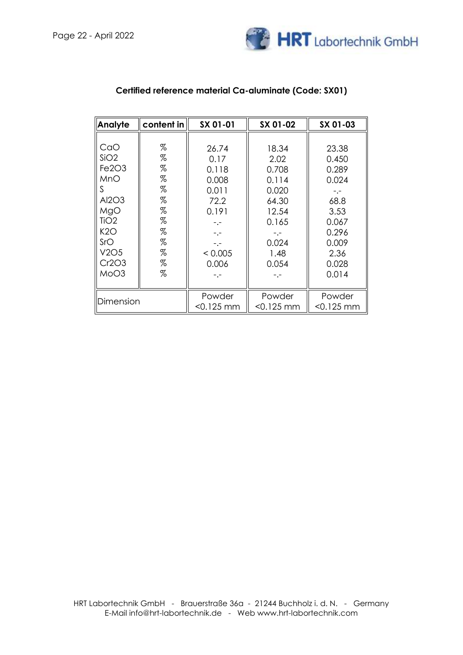

| <b>Analyte</b>               | content in | SX 01-01  | SX 01-02     | SX 01-03  |
|------------------------------|------------|-----------|--------------|-----------|
|                              |            |           |              |           |
| CaO                          | %          | 26.74     | 18.34        | 23.38     |
| SiO2                         | %          | 0.17      | 2.02         | 0.450     |
| Fe <sub>2O<sub>3</sub></sub> | %          | 0.118     | 0.708        | 0.289     |
| MnO                          | %          | 0.008     | 0.114        | 0.024     |
| S                            | %          | 0.011     | 0.020        | -.-       |
| Al2O3                        | %          | 72.2      | 64.30        | 68.8      |
| MgO                          | %          | 0.191     | 12.54        | 3.53      |
| TiO <sub>2</sub>             | %          |           | 0.165        | 0.067     |
| K2O                          | %          |           | -.-          | 0.296     |
| SrO                          | %          |           | 0.024        | 0.009     |
| V2O5                         | %          | < 0.005   | 1.48         | 2.36      |
| Cr2O3                        | %          | 0.006     | 0.054        | 0.028     |
| MoO3                         | %          |           |              | 0.014     |
|                              |            |           |              |           |
|                              |            | Powder    | Powder       | Powder    |
| Dimension                    |            | <0.125 mm | $<$ 0.125 mm | <0.125 mm |

## **Certified reference material Ca-aluminate (Code: SX01)**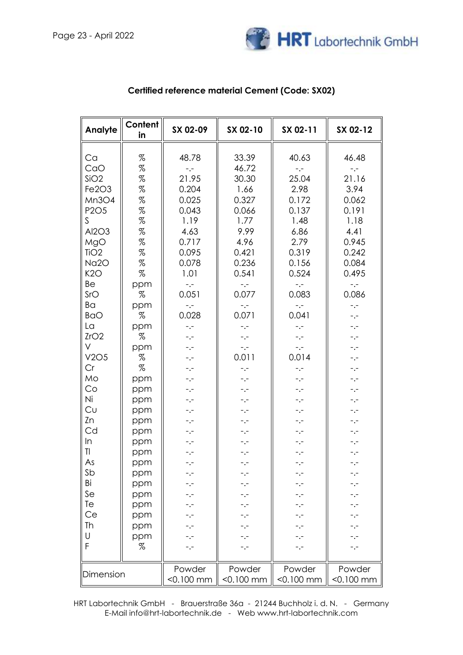

| Analyte                                                                                                                                                                                                                                                                                            | Content<br>in                                                                                                                                                                                                                                        | SX 02-09                                                                                                                                                                                                                                                                                                                                                                                                                                                                                                             | SX 02-10                                                                                                                                                                                                                                                                                                                                                                                                                                | SX 02-11                                                                                                                                                                                                                                                                                                                                                                        | SX 02-12                                                                                                                                                                                                                                                                                                                                                                                                                                                                                                                                                                                                                                                                            |
|----------------------------------------------------------------------------------------------------------------------------------------------------------------------------------------------------------------------------------------------------------------------------------------------------|------------------------------------------------------------------------------------------------------------------------------------------------------------------------------------------------------------------------------------------------------|----------------------------------------------------------------------------------------------------------------------------------------------------------------------------------------------------------------------------------------------------------------------------------------------------------------------------------------------------------------------------------------------------------------------------------------------------------------------------------------------------------------------|-----------------------------------------------------------------------------------------------------------------------------------------------------------------------------------------------------------------------------------------------------------------------------------------------------------------------------------------------------------------------------------------------------------------------------------------|---------------------------------------------------------------------------------------------------------------------------------------------------------------------------------------------------------------------------------------------------------------------------------------------------------------------------------------------------------------------------------|-------------------------------------------------------------------------------------------------------------------------------------------------------------------------------------------------------------------------------------------------------------------------------------------------------------------------------------------------------------------------------------------------------------------------------------------------------------------------------------------------------------------------------------------------------------------------------------------------------------------------------------------------------------------------------------|
| Ca<br>CaO<br>SiO2<br>Fe2O3<br>Mn3O4<br>P <sub>2</sub> O <sub>5</sub><br>S<br>Al2O3<br>MgO<br>TiO <sub>2</sub><br>Na2O<br>K2O<br>Be<br>SrO<br>Ba<br><b>BaO</b><br>La<br>ZrO2<br>V<br>V2O5<br>Cr<br>Mo<br>Co<br>Ni<br>Cυ<br>Zn<br>Cd<br>In<br>$\mathsf{I}$<br>As<br>Sb<br>Bi<br>Se<br>Te<br>Ce<br>Τh | %<br>$\%$<br>$\%$<br>$\%$<br>$\%$<br>$\%$<br>$\%$<br>$\%$<br>$\%$<br>$\%$<br>$\%$<br>%<br>ppm<br>%<br>ppm<br>%<br>ppm<br>%<br>ppm<br>%<br>%<br>ppm<br>ppm<br>ppm<br>ppm<br>ppm<br>ppm<br>ppm<br>ppm<br>ppm<br>ppm<br>ppm<br>ppm<br>ppm<br>ppm<br>ppm | 48.78<br>$^{\circ}$ . $^{\circ}$<br>21.95<br>0.204<br>0.025<br>0.043<br>1.19<br>4.63<br>0.717<br>0.095<br>0.078<br>1.01<br>$\mathbb{L}_\bullet\mathbb{L}_\bullet$<br>0.051<br>$^{\circ}$ . $^{\circ}$<br>0.028<br>$\mathbb{L}_\bullet\mathbb{L}_\bullet$<br>$\gamma_{\rm eff}$<br>$-,-$<br>$\overline{\phantom{a}}$ . $\overline{\phantom{a}}$<br>$-,-$<br>$^{\circ}$ . $^{\circ}$<br>$-,-$<br>$-,-$<br>$-,-$<br>$^{\circ}$ , $^{\circ}$<br>$-,-$<br>$-,-$<br>$-,-$<br>- -<br>-.-<br>-.-<br>-.-<br>-.-<br>-.-<br>-.- | 33.39<br>46.72<br>30.30<br>1.66<br>0.327<br>0.066<br>1.77<br>9.99<br>4.96<br>0.421<br>0.236<br>0.541<br>$\sim$ , $\sim$<br>0.077<br>$\sim$ , $\sim$<br>0.071<br>$\sim$ , $\sim$<br>$^{\circ}$ , $^{\circ}$<br>$\sim$ , $\sim$<br>0.011<br>$-,-$<br>$-,-$<br>-.-<br>-.-<br>$\overline{\phantom{a}}$ , $\overline{\phantom{a}}$<br>$\overline{\phantom{a}}$ , $\overline{\phantom{a}}$<br>$-,-$<br>-.-<br>-.-<br>-.-<br>-.-<br>-.-<br>-.- | 40.63<br>$-,-$<br>25.04<br>2.98<br>0.172<br>0.137<br>1.48<br>6.86<br>2.79<br>0.319<br>0.156<br>0.524<br>$-,-$<br>0.083<br>$-,-$<br>0.041<br>$-,-$<br>$^{\circ}$ . $^{\circ}$<br>$\mathbb{L}^{\mathbb{L}}$<br>0.014<br>$-,-$<br>$-,-$<br>$-,-$<br>$-,-$<br>$^{\circ}$ . $^{\circ}$<br>$^{\circ}$ . $^{\circ}$<br>$-,-$<br>$ -$<br>$ -$<br>- -<br>-.-<br>-.-<br>-.-<br>-.-<br>-.- | 46.48<br>$\mathord{\text{--}}\nolimits, \mathord{\text{--}}$<br>21.16<br>3.94<br>0.062<br>0.191<br>1.18<br>4.41<br>0.945<br>0.242<br>0.084<br>0.495<br>$\mathbb{L}^{\mathbb{L}}$<br>0.086<br>$-,-$<br>$\overline{\phantom{a}}$ . $\overline{\phantom{a}}$<br>$\mathord{\text{--}}\mathord{\text{--}}$<br>$^{\perp,\perp}$<br>$\mathbb{L}^{\mathbb{L}}$<br>$\overline{\phantom{a}}$ . $\overline{\phantom{a}}$<br>$\mathbb{L}^{\mathbb{L}}$<br>$^{\circ}$ . $^{\circ}$<br>$-,-$<br>$^{\circ}$ . $^{\circ}$<br>$\mathbb{L}^{\mathbb{L}}$<br>$^{\perp,\perp}$<br>$\mathbb{L}^{\mathbb{L}}$<br>$\overline{\phantom{a}}$ .<br>$\ddotsc$<br>-.-<br>$-$ .-<br>$-,-$<br>-.-<br>-.-<br>$-,-$ |
| U<br>F                                                                                                                                                                                                                                                                                             | ppm<br>%                                                                                                                                                                                                                                             | -.-<br>-.-                                                                                                                                                                                                                                                                                                                                                                                                                                                                                                           | -.-<br>-.-                                                                                                                                                                                                                                                                                                                                                                                                                              | -.-<br>-.-                                                                                                                                                                                                                                                                                                                                                                      | $-,-$<br>$-,-$                                                                                                                                                                                                                                                                                                                                                                                                                                                                                                                                                                                                                                                                      |
| Dimension                                                                                                                                                                                                                                                                                          |                                                                                                                                                                                                                                                      | Powder                                                                                                                                                                                                                                                                                                                                                                                                                                                                                                               | Powder                                                                                                                                                                                                                                                                                                                                                                                                                                  | Powder                                                                                                                                                                                                                                                                                                                                                                          | Powder                                                                                                                                                                                                                                                                                                                                                                                                                                                                                                                                                                                                                                                                              |
|                                                                                                                                                                                                                                                                                                    |                                                                                                                                                                                                                                                      | <0.100 mm                                                                                                                                                                                                                                                                                                                                                                                                                                                                                                            | $< 0.100$ mm                                                                                                                                                                                                                                                                                                                                                                                                                            | $< 0.100$ mm                                                                                                                                                                                                                                                                                                                                                                    | $< 0.100$ mm                                                                                                                                                                                                                                                                                                                                                                                                                                                                                                                                                                                                                                                                        |

## **Certified reference material Cement (Code: SX02)**

HRT Labortechnik GmbH - Brauerstraße 36a - 21244 Buchholz i. d. N. - Germany E-Mail info@hrt-labortechnik.de - Web www.hrt-labortechnik.com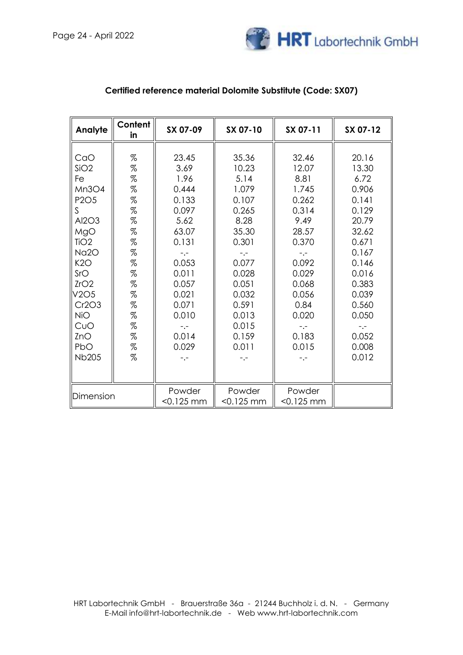

| Analyte                       | Content<br>in                 | SX 07-09                                            | SX 07-10     | SX 07-11     | SX 07-12 |
|-------------------------------|-------------------------------|-----------------------------------------------------|--------------|--------------|----------|
|                               |                               |                                                     |              |              |          |
| CaO                           | $\%$                          | 23.45                                               | 35.36        | 32.46        | 20.16    |
| SiO2                          | $\%$                          | 3.69                                                | 10.23        | 12.07        | 13.30    |
| Fe                            | $% \mathcal{L}_{\mathcal{A}}$ | 1.96                                                | 5.14         | 8.81         | 6.72     |
| Mn3O4                         | $\%$                          | 0.444                                               | 1.079        | 1.745        | 0.906    |
| P <sub>2</sub> O <sub>5</sub> | $\%$                          | 0.133                                               | 0.107        | 0.262        | 0.141    |
| $\mathsf{S}$                  | $\%$                          | 0.097                                               | 0.265        | 0.314        | 0.129    |
| Al2O3                         | $\%$                          | 5.62                                                | 8.28         | 9.49         | 20.79    |
| MgO                           | $\%$                          | 63.07                                               | 35.30        | 28.57        | 32.62    |
| TiO <sub>2</sub>              | $\%$                          | 0.131                                               | 0.301        | 0.370        | 0.671    |
| Na <sub>20</sub>              | $\%$                          | $-,-$                                               | $-,-$        | $-,-$        | 0.167    |
| K2O                           | $\%$                          | 0.053                                               | 0.077        | 0.092        | 0.146    |
| SrO                           | $\%$                          | 0.011                                               | 0.028        | 0.029        | 0.016    |
| ZrO2                          | $\%$                          | 0.057                                               | 0.051        | 0.068        | 0.383    |
| V2O5                          | $\%$                          | 0.021                                               | 0.032        | 0.056        | 0.039    |
| Cr2O3                         | $\%$                          | 0.071                                               | 0.591        | 0.84         | 0.560    |
| <b>NiO</b>                    | $\%$                          | 0.010                                               | 0.013        | 0.020        | 0.050    |
| CuO                           | $\%$                          | $\overline{\phantom{a}}$ . $\overline{\phantom{a}}$ | 0.015        | -.-          | $-,-$    |
| ZnO                           | $\%$                          | 0.014                                               | 0.159        | 0.183        | 0.052    |
| PbO                           | $% \mathcal{L}_{\mathcal{A}}$ | 0.029                                               | 0.011        | 0.015        | 0.008    |
| <b>Nb205</b>                  | $% \mathcal{L}_{\mathcal{A}}$ | $-,-$                                               | -.-          | -.-          | 0.012    |
|                               |                               |                                                     |              |              |          |
|                               |                               |                                                     |              |              |          |
|                               |                               | Powder                                              | Powder       | Powder       |          |
| Dimension                     |                               | $<$ 0.125 mm                                        | $<$ 0.125 mm | $< 0.125$ mm |          |

### **Certified reference material Dolomite Substitute (Code: SX07)**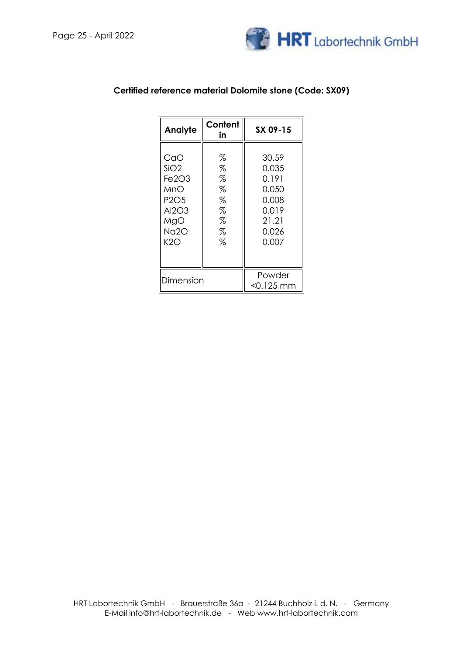

| Content<br>Analyte<br>in                                                                                           |                                           | SX 09-15                                                                      |
|--------------------------------------------------------------------------------------------------------------------|-------------------------------------------|-------------------------------------------------------------------------------|
| CaO<br>SiO2<br>Fe <sub>2O<sub>3</sub></sub><br>MnO<br>P <sub>2</sub> O <sub>5</sub><br>Al2O3<br>MgO<br>Na2O<br>K2O | %<br>%<br>%<br>%<br>%<br>%<br>%<br>%<br>% | 30.59<br>0.035<br>0.191<br>0.050<br>0.008<br>0.019<br>21.21<br>0.026<br>0.007 |
| Dimension                                                                                                          |                                           | Powder<br>$< 0.125$ mm                                                        |

### **Certified reference material Dolomite stone (Code: SX09)**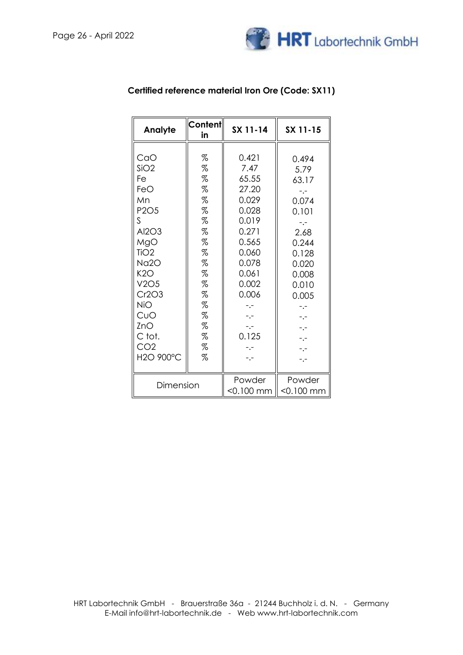

| Analyte                                                                                                                                                                                                         | Content<br>in                                                                                          | SX 11-14                                                                                                                                                         | SX 11-15                                                                                                                                  |
|-----------------------------------------------------------------------------------------------------------------------------------------------------------------------------------------------------------------|--------------------------------------------------------------------------------------------------------|------------------------------------------------------------------------------------------------------------------------------------------------------------------|-------------------------------------------------------------------------------------------------------------------------------------------|
| CaO<br>SiO2<br>Fe<br>FeO<br>Mn<br>P <sub>2</sub> O <sub>5</sub><br>S.<br>Al2O3<br>MgO<br>TiO <sub>2</sub><br>Na2O<br>K2O<br>V2O5<br>Cr2O3<br><b>NiO</b><br>CuO<br>ZnO<br>C tot.<br>CO <sub>2</sub><br>H2O 900°C | %<br>%<br>%<br>$\%$<br>%<br>%<br>%<br>%<br>%<br>%<br>%<br>%<br>%<br>%<br>%<br>%<br>$\%$<br>%<br>%<br>% | 0.421<br>7.47<br>65.55<br>27.20<br>0.029<br>0.028<br>0.019<br>0.271<br>0.565<br>0.060<br>0.078<br>0.061<br>0.002<br>0.006<br>-.-<br>$-,-$<br>0.125<br>-.-<br>-.- | 0.494<br>5.79<br>63.17<br>-.-<br>0.074<br>0.101<br>2.68<br>0.244<br>0.128<br>0.020<br>0.008<br>0.010<br>0.005<br>-.-<br>-.-<br>-.-<br>-.- |
| Dimension                                                                                                                                                                                                       |                                                                                                        | Powder<br>$<$ 0.100 mm                                                                                                                                           | Powder<br>$< 0.100$ mm                                                                                                                    |

# **Certified reference material Iron Ore (Code: SX11)**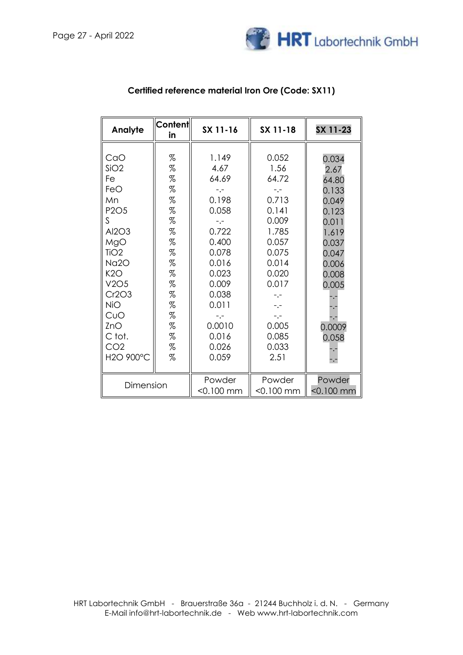

| Analyte                                                                                                                                                                                                                     | <b>Content</b><br>in                                                                                                  | SX 11-16                                                                                                                                                                              | SX 11-18                                                                                                                                                                     | SX 11-23                                                                                                                            |
|-----------------------------------------------------------------------------------------------------------------------------------------------------------------------------------------------------------------------------|-----------------------------------------------------------------------------------------------------------------------|---------------------------------------------------------------------------------------------------------------------------------------------------------------------------------------|------------------------------------------------------------------------------------------------------------------------------------------------------------------------------|-------------------------------------------------------------------------------------------------------------------------------------|
| CaO<br>SiO2<br>Fe<br>FeO<br>Mn<br>P <sub>2</sub> O <sub>5</sub><br>S.<br>Al2O3<br>MgO<br>TiO <sub>2</sub><br>Na <sub>20</sub><br>K2O<br>V2O5<br>Cr2O3<br><b>NiO</b><br>CuO<br>ZnO<br>C tot.<br>CO <sub>2</sub><br>H2O 900°C | %<br>%<br>$\%$<br>$\%$<br>$\%$<br>%<br>$\%$<br>%<br>$\%$<br>$\%$<br>%<br>%<br>%<br>%<br>%<br>%<br>%<br>$\%$<br>%<br>% | 1.149<br>4.67<br>64.69<br>$-,-$<br>0.198<br>0.058<br>$-1 -$<br>0.722<br>0.400<br>0.078<br>0.016<br>0.023<br>0.009<br>0.038<br>0.011<br>$-$ . $-$<br>0.0010<br>0.016<br>0.026<br>0.059 | 0.052<br>1.56<br>64.72<br>$-,-$<br>0.713<br>0.141<br>0.009<br>1.785<br>0.057<br>0.075<br>0.014<br>0.020<br>0.017<br>-.-<br>$-,-$<br>$-,-$<br>0.005<br>0.085<br>0.033<br>2.51 | 0.034<br>2.67<br>64.80<br>0.133<br>0.049<br>0.123<br>0.011<br>1.619<br>0.037<br>0.047<br>0.006<br>0.008<br>0.005<br>0.0009<br>0.058 |
| Dimension                                                                                                                                                                                                                   |                                                                                                                       | Powder<br>$<$ 0.100 mm                                                                                                                                                                | Powder<br>$<$ 0.100 mm                                                                                                                                                       | Powder<br>$<$ 0.100 mm                                                                                                              |

## **Certified reference material Iron Ore (Code: SX11)**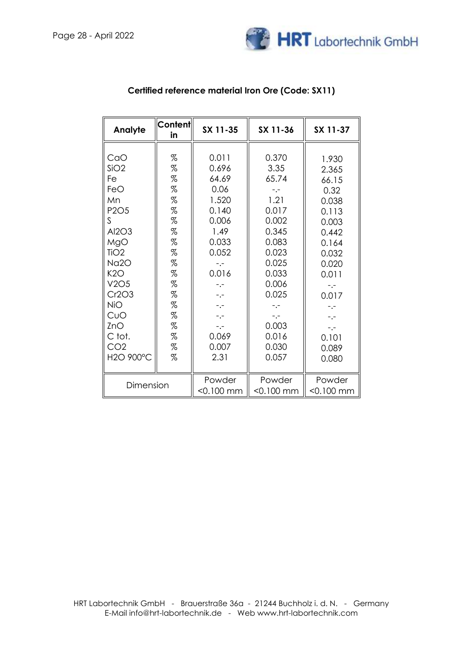

| Analyte                                                                                                                                                                                    | <b>Content</b><br>in                                                                             | SX 11-35                                                                                                                                                                  | SX 11-36                                                                                                                                                                      | SX 11-37                                                                                                                                                                      |
|--------------------------------------------------------------------------------------------------------------------------------------------------------------------------------------------|--------------------------------------------------------------------------------------------------|---------------------------------------------------------------------------------------------------------------------------------------------------------------------------|-------------------------------------------------------------------------------------------------------------------------------------------------------------------------------|-------------------------------------------------------------------------------------------------------------------------------------------------------------------------------|
| CaO<br>SiO <sub>2</sub><br>Fe<br>FeO<br>Mn<br>P2O5<br>S<br>Al2O3<br>MgO<br>TiO <sub>2</sub><br>Na2O<br>K2O<br>V2O5<br>Cr2O3<br>NiO<br>CuO<br>ZnO<br>C tot.<br>CO <sub>2</sub><br>H2O 900°C | %<br>%<br>%<br>%<br>%<br>%<br>%<br>%<br>%<br>%<br>%<br>%<br>%<br>%<br>%<br>%<br>%<br>%<br>%<br>% | 0.011<br>0.696<br>64.69<br>0.06<br>1.520<br>0.140<br>0.006<br>1.49<br>0.033<br>0.052<br>$-,-$<br>0.016<br>-.-<br>$-,-$<br>-.-<br>$-,-$<br>$-,-$<br>0.069<br>0.007<br>2.31 | 0.370<br>3.35<br>65.74<br>$-1 -$<br>1.21<br>0.017<br>0.002<br>0.345<br>0.083<br>0.023<br>0.025<br>0.033<br>0.006<br>0.025<br>-.-<br>$-,-$<br>0.003<br>0.016<br>0.030<br>0.057 | 1.930<br>2.365<br>66.15<br>0.32<br>0.038<br>0.113<br>0.003<br>0.442<br>0.164<br>0.032<br>0.020<br>0.011<br>$-,-$<br>0.017<br>-.-<br>$-,-$<br>$-,-$<br>0.101<br>0.089<br>0.080 |
|                                                                                                                                                                                            |                                                                                                  |                                                                                                                                                                           |                                                                                                                                                                               |                                                                                                                                                                               |
| Dimension                                                                                                                                                                                  |                                                                                                  | Powder<br>$<$ 0.100 mm                                                                                                                                                    | Powder<br>$<$ 0.100 mm                                                                                                                                                        | Powder<br>$< 0.100$ mm                                                                                                                                                        |

## **Certified reference material Iron Ore (Code: SX11)**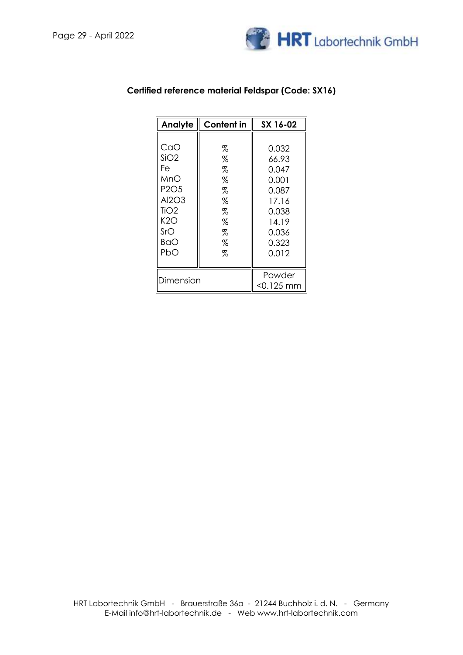

| Analyte                       | <b>Content in</b> | SX 16-02     |
|-------------------------------|-------------------|--------------|
|                               |                   |              |
| CaO                           | %                 | 0.032        |
| SiO2                          | $\%$              | 66.93        |
| Fe                            | $\%$              | 0.047        |
| MnO                           | $\%$              | 0.001        |
| P <sub>2</sub> O <sub>5</sub> | $\%$              | 0.087        |
| Al2O3                         | $\%$              | 17.16        |
| TiO <sub>2</sub>              | $\%$              | 0.038        |
| K2O                           | %                 | 14.19        |
| SrO                           | %                 | 0.036        |
| BaO                           | $\%$              | 0.323        |
| PbO                           | $\%$              | 0.012        |
|                               |                   |              |
|                               | Powder            |              |
| Dimension                     |                   | $<$ 0.125 mm |

### **Certified reference material Feldspar (Code: SX16)**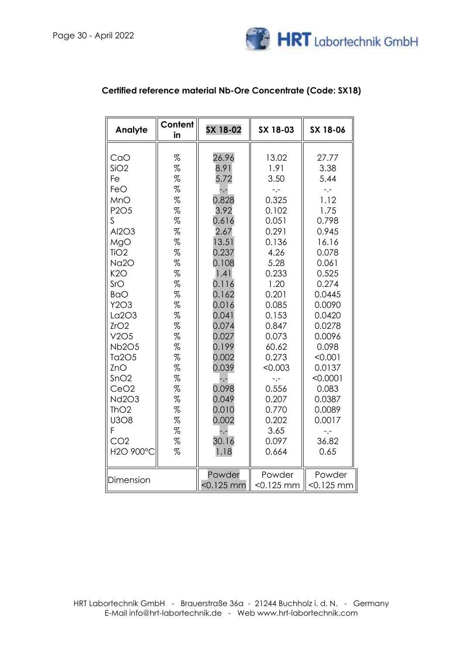

| Analyte                                                                                                                                                                                                                                                                                                                                        | Content<br>in                                                                                                                                                                                                                                                                                                                                                                                                         | SX 18-02                                                                                                                                                                                                                                                 | SX 18-03                                                                                                                                                                                                                                                    | SX 18-06                                                                                                                                                                                                                                                                   |
|------------------------------------------------------------------------------------------------------------------------------------------------------------------------------------------------------------------------------------------------------------------------------------------------------------------------------------------------|-----------------------------------------------------------------------------------------------------------------------------------------------------------------------------------------------------------------------------------------------------------------------------------------------------------------------------------------------------------------------------------------------------------------------|----------------------------------------------------------------------------------------------------------------------------------------------------------------------------------------------------------------------------------------------------------|-------------------------------------------------------------------------------------------------------------------------------------------------------------------------------------------------------------------------------------------------------------|----------------------------------------------------------------------------------------------------------------------------------------------------------------------------------------------------------------------------------------------------------------------------|
| CaO<br>SiO <sub>2</sub><br>Fe<br>FeO<br>MnO<br>P2O5<br>$\mathsf{S}$<br>Al2O3<br>MgO<br>TiO <sub>2</sub><br>Na <sub>2</sub> O<br>K2O<br>SrO<br><b>BaO</b><br>Y2O3<br>La2O3<br>ZrO2<br>V2O5<br><b>Nb2O5</b><br>Ta2O5<br>ZnO<br>SnO2<br>CeO <sub>2</sub><br><b>Nd2O3</b><br>ThO <sub>2</sub><br><b>U3O8</b><br>F.<br>CO <sub>2</sub><br>H2O 900°C | %<br>$% \mathcal{L}_{\mathcal{A}}$<br>$% \mathcal{L}_{\mathcal{A}}$<br>$\%$<br>$\%$<br>$% \mathcal{L}_{\mathcal{A}}$<br>%<br>$% \mathcal{L}_{\mathcal{A}}$<br>%<br>%<br>%<br>%<br>$% \mathcal{L}_{\mathcal{A}}$<br>$% \mathcal{L}_{\mathcal{A}}$<br>$\%$<br>%<br>$% \mathcal{L}_{\mathcal{A}}$<br>%<br>%<br>%<br>%<br>%<br>%<br>$% \mathcal{L}_{\mathcal{A}}$<br>%<br>$\%$<br>%<br>$% \mathcal{L}_{\mathcal{A}}$<br>% | 26.96<br>8.91<br>5.72<br>$-$ .-<br>0.828<br>3.92<br>0.616<br>2.67<br>13.51<br>0.237<br>0.108<br>1.41<br>0.116<br>0.162<br>0.016<br>0.041<br>0.074<br>0.027<br>0.199<br>0.002<br>0.039<br>-.-<br>0.098<br>0.049<br>0.010<br>0.002<br>-.-<br>30.16<br>1.18 | 13.02<br>1.91<br>3.50<br>$-,-$<br>0.325<br>0.102<br>0.051<br>0.291<br>0.136<br>4.26<br>5.28<br>0.233<br>1.20<br>0.201<br>0.085<br>0.153<br>0.847<br>0.073<br>60.62<br>0.273<br>< 0.003<br>-.-<br>0.556<br>0.207<br>0.770<br>0.202<br>3.65<br>0.097<br>0.664 | 27.77<br>3.38<br>5.44<br>$-,-$<br>1.12<br>1.75<br>0.798<br>0.945<br>16.16<br>0.078<br>0.061<br>0.525<br>0.274<br>0.0445<br>0.0090<br>0.0420<br>0.0278<br>0.0096<br>0.098<br>< 0.001<br>0.0137<br>< 0.0001<br>0.083<br>0.0387<br>0.0089<br>0.0017<br>$-,-$<br>36.82<br>0.65 |
| Dimension                                                                                                                                                                                                                                                                                                                                      |                                                                                                                                                                                                                                                                                                                                                                                                                       | Powder<br>$< 0.125$ mm                                                                                                                                                                                                                                   | Powder<br>$< 0.125$ mm                                                                                                                                                                                                                                      | Powder<br>$< 0.125$ mm                                                                                                                                                                                                                                                     |

## **Certified reference material Nb-Ore Concentrate (Code: SX18)**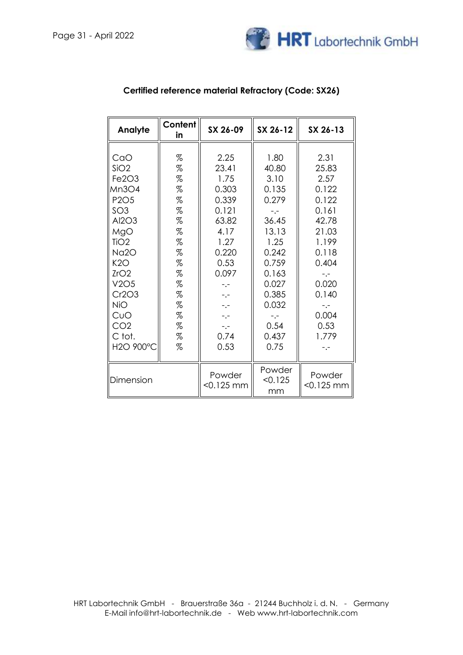

| Analyte                                                                                                                                                                                                                                                                      | Content<br>in                                                                                                    | SX 26-09                                                                                                                                                          | SX 26-12                                                                                                                                                             | SX 26-13                                                                                                                                                                 |
|------------------------------------------------------------------------------------------------------------------------------------------------------------------------------------------------------------------------------------------------------------------------------|------------------------------------------------------------------------------------------------------------------|-------------------------------------------------------------------------------------------------------------------------------------------------------------------|----------------------------------------------------------------------------------------------------------------------------------------------------------------------|--------------------------------------------------------------------------------------------------------------------------------------------------------------------------|
| CaO<br>SiO <sub>2</sub><br>Fe <sub>2O<sub>3</sub></sub><br>Mn3O4<br>P <sub>2</sub> O <sub>5</sub><br>SO <sub>3</sub><br>Al2O3<br>MgO<br>TiO <sub>2</sub><br>Na <sub>2</sub> O<br>K2O<br>ZrO2<br>V2O5<br>Cr2O3<br><b>NiO</b><br>CuO<br>CO <sub>2</sub><br>C tot.<br>H2O 900°C | %<br>%<br>%<br>$\%$<br>%<br>%<br>$\%$<br>%<br>$\%$<br>$\%$<br>%<br>%<br>$\%$<br>$\%$<br>%<br>%<br>$\%$<br>%<br>% | 2.25<br>23.41<br>1.75<br>0.303<br>0.339<br>0.121<br>63.82<br>4.17<br>1.27<br>0.220<br>0.53<br>0.097<br>$-,-$<br>$-1 -$<br>$-,-$<br>$-,-$<br>$-,-$<br>0.74<br>0.53 | 1.80<br>40.80<br>3.10<br>0.135<br>0.279<br>$-1 -$<br>36.45<br>13.13<br>1.25<br>0.242<br>0.759<br>0.163<br>0.027<br>0.385<br>0.032<br>$-1 -$<br>0.54<br>0.437<br>0.75 | 2.31<br>25.83<br>2.57<br>0.122<br>0.122<br>0.161<br>42.78<br>21.03<br>1.199<br>0.118<br>0.404<br>$-$ . $-$<br>0.020<br>0.140<br>$-,-$<br>0.004<br>0.53<br>1.779<br>$-,-$ |
| Dimension                                                                                                                                                                                                                                                                    |                                                                                                                  | Powder<br>$< 0.125$ mm                                                                                                                                            | Powder<br>< 0.125<br>mm                                                                                                                                              | Powder<br>$< 0.125$ mm                                                                                                                                                   |

# **Certified reference material Refractory (Code: SX26)**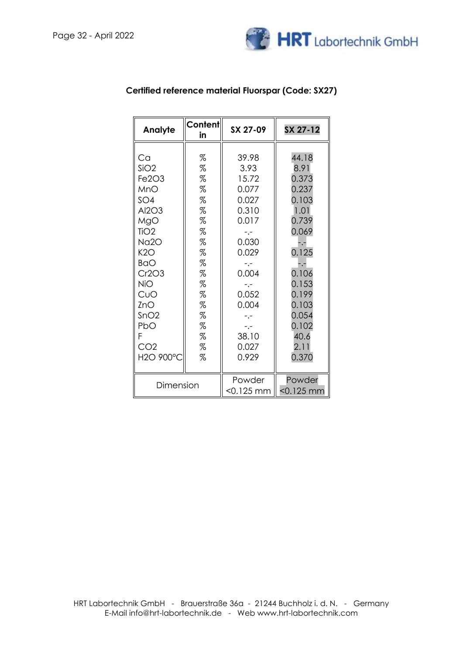

| Analyte                                                                                                                                                                                     | <b>Content</b><br>in                                                                                | SX 27-09                                                                                                                                                                                          | SX 27-12                                                                                                                                                                 |
|---------------------------------------------------------------------------------------------------------------------------------------------------------------------------------------------|-----------------------------------------------------------------------------------------------------|---------------------------------------------------------------------------------------------------------------------------------------------------------------------------------------------------|--------------------------------------------------------------------------------------------------------------------------------------------------------------------------|
| Ca<br>SiO2<br>Fe2O3<br>MnO<br>SO <sub>4</sub><br>Al2O3<br>MgO<br>TiO2<br>Na2O<br>K2O<br><b>BaO</b><br>Cr2O3<br><b>NiO</b><br>CuO<br>ZnO<br>SnO2<br>PbO<br>F<br>CO <sub>2</sub><br>H2O 900°C | %<br>%<br>%<br>%<br>%<br>%<br>%<br>%<br>%<br>%<br>%<br>%<br>%<br>%<br>%<br>$\%$<br>%<br>%<br>%<br>% | 39.98<br>3.93<br>15.72<br>0.077<br>0.027<br>0.310<br>0.017<br>$-,-$<br>0.030<br>0.029<br>$\mathbb{L}^{\mathbb{L}}$<br>0.004<br>-.-<br>0.052<br>0.004<br>$-,-$<br>$-,-$<br>38.10<br>0.027<br>0.929 | 44.18<br>8.91<br>0.373<br>0.237<br>0.103<br>1.01<br>0.739<br>0.069<br>-.-<br>0.125<br>-.-<br>0.106<br>0.153<br>0.199<br>0.103<br>0.054<br>0.102<br>40.6<br>2.11<br>0.370 |
| Dimension                                                                                                                                                                                   |                                                                                                     | Powder<br><0.125 mm                                                                                                                                                                               | Powder<br>$<$ 0.125 mm                                                                                                                                                   |

## **Certified reference material Fluorspar (Code: SX27)**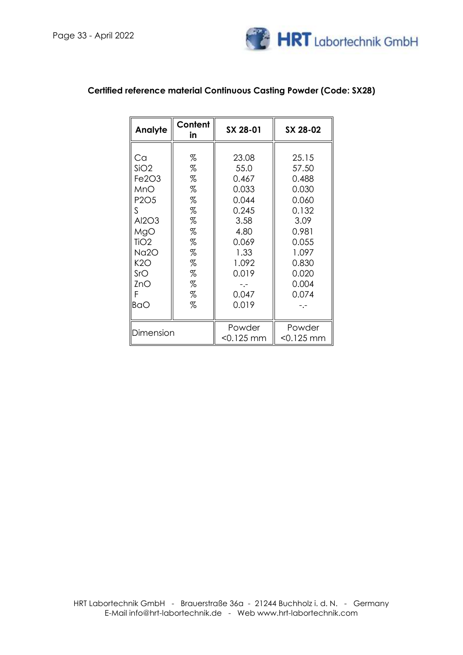

| Analyte                       | Content<br>in | SX 28-01  | SX 28-02     |
|-------------------------------|---------------|-----------|--------------|
|                               |               |           |              |
| Ca                            | %             | 23.08     | 25.15        |
| SiO2                          | %             | 55.0      | 57.50        |
| Fe2O3                         | %             | 0.467     | 0.488        |
| MnO                           | %             | 0.033     | 0.030        |
| P <sub>2</sub> O <sub>5</sub> | $\%$          | 0.044     | 0.060        |
| S                             | %             | 0.245     | 0.132        |
| Al2O3                         | %             | 3.58      | 3.09         |
| MgO                           | %             | 4.80      | 0.981        |
| TiO <sub>2</sub>              | %             | 0.069     | 0.055        |
| Na2O                          | %             | 1.33      | 1.097        |
| K2O                           | %             | 1.092     | 0.830        |
| SrO                           | %             | 0.019     | 0.020        |
| ZnO                           | %             |           | 0.004        |
| F                             | %             | 0.047     | 0.074        |
| BaO                           | %             | 0.019     |              |
|                               |               |           |              |
|                               |               | Powder    | Powder       |
| Dimension                     |               | <0.125 mm | $<$ 0.125 mm |

## **Certified reference material Continuous Casting Powder (Code: SX28)**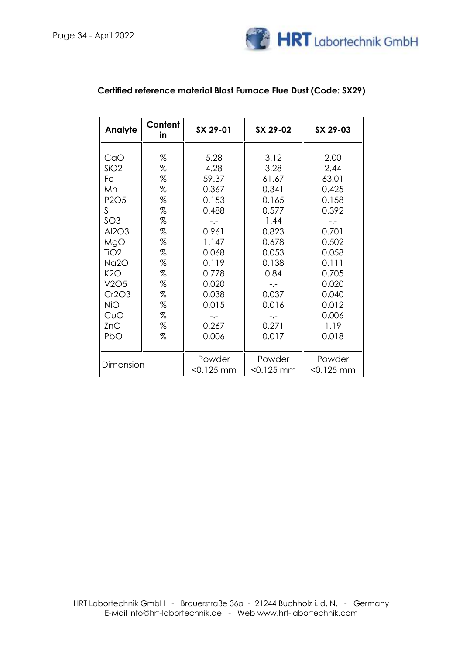

| Analyte                       | Content<br>in | SX 29-01               | SX 29-02               | SX 29-03               |
|-------------------------------|---------------|------------------------|------------------------|------------------------|
| CaO                           | %             | 5.28                   | 3.12                   | 2.00                   |
| SiO2                          | %             | 4.28                   | 3.28                   | 2.44                   |
| Fe                            | %             | 59.37                  | 61.67                  | 63.01                  |
| Mn                            | %             | 0.367                  | 0.341                  | 0.425                  |
| P <sub>2</sub> O <sub>5</sub> | %             | 0.153                  | 0.165                  | 0.158                  |
| S.                            | %             | 0.488                  | 0.577                  | 0.392                  |
| SO <sub>3</sub>               | %             | $-$ .-                 | 1.44                   | $-$ . $-$              |
| Al2O3                         | %             | 0.961                  | 0.823                  | 0.701                  |
| MgO                           | %             | 1.147                  | 0.678                  | 0.502                  |
| TiO <sub>2</sub>              | %             | 0.068                  | 0.053                  | 0.058                  |
| Na2O                          | %             | 0.119                  | 0.138                  | 0.111                  |
| K2O                           | %             | 0.778                  | 0.84                   | 0.705                  |
| V2O5                          | %             | 0.020                  | $ -$                   | 0.020                  |
| Cr2O3                         | %             | 0.038                  | 0.037                  | 0.040                  |
| <b>NiO</b>                    | %             | 0.015                  | 0.016                  | 0.012                  |
| CuO                           | %             | $-,-$                  | $-,-$                  | 0.006                  |
| ZnO                           | %             | 0.267                  | 0.271                  | 1.19                   |
| PbO                           | %             | 0.006                  | 0.017                  | 0.018                  |
| Dimension                     |               | Powder<br>$< 0.125$ mm | Powder<br>$< 0.125$ mm | Powder<br>$< 0.125$ mm |

### **Certified reference material Blast Furnace Flue Dust (Code: SX29)**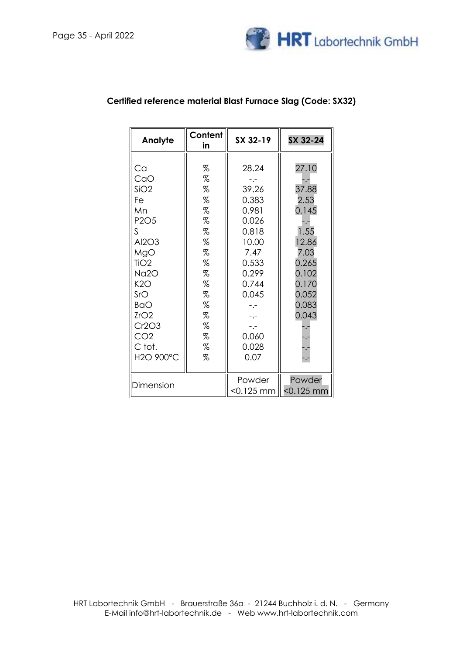

| Analyte                                                                                                                                                                                                | Content<br>in                                                                               | SX 32-19                                                                                                                                                              | SX 32-24                                                                                                              |
|--------------------------------------------------------------------------------------------------------------------------------------------------------------------------------------------------------|---------------------------------------------------------------------------------------------|-----------------------------------------------------------------------------------------------------------------------------------------------------------------------|-----------------------------------------------------------------------------------------------------------------------|
| Ca<br>CaO<br>SiO2<br>Fe<br>Mn<br>P <sub>2</sub> O <sub>5</sub><br>S<br>Al2O3<br>MgO<br>TiO <sub>2</sub><br>Na2O<br>K2O<br>SrO<br><b>BaO</b><br>ZrO2<br>Cr2O3<br>CO <sub>2</sub><br>C tot.<br>H2O 900°C | %<br>%<br>%<br>%<br>%<br>%<br>%<br>%<br>%<br>%<br>%<br>%<br>%<br>%<br>%<br>%<br>%<br>%<br>% | 28.24<br>-.-<br>39.26<br>0.383<br>0.981<br>0.026<br>0.818<br>10.00<br>7.47<br>0.533<br>0.299<br>0.744<br>0.045<br>$-$ .-<br>$-$ .-<br>$-,-$<br>0.060<br>0.028<br>0.07 | 27.10<br>37.88<br>2.53<br>0.145<br>1.55<br>12.86<br>7.03<br>0.265<br>0.102<br>0.170<br>0.052<br>0.083<br>0.043<br>-.- |
|                                                                                                                                                                                                        |                                                                                             | Powder                                                                                                                                                                | Powder                                                                                                                |
| Dimension                                                                                                                                                                                              |                                                                                             | <0.125 mm                                                                                                                                                             | $< 0.125$ mm                                                                                                          |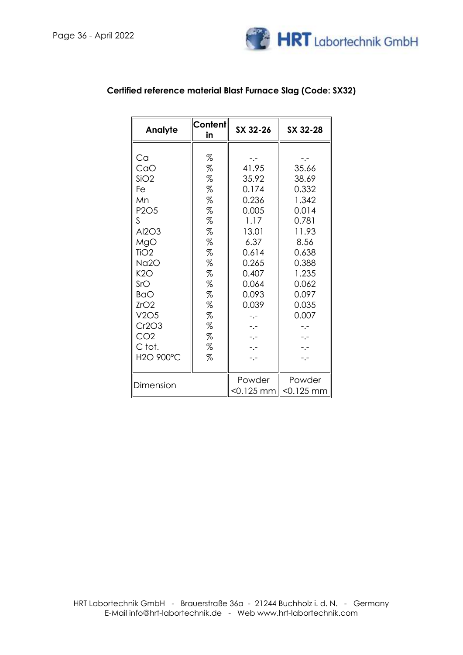

| Analyte                                                                                                                                                                                                  | Content<br>in                                                                                       | SX 32-26                                                                                                                                                                    | SX 32-28                                                                                                                                                |
|----------------------------------------------------------------------------------------------------------------------------------------------------------------------------------------------------------|-----------------------------------------------------------------------------------------------------|-----------------------------------------------------------------------------------------------------------------------------------------------------------------------------|---------------------------------------------------------------------------------------------------------------------------------------------------------|
| Ca<br>CaO<br>SiO <sub>2</sub><br>Fe<br>Mn<br><b>P2O5</b><br>S<br>Al2O3<br>MgO<br>TiO <sub>2</sub><br>Na2O<br>K2O<br>SrO<br><b>BaO</b><br>ZrO2<br>V2O5<br>Cr2O3<br>CO <sub>2</sub><br>C tot.<br>H2O 900°C | %<br>%<br>%<br>%<br>%<br>%<br>%<br>%<br>%<br>%<br>%<br>%<br>$\%$<br>%<br>%<br>%<br>%<br>%<br>%<br>% | $-$ . $-$<br>41.95<br>35.92<br>0.174<br>0.236<br>0.005<br>1.17<br>13.01<br>6.37<br>0.614<br>0.265<br>0.407<br>0.064<br>0.093<br>0.039<br>$-,-$<br>$-1$<br>-.-<br>-.-<br>-.- | -.-<br>35.66<br>38.69<br>0.332<br>1.342<br>0.014<br>0.781<br>11.93<br>8.56<br>0.638<br>0.388<br>1.235<br>0.062<br>0.097<br>0.035<br>0.007<br>-.-<br>-.- |
| Dimension                                                                                                                                                                                                |                                                                                                     | Powder<br><0.125 mm                                                                                                                                                         | Powder<br>$< 0.125$ mm                                                                                                                                  |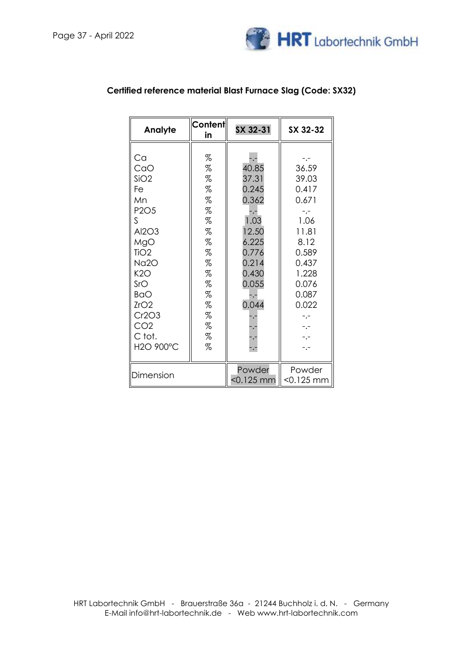

| Analyte                                                                                                                                                                                                 | Content<br>in                                                                               | SX 32-31                                                                                                                               | SX 32-32                                                                                                                                         |
|---------------------------------------------------------------------------------------------------------------------------------------------------------------------------------------------------------|---------------------------------------------------------------------------------------------|----------------------------------------------------------------------------------------------------------------------------------------|--------------------------------------------------------------------------------------------------------------------------------------------------|
| Ca<br>CaO<br>SiO2<br>Fe<br>Mn<br>P <sub>2</sub> O <sub>5</sub><br>S.<br>Al2O3<br>MgO<br>TiO <sub>2</sub><br>Na2O<br>K2O<br>SrO<br><b>BaO</b><br>ZrO2<br>Cr2O3<br>CO <sub>2</sub><br>C tot.<br>H2O 900°C | %<br>%<br>%<br>%<br>%<br>%<br>%<br>%<br>%<br>%<br>%<br>%<br>%<br>%<br>%<br>%<br>%<br>%<br>% | -.-<br>40.85<br>37.31<br>0.245<br>0.362<br>1.03<br>12.50<br>6.225<br>0.776<br>0.214<br>0.430<br>0.055<br>0.044<br>-.-<br>$\frac{1}{1}$ | -.-<br>36.59<br>39.03<br>0.417<br>0.671<br>1.06<br>11.81<br>8.12<br>0.589<br>0.437<br>1.228<br>0.076<br>0.087<br>0.022<br>$-,-$<br>$-1 -$<br>-.- |
| Dimension                                                                                                                                                                                               |                                                                                             | Powder<br><0.125 mm                                                                                                                    | Powder<br>$<$ 0.125 mm                                                                                                                           |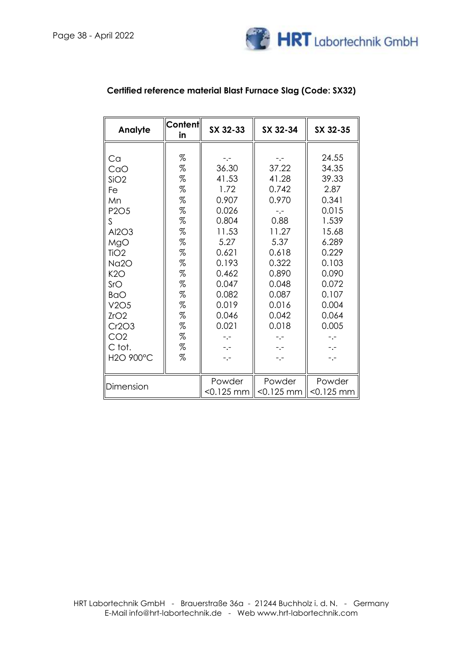

| Analyte                                                                                                                                                                                                               | Content<br>in                                                                                                | SX 32-33                                                                                                                                                                 | SX 32-34                                                                                                                                                                  | SX 32-35                                                                                                                                                                  |
|-----------------------------------------------------------------------------------------------------------------------------------------------------------------------------------------------------------------------|--------------------------------------------------------------------------------------------------------------|--------------------------------------------------------------------------------------------------------------------------------------------------------------------------|---------------------------------------------------------------------------------------------------------------------------------------------------------------------------|---------------------------------------------------------------------------------------------------------------------------------------------------------------------------|
| Ca<br>CaO<br>SiO2<br>Fe<br>Mn<br>P <sub>2</sub> O <sub>5</sub><br>S<br>Al2O3<br>MgO<br>TiO <sub>2</sub><br><b>Na2O</b><br>K2O<br>SrO<br><b>BaO</b><br>V2O5<br>ZrO2<br>Cr2O3<br>CO <sub>2</sub><br>C tot.<br>H2O 900°C | %<br>%<br>%<br>$\%$<br>%<br>%<br>%<br>$\%$<br>%<br>%<br>%<br>$\%$<br>%<br>%<br>%<br>$\%$<br>%<br>%<br>%<br>% | -.-<br>36.30<br>41.53<br>1.72<br>0.907<br>0.026<br>0.804<br>11.53<br>5.27<br>0.621<br>0.193<br>0.462<br>0.047<br>0.082<br>0.019<br>0.046<br>0.021<br>-.-<br>$-,-$<br>-.- | -.-<br>37.22<br>41.28<br>0.742<br>0.970<br>$-1$<br>0.88<br>11.27<br>5.37<br>0.618<br>0.322<br>0.890<br>0.048<br>0.087<br>0.016<br>0.042<br>0.018<br>-.-<br>$-,-$<br>$-,-$ | 24.55<br>34.35<br>39.33<br>2.87<br>0.341<br>0.015<br>1.539<br>15.68<br>6.289<br>0.229<br>0.103<br>0.090<br>0.072<br>0.107<br>0.004<br>0.064<br>0.005<br>-.-<br>-.-<br>-.- |
| Dimension                                                                                                                                                                                                             |                                                                                                              | Powder<br>$<$ 0.125 mm                                                                                                                                                   | Powder<br>$< 0.125$ mm                                                                                                                                                    | Powder<br>$< 0.125$ mm                                                                                                                                                    |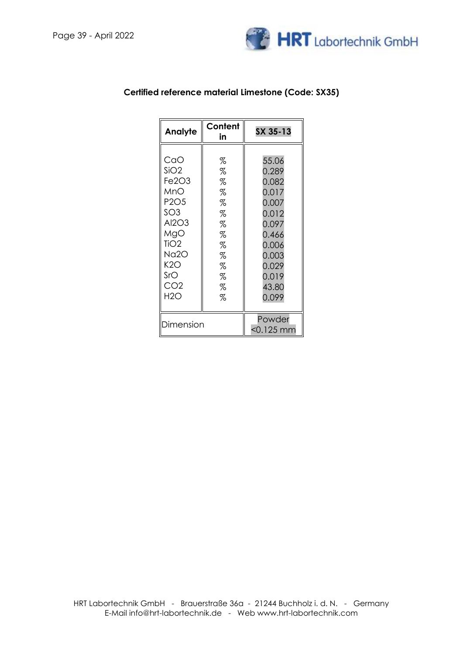

| Analyte                                                                                                                                                                                    | Content<br>in                                                      | SX 35-13                                                                                                                   |
|--------------------------------------------------------------------------------------------------------------------------------------------------------------------------------------------|--------------------------------------------------------------------|----------------------------------------------------------------------------------------------------------------------------|
| CaO<br>SiO2<br>Fe <sub>2O<sub>3</sub></sub><br>MnO<br>P <sub>2</sub> O <sub>5</sub><br>SO <sub>3</sub><br>Al2O3<br>MgO<br>TiO <sub>2</sub><br>Na2O<br>K2O<br>SrO<br>CO <sub>2</sub><br>H2O | %<br>%<br>%<br>%<br>%<br>%<br>%<br>%<br>%<br>%<br>%<br>%<br>%<br>% | 55.06<br>0.289<br>0.082<br>0.017<br>0.007<br>0.012<br>0.097<br>0.466<br>0.006<br>0.003<br>0.029<br>0.019<br>43.80<br>0.099 |
| Dimension                                                                                                                                                                                  |                                                                    | Powder<br><0.125 mm                                                                                                        |

### **Certified reference material Limestone (Code: SX35)**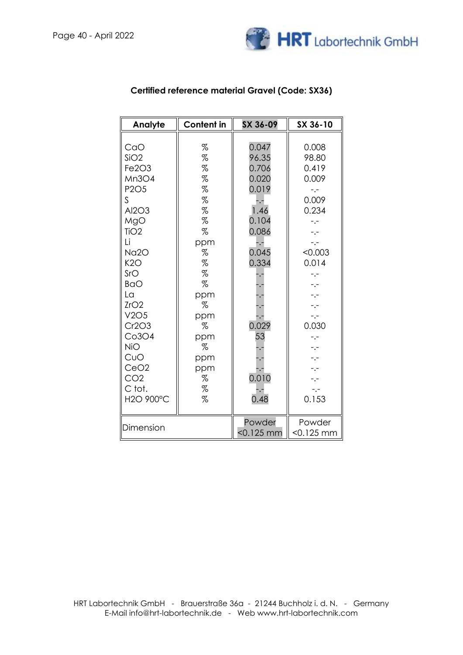

| Analyte                                                                                                                                                                                                                                                                     | <b>Content in</b>                                                                                                                        | SX 36-09                                                                                                                                                                 | SX 36-10                                                                                                                                                                                                                           |
|-----------------------------------------------------------------------------------------------------------------------------------------------------------------------------------------------------------------------------------------------------------------------------|------------------------------------------------------------------------------------------------------------------------------------------|--------------------------------------------------------------------------------------------------------------------------------------------------------------------------|------------------------------------------------------------------------------------------------------------------------------------------------------------------------------------------------------------------------------------|
| CaO<br>SiO2<br>Fe2O3<br>Mn3O4<br>P <sub>2</sub> O <sub>5</sub><br>$\mathsf{S}$<br>Al2O3<br>MgO<br>TiO <sub>2</sub><br>Li<br>Na2O<br>K2O<br>SrO<br><b>BaO</b><br>La<br>ZrO2<br>V2O5<br>Cr2O3<br>Co3O4<br><b>NiO</b><br>CuO<br>CeO2<br>CO <sub>2</sub><br>C tot.<br>H2O 900°C | %<br>%<br>%<br>%<br>%<br>%<br>%<br>%<br>%<br>ppm<br>%<br>%<br>%<br>%<br>ppm<br>%<br>ppm<br>%<br>ppm<br>$\%$<br>ppm<br>ppm<br>%<br>%<br>% | 0.047<br>96.35<br>0.706<br>0.020<br>0.019<br>$-$ . $-$<br>1.46<br>0.104<br>0.086<br>-.-<br>0.045<br>0.334<br>۰,<br>٦.<br>۰,<br>0.029<br>53<br>۰,<br>0.010<br>-.-<br>0.48 | 0.008<br>98.80<br>0.419<br>0.009<br>$\ddotsc$<br>0.009<br>0.234<br>$-1$<br>$-,-$<br>$-,-$<br>< 0.003<br>0.014<br>$-1$<br>-.-<br>$-1 -$<br>-.-<br>$-,-$<br>0.030<br>$-,-$<br>$-$ .-<br>$\overline{\phantom{a}}$ .<br>$-,-$<br>0.153 |
| Dimension                                                                                                                                                                                                                                                                   |                                                                                                                                          | Powder<br>$< 0.125$ mm                                                                                                                                                   | Powder<br>$< 0.125$ mm                                                                                                                                                                                                             |

### **Certified reference material Gravel (Code: SX36)**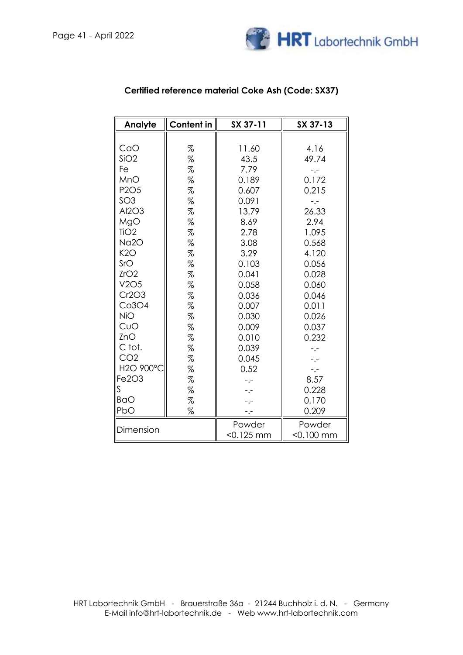

| Analyte                       | Content in | SX 37-11     | SX 37-13  |
|-------------------------------|------------|--------------|-----------|
|                               |            |              |           |
| CaO                           | %          | 11.60        | 4.16      |
| SiO2                          | %          | 43.5         | 49.74     |
| Fe                            | %          | 7.79         | -.-       |
| MnO                           | %          | 0.189        | 0.172     |
| P <sub>2</sub> O <sub>5</sub> | %          | 0.607        | 0.215     |
| SO <sub>3</sub>               | %          | 0.091        | -.-       |
| Al2O3                         | %          | 13.79        | 26.33     |
| MgO                           | $\%$       | 8.69         | 2.94      |
| TiO <sub>2</sub>              | %          | 2.78         | 1.095     |
| Na2O                          | %          | 3.08         | 0.568     |
| K2O                           | %          | 3.29         | 4.120     |
| SrO                           | %          | 0.103        | 0.056     |
| ZrO2                          | %          | 0.041        | 0.028     |
| V2O5                          | %          | 0.058        | 0.060     |
| Cr2O3                         | %          | 0.036        | 0.046     |
| Co3O4                         | %          | 0.007        | 0.011     |
| <b>NiO</b>                    | %          | 0.030        | 0.026     |
| CuO                           | %          | 0.009        | 0.037     |
| ZnO                           | %          | 0.010        | 0.232     |
| C tot.                        | %          | 0.039        | $-1$      |
| CO <sub>2</sub>               | %          | 0.045        | $-,-$     |
| H2O 900°                      | %          | 0.52         | $-,-$     |
| Fe2O3                         | %          | $-1$         | 8.57      |
| S                             | %          |              | 0.228     |
| <b>BaO</b>                    | %          | $-,-$        | 0.170     |
| PbO                           | %          |              | 0.209     |
| Dimension                     |            | Powder       | Powder    |
|                               |            | $<$ 0.125 mm | <0.100 mm |

## **Certified reference material Coke Ash (Code: SX37)**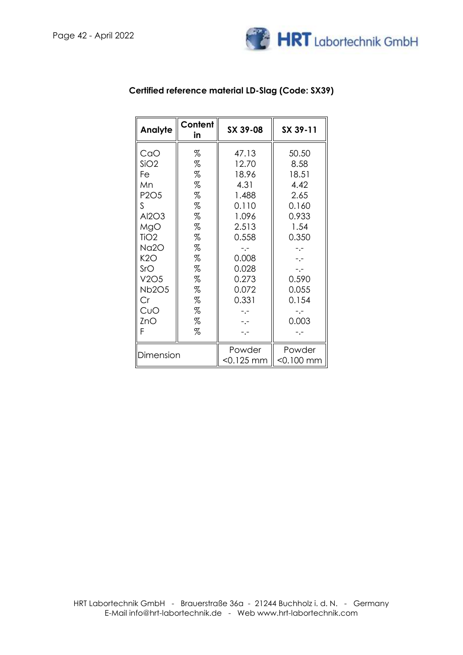

| Analyte                                                                                                                                                                  | Content<br>in                                                                          | SX 39-08                                                                                                                                    | SX 39-11                                                                                                                                  |
|--------------------------------------------------------------------------------------------------------------------------------------------------------------------------|----------------------------------------------------------------------------------------|---------------------------------------------------------------------------------------------------------------------------------------------|-------------------------------------------------------------------------------------------------------------------------------------------|
| CaO<br>SiO2<br>Fe<br>Mn<br>P <sub>2</sub> O <sub>5</sub><br>S<br>Al2O3<br>MgO<br>TiO <sub>2</sub><br>Na2O<br>K2O<br>SrO<br>V2O5<br><b>Nb2O5</b><br>Cr<br>CuO<br>ZnO<br>F | %<br>%<br>%<br>%<br>%<br>%<br>%<br>%<br>%<br>%<br>%<br>%<br>%<br>%<br>%<br>%<br>%<br>% | 47.13<br>12.70<br>18.96<br>4.31<br>1.488<br>0.110<br>1.096<br>2.513<br>0.558<br>$-1 -$<br>0.008<br>0.028<br>0.273<br>0.072<br>0.331<br>- .– | 50.50<br>8.58<br>18.51<br>4.42<br>2.65<br>0.160<br>0.933<br>1.54<br>0.350<br>$-1 -$<br>$- -$<br>$-,-$<br>0.590<br>0.055<br>0.154<br>0.003 |
| Dimension                                                                                                                                                                |                                                                                        | Powder<br><0.125 mm                                                                                                                         | Powder<br><0.100 mm                                                                                                                       |

## **Certified reference material LD-Slag (Code: SX39)**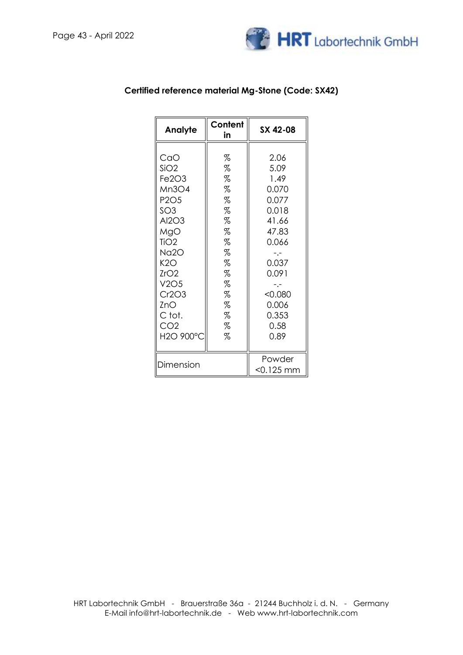

| Analyte                                                                                                                                   | Content<br>in                                                 | SX 42-08                                                                                            |
|-------------------------------------------------------------------------------------------------------------------------------------------|---------------------------------------------------------------|-----------------------------------------------------------------------------------------------------|
| CaO<br>SiO2<br>Fe2O3<br>Mn3O4<br>P <sub>2</sub> O <sub>5</sub><br>SO3.<br>Al2O3<br>MgO<br>TiO <sub>2</sub><br>Na2O<br>K2O<br>ZrO2<br>V2O5 | %<br>%<br>%<br>%<br>%<br>%<br>%<br>%<br>%<br>%<br>%<br>%<br>% | 2.06<br>5.09<br>1.49<br>0.070<br>0.077<br>0.018<br>41.66<br>47.83<br>0.066<br>-.-<br>0.037<br>0.091 |
| Cr2O3<br>ZnO.<br>C tot.<br>CO <sub>2</sub><br>H2O 900°O                                                                                   | %<br>%<br>%<br>%<br>%                                         | < 0.080<br>0.006<br>0.353<br>0.58<br>0.89                                                           |
| Dimension                                                                                                                                 |                                                               | Powder<br><0.125 mm                                                                                 |

### **Certified reference material Mg-Stone (Code: SX42)**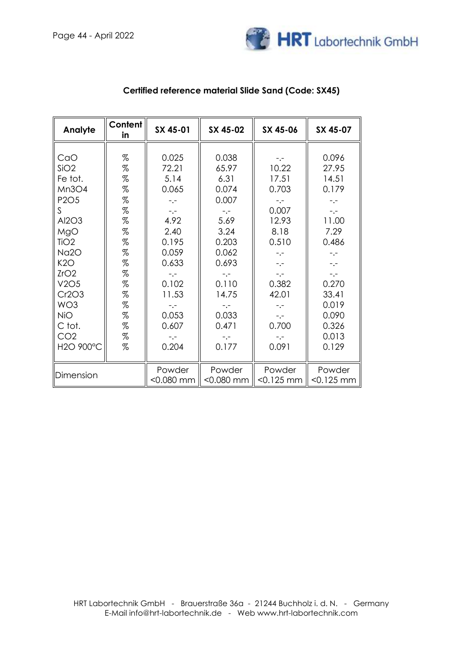

| Analyte                                                                                                                                                                                                                                   | Content<br>in                                                                                                                                                                                                                                                                                                                                                                                                                                                                                                                                                                                                                                                             | SX 45-01                                                                                                                                                   | SX 45-02                                                                                                                                                          | SX 45-06                                                                                                                                                                   | SX 45-07                                                                                                                                                               |
|-------------------------------------------------------------------------------------------------------------------------------------------------------------------------------------------------------------------------------------------|---------------------------------------------------------------------------------------------------------------------------------------------------------------------------------------------------------------------------------------------------------------------------------------------------------------------------------------------------------------------------------------------------------------------------------------------------------------------------------------------------------------------------------------------------------------------------------------------------------------------------------------------------------------------------|------------------------------------------------------------------------------------------------------------------------------------------------------------|-------------------------------------------------------------------------------------------------------------------------------------------------------------------|----------------------------------------------------------------------------------------------------------------------------------------------------------------------------|------------------------------------------------------------------------------------------------------------------------------------------------------------------------|
| CaO<br>SiO2<br>Fe tot.<br>Mn3O4<br>P <sub>2</sub> O <sub>5</sub><br>S.<br>Al2O3<br>MgO<br>TiO <sub>2</sub><br>Na <sub>20</sub><br>K2O<br>ZrO2<br>V2O5<br>Cr2O3<br>WO <sub>3</sub><br><b>NiO</b><br>C tot.<br>CO <sub>2</sub><br>H2O 900°C | $% \mathcal{L}_{\mathrm{C}}\times\mathcal{L}_{\mathrm{C}}\times\mathcal{L}_{\mathrm{C}}\times\mathcal{L}_{\mathrm{C}}\times\mathcal{L}_{\mathrm{C}}\times\mathcal{L}_{\mathrm{C}}\times\mathcal{L}_{\mathrm{C}}\times\mathcal{L}_{\mathrm{C}}\times\mathcal{L}_{\mathrm{C}}\times\mathcal{L}_{\mathrm{C}}\times\mathcal{L}_{\mathrm{C}}\times\mathcal{L}_{\mathrm{C}}\times\mathcal{L}_{\mathrm{C}}\times\mathcal{L}_{\mathrm{C}}\times\mathcal{L}_{\mathrm{C}}\times\mathcal{L}_{\mathrm{C}}\times\mathcal{L}_{\mathrm{C}}$<br>$\%$<br>$\%$<br>$\%$<br>$\%$<br>$\%$<br>$\%$<br>$\%$<br>$\%$<br>$\%$<br>$\%$<br>$\%$<br>$\%$<br>$\%$<br>$\%$<br>$\%$<br>$\%$<br>$\%$<br>% | 0.025<br>72.21<br>5.14<br>0.065<br>$-,-$<br>$-,-$<br>4.92<br>2.40<br>0.195<br>0.059<br>0.633<br>0.102<br>11.53<br>$-1$<br>0.053<br>0.607<br>$-,-$<br>0.204 | 0.038<br>65.97<br>6.31<br>0.074<br>0.007<br>$-,-$<br>5.69<br>3.24<br>0.203<br>0.062<br>0.693<br>-.-<br>0.110<br>14.75<br>$-1$<br>0.033<br>0.471<br>$-,-$<br>0.177 | $-$ . $-$<br>10.22<br>17.51<br>0.703<br>$-,-$<br>0.007<br>12.93<br>8.18<br>0.510<br>$-,-$<br>$-,-$<br>$-,-$<br>0.382<br>42.01<br>$-,-$<br>$-,-$<br>0.700<br>$-,-$<br>0.091 | 0.096<br>27.95<br>14.51<br>0.179<br>$-,-$<br>$-,-$<br>11.00<br>7.29<br>0.486<br>$-,-$<br>$-,-$<br>$-,-$<br>0.270<br>33.41<br>0.019<br>0.090<br>0.326<br>0.013<br>0.129 |
|                                                                                                                                                                                                                                           |                                                                                                                                                                                                                                                                                                                                                                                                                                                                                                                                                                                                                                                                           |                                                                                                                                                            |                                                                                                                                                                   |                                                                                                                                                                            |                                                                                                                                                                        |
| Dimension                                                                                                                                                                                                                                 |                                                                                                                                                                                                                                                                                                                                                                                                                                                                                                                                                                                                                                                                           | Powder<br>$<$ 0.080 mm                                                                                                                                     | Powder<br>$< 0.080$ mm                                                                                                                                            | Powder<br>$< 0.125$ mm                                                                                                                                                     | Powder<br>$< 0.125$ mm                                                                                                                                                 |

### **Certified reference material Slide Sand (Code: SX45)**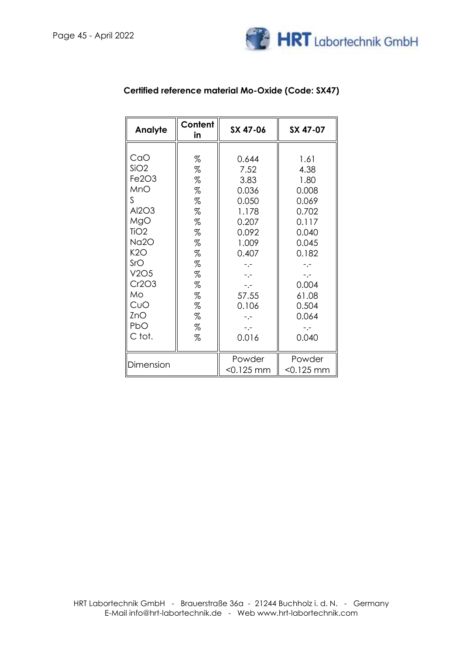

| Analyte                                                                                    | Content<br>in                                       | SX 47-06                                                                           | SX 47-07                                                                             |
|--------------------------------------------------------------------------------------------|-----------------------------------------------------|------------------------------------------------------------------------------------|--------------------------------------------------------------------------------------|
| CaO<br>SiO2<br>Fe2O3<br>MnO<br>S<br>Al2O3                                                  | %<br>%<br>%<br>%<br>%<br>%                          | 0.644<br>7.52<br>3.83<br>0.036<br>0.050<br>1.178                                   | 1.61<br>4.38<br>1.80<br>0.008<br>0.069<br>0.702                                      |
| MgO<br>TiO <sub>2</sub><br>Na2O<br>K2O<br>SrO<br>V2O5<br>Cr2O3<br>Mo.<br>CuO<br>ZnO<br>PbO | %<br>%<br>%<br>%<br>%<br>%<br>%<br>%<br>%<br>%<br>% | 0.207<br>0.092<br>1.009<br>0.407<br>-.-<br>$-,-$<br>$-,-$<br>57.55<br>0.106<br>-.- | 0.117<br>0.040<br>0.045<br>0.182<br>-.-<br>$-,-$<br>0.004<br>61.08<br>0.504<br>0.064 |
| C tot.<br>Dimension                                                                        | %                                                   | 0.016<br>Powder<br>$<$ 0.125 mm                                                    | 0.040<br>Powder<br>$< 0.125$ mm                                                      |

### **Certified reference material Mo-Oxide (Code: SX47)**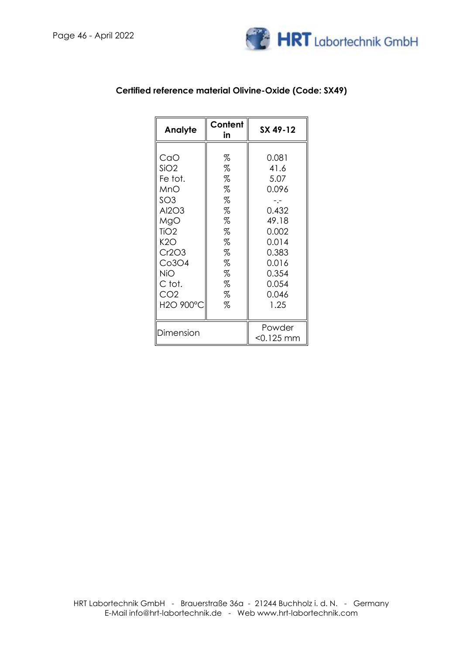

| Analyte                                                                                                                                                                      | Content<br>in                                                           | SX 49-12                                                                                                                |
|------------------------------------------------------------------------------------------------------------------------------------------------------------------------------|-------------------------------------------------------------------------|-------------------------------------------------------------------------------------------------------------------------|
| CaO<br>SiO2<br>Fe tot.<br>MnO<br>SO <sub>3</sub><br>Al2O3<br>MgO<br>TiO <sub>2</sub><br>K2O<br>Cr2O3<br>Co3O4<br>NiO.<br>C tot.<br>CO <sub>2</sub><br>H <sub>2</sub> O 900°C | %<br>%<br>%<br>%<br>%<br>%<br>%<br>%<br>%<br>%<br>%<br>%<br>%<br>%<br>% | 0.081<br>41.6<br>5.07<br>0.096<br>0.432<br>49.18<br>0.002<br>0.014<br>0.383<br>0.016<br>0.354<br>0.054<br>0.046<br>1.25 |
| Dimension                                                                                                                                                                    |                                                                         | Powder<br><0.125 mm                                                                                                     |

## **Certified reference material Olivine-Oxide (Code: SX49)**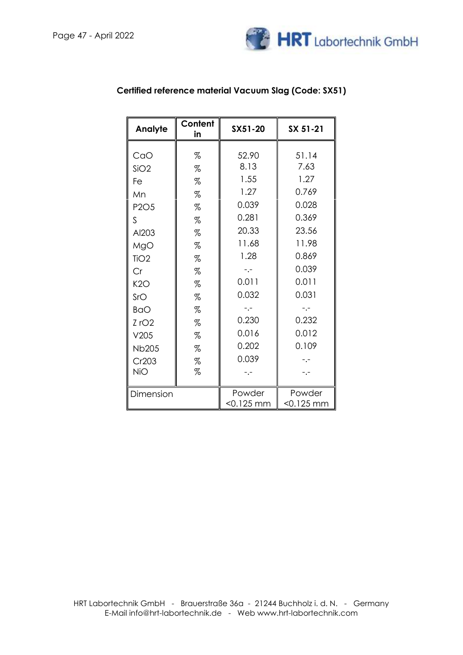

| SX 51-21 |
|----------|
|          |
| 51.14    |
| 7.63     |
| 1.27     |
| 0.769    |
| 0.028    |
| 0.369    |
| 23.56    |
| 11.98    |
| 0.869    |
| 0.039    |
| 0.011    |
| 0.031    |
| -.-      |
| 0.232    |
| 0.012    |
| 0.109    |
|          |
|          |
|          |
|          |

## **Certified reference material Vacuum Slag (Code: SX51)**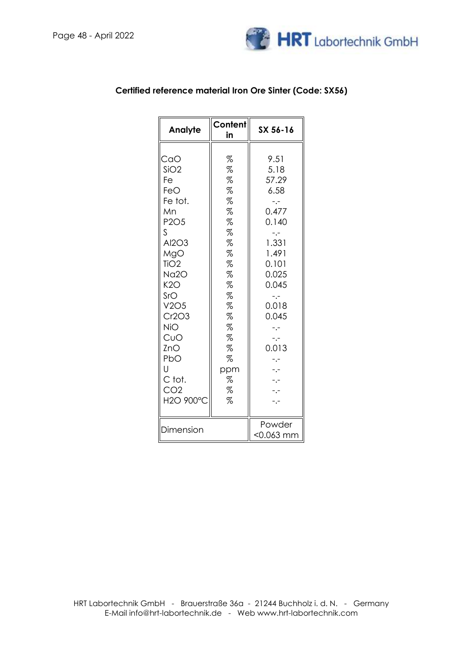

| Analyte                                                                                                                                                                                                      | Content<br>in                                                                                                          | SX 56-16                                                                                                                                                            |
|--------------------------------------------------------------------------------------------------------------------------------------------------------------------------------------------------------------|------------------------------------------------------------------------------------------------------------------------|---------------------------------------------------------------------------------------------------------------------------------------------------------------------|
| CaO<br>SiO2<br>Fe<br>FeO<br>Fe tot.<br>Mn<br>P2O5<br>ς<br>Al2O3<br>MgO<br>TiO <sub>2</sub><br>Na2O<br>K2O<br>SrO<br>V2O5<br>Cr2O3<br>NiO<br>CuO<br>ZnO<br>PbO<br>U<br>C tot.<br>CO <sub>2</sub><br>H2O 900°C | %<br>%<br>%<br>%<br>%<br>%<br>%<br>%<br>%<br>%<br>%<br>%<br>%<br>%<br>%<br>%<br>%<br>%<br>%<br>%<br>ppm<br>%<br>%<br>% | 9.51<br>5.18<br>57.29<br>6.58<br>-.-<br>0.477<br>0.140<br>-.-<br>1.331<br>1.491<br>0.101<br>0.025<br>0.045<br>$\overline{\phantom{a}}$ .<br>0.018<br>0.045<br>0.013 |
| Dimension                                                                                                                                                                                                    |                                                                                                                        | Powder<br><0.063 mm                                                                                                                                                 |

### **Certified reference material Iron Ore Sinter (Code: SX56)**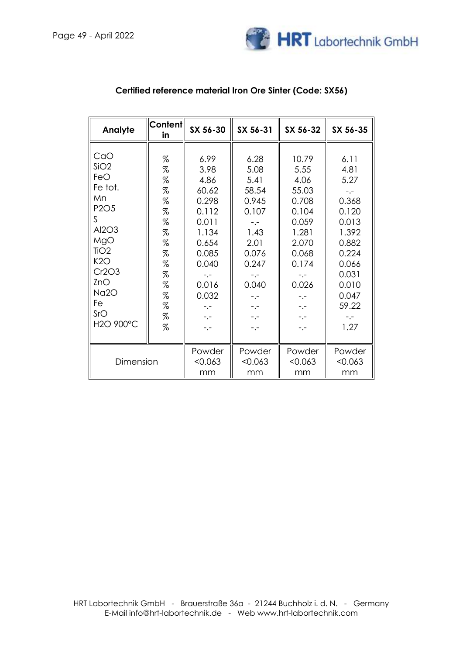

| Analyte                                                                                                                                                                 | <b>Content</b><br>in                                                                                                                                                                                   | SX 56-30                                                                                                                                               | SX 56-31                                                                                                                                            | SX 56-32                                                                                                                                           | SX 56-35                                                                                                                                           |
|-------------------------------------------------------------------------------------------------------------------------------------------------------------------------|--------------------------------------------------------------------------------------------------------------------------------------------------------------------------------------------------------|--------------------------------------------------------------------------------------------------------------------------------------------------------|-----------------------------------------------------------------------------------------------------------------------------------------------------|----------------------------------------------------------------------------------------------------------------------------------------------------|----------------------------------------------------------------------------------------------------------------------------------------------------|
| CaO<br>SiO2<br>FeO<br>Fe tot.<br>Mn<br>P <sub>2</sub> O <sub>5</sub><br>S.<br>Al2O3<br>MgO<br>TiO <sub>2</sub><br>K2O<br>Cr2O3<br>ZnO<br>Na2O<br>Fe<br>SrO<br>H2O 900°C | $\%$<br>$\%$<br>$\%$<br>$% \mathcal{L}_{\mathcal{A}}$<br>$% \mathcal{L}_{\mathcal{A}}$<br>$\%$<br>$\%$<br>$\%$<br>$% \mathcal{L}_{\mathcal{A}}$<br>$\%$<br>%<br>$\%$<br>%<br>$\%$<br>$\%$<br>$\%$<br>% | 6.99<br>3.98<br>4.86<br>60.62<br>0.298<br>0.112<br>0.011<br>1.134<br>0.654<br>0.085<br>0.040<br>$-,-$<br>0.016<br>0.032<br>$-$ . $-$<br>$-,-$<br>$-,-$ | 6.28<br>5.08<br>5.41<br>58.54<br>0.945<br>0.107<br>-.-<br>1.43<br>2.01<br>0.076<br>0.247<br>$-1 -$<br>0.040<br>$-,-$<br>$-$ . $-$<br>$-,-$<br>$-,-$ | 10.79<br>5.55<br>4.06<br>55.03<br>0.708<br>0.104<br>0.059<br>1.281<br>2.070<br>0.068<br>0.174<br>$-,-$<br>0.026<br>$-1$<br>$-,-$<br>$-,-$<br>$-,-$ | 6.11<br>4.81<br>5.27<br>$-1 -$<br>0.368<br>0.120<br>0.013<br>1.392<br>0.882<br>0.224<br>0.066<br>0.031<br>0.010<br>0.047<br>59.22<br>$-,-$<br>1.27 |
| Dimension                                                                                                                                                               |                                                                                                                                                                                                        | Powder<br>< 0.063<br>mm                                                                                                                                | Powder<br>< 0.063<br>mm                                                                                                                             | Powder<br>< 0.063<br>mm                                                                                                                            | Powder<br>< 0.063<br>mm                                                                                                                            |

### **Certified reference material Iron Ore Sinter (Code: SX56)**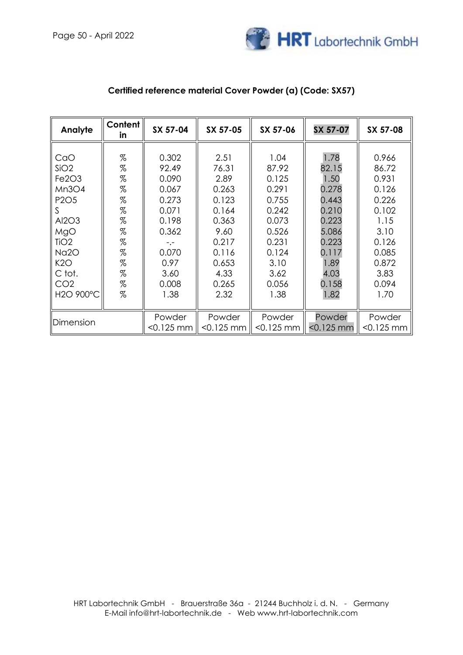

| Analyte                        | Content<br>in. | SX 57-04     | SX 57-05     | SX 57-06     | SX 57-07     | SX 57-08     |
|--------------------------------|----------------|--------------|--------------|--------------|--------------|--------------|
|                                |                |              |              |              |              |              |
| CaO                            | %              | 0.302        | 2.51         | 1.04         | 1.78         | 0.966        |
| SiO2                           | $\%$           | 92.49        | 76.31        | 87.92        | 82.15        | 86.72        |
| Fe <sub>2</sub> O <sub>3</sub> | $\%$           | 0.090        | 2.89         | 0.125        | 1.50         | 0.931        |
| Mn3O4                          | $\%$           | 0.067        | 0.263        | 0.291        | 0.278        | 0.126        |
| P <sub>2</sub> O <sub>5</sub>  | %              | 0.273        | 0.123        | 0.755        | 0.443        | 0.226        |
| S                              | $\%$           | 0.071        | 0.164        | 0.242        | 0.210        | 0.102        |
| Al2O3                          | %              | 0.198        | 0.363        | 0.073        | 0.223        | 1.15         |
| MgO                            | $\%$           | 0.362        | 9.60         | 0.526        | 5.086        | 3.10         |
| TiO <sub>2</sub>               | %              | $-,-$        | 0.217        | 0.231        | 0.223        | 0.126        |
| <b>Na2O</b>                    | %              | 0.070        | 0.116        | 0.124        | 0.117        | 0.085        |
| K2O                            | $\%$           | 0.97         | 0.653        | 3.10         | 1.89         | 0.872        |
| C tot.                         | %              | 3.60         | 4.33         | 3.62         | 4.03         | 3.83         |
| CO <sub>2</sub>                | %              | 0.008        | 0.265        | 0.056        | 0.158        | 0.094        |
| H2O 900°C                      | $\%$           | 1.38         | 2.32         | 1.38         | 1.82         | 1.70         |
|                                |                |              |              |              |              |              |
| Dimension                      |                | Powder       | Powder       | Powder       | Powder       | Powder       |
|                                |                | $< 0.125$ mm | $< 0.125$ mm | $< 0.125$ mm | $< 0.125$ mm | $< 0.125$ mm |

### **Certified reference material Cover Powder (a) (Code: SX57)**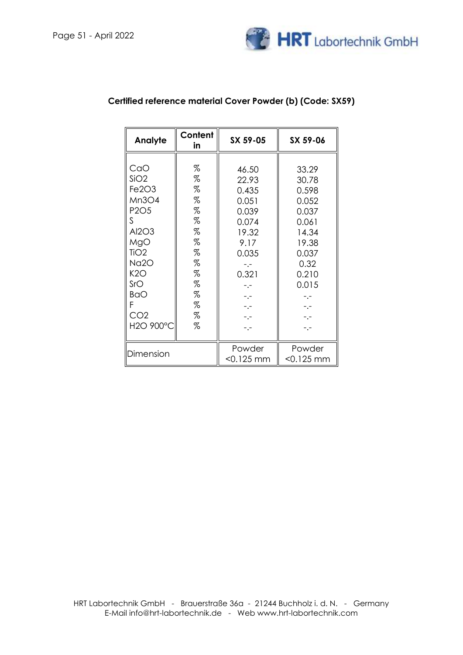

| Analyte                       | Content<br>in | SX 59-05  | SX 59-06  |
|-------------------------------|---------------|-----------|-----------|
|                               |               |           |           |
| CaO                           | %             | 46.50     | 33.29     |
| SiO2                          | %             | 22.93     | 30.78     |
| Fe2O3                         | %             | 0.435     | 0.598     |
| Mn3O4                         | %             | 0.051     | 0.052     |
| P <sub>2</sub> O <sub>5</sub> | %             | 0.039     | 0.037     |
| S                             | %             | 0.074     | 0.061     |
| Al2O3                         | %             | 19.32     | 14.34     |
| MgO                           | %             | 9.17      | 19.38     |
| TiO <sub>2</sub>              | %             | 0.035     | 0.037     |
| Na2O                          | %             | -.-       | 0.32      |
| K2O                           | %             | 0.321     | 0.210     |
| SrO                           | %             | -.-       | 0.015     |
| <b>BaO</b>                    | %             |           |           |
| F                             | %             |           |           |
| CO <sub>2</sub>               | %             | -.-       |           |
| H2O 900°C                     | %             |           |           |
|                               |               |           |           |
| Dimension                     |               | Powder    | Powder    |
|                               |               | <0.125 mm | <0.125 mm |

# **Certified reference material Cover Powder (b) (Code: SX59)**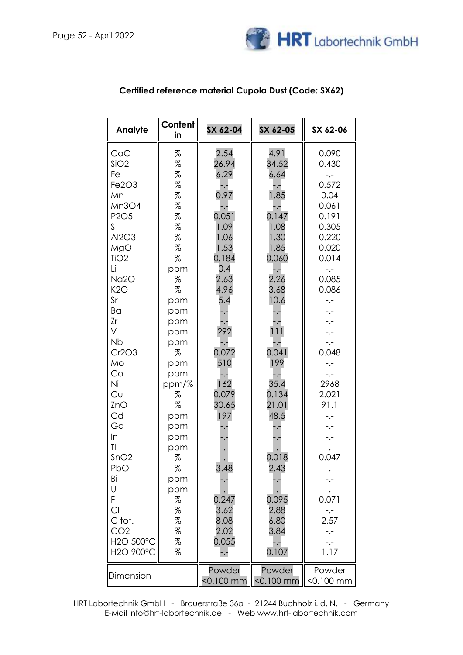

| Analyte                                                                                                                                                                                                                                                                                                                                                                        | Content<br>in                                                                                                                                                                                                                            | SX 62-04                                                                                                                                                                                                                                                                                                 | SX 62-05                                                                                                                                                                                                                                                                                                                       | SX 62-06                                                                                                                                                                                                                                                                                                                                            |
|--------------------------------------------------------------------------------------------------------------------------------------------------------------------------------------------------------------------------------------------------------------------------------------------------------------------------------------------------------------------------------|------------------------------------------------------------------------------------------------------------------------------------------------------------------------------------------------------------------------------------------|----------------------------------------------------------------------------------------------------------------------------------------------------------------------------------------------------------------------------------------------------------------------------------------------------------|--------------------------------------------------------------------------------------------------------------------------------------------------------------------------------------------------------------------------------------------------------------------------------------------------------------------------------|-----------------------------------------------------------------------------------------------------------------------------------------------------------------------------------------------------------------------------------------------------------------------------------------------------------------------------------------------------|
| CaO<br>SiO2<br>Fe<br>Fe2O3<br>Mn<br>Mn3O4<br>P <sub>2</sub> O <sub>5</sub><br>S<br>Al2O3<br>MgO<br>TiO <sub>2</sub><br>Li<br>Na <sub>2</sub> O<br>K2O<br>Sr<br>Ba<br>Zr<br>V<br><b>Nb</b><br>Cr2O3<br>Mo<br>Co<br>Ni<br>Cu<br>ZnO<br>Cd<br>Ga<br>In<br>$\overline{1}$<br>SnO2<br>PbO<br>Bi<br>U<br>F<br>C1<br>C tot.<br>CO <sub>2</sub><br>H2O 500°C<br>H2O 900°C<br>Dimension | %<br>$\%$<br>$\%$<br>%<br>%<br>%<br>%<br>%<br>%<br>%<br>%<br>ppm<br>%<br>%<br>ppm<br>ppm<br>ppm<br>ppm<br>ppm<br>%<br>ppm<br>ppm<br>ppm/%<br>%<br>%<br>ppm<br>ppm<br>ppm<br>ppm<br>%<br>%<br>ppm<br>ppm<br>%<br>%<br>%<br>%<br>$\%$<br>% | 2.54<br>26.94<br>6.29<br>-.-<br>0.97<br>-.-<br>0.051<br>1.09<br>1.06<br>1.53<br>0.184<br>0.4<br>2.63<br>4.96<br>5.4<br>-.-<br>٠.<br>292<br>-.-<br>0.072<br>510<br>-.-<br>162<br>0.079<br>30.65<br>197<br>۰.<br>-.-<br>3.48<br>۰,<br>0.247<br>3.62<br>8.08<br>2.02<br>0.055<br>-.-<br>Powder<br><0.100 mm | 4.91<br>34.52<br>6.64<br>-.-<br>1.85<br>-.-<br>0.147<br>1.08<br>1.30<br>1.85<br>0.060<br>$-1 -$<br>2.26<br>3.68<br>10.6<br>$\ddotsc$<br>111<br>-.-<br>0.041<br>199<br>-.-<br>35.4<br>0.134<br>21.01<br>48.5<br>۰,<br>$\cdot$<br>0.018<br>2.43<br>۰,<br>0.095<br>2.88<br>6.80<br>3.84<br>-.-<br>0.107<br>Powder<br>$<$ 0.100 mm | 0.090<br>0.430<br>$-,-$<br>0.572<br>0.04<br>0.061<br>0.191<br>0.305<br>0.220<br>0.020<br>0.014<br>$-,-$<br>0.085<br>0.086<br>$\overline{\phantom{a}}$ .<br>-.-<br>-.-<br>0.048<br>$-,-$<br>$-,-$<br>2968<br>2.021<br>91.1<br>-.-<br>-.-<br>-.-<br>0.047<br>-.-<br>-.-<br>0.071<br>$-,-$<br>2.57<br>$-1 -$<br>$-1$<br>1.17<br>Powder<br>$< 0.100$ mm |

## **Certified reference material Cupola Dust (Code: SX62)**

HRT Labortechnik GmbH - Brauerstraße 36a - 21244 Buchholz i. d. N. - Germany E-Mail info@hrt-labortechnik.de - Web www.hrt-labortechnik.com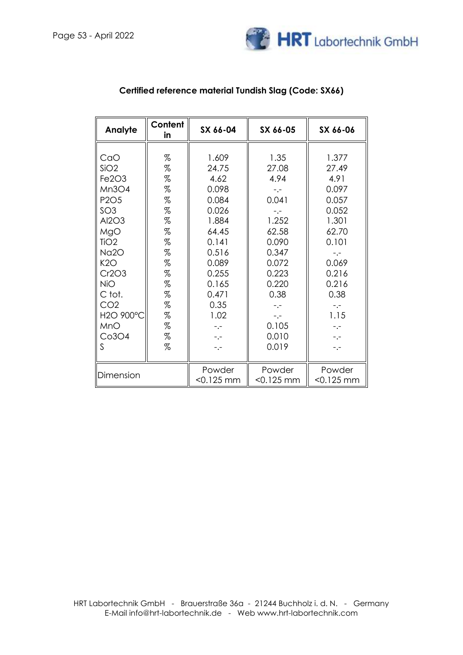

| Analyte                                                                                                                                                                                                                                             | Content<br>in                                                                                                      | SX 66-04                                                                                                                                                      | SX 66-05                                                                                                                                                   | SX 66-06                                                                                                                                                |
|-----------------------------------------------------------------------------------------------------------------------------------------------------------------------------------------------------------------------------------------------------|--------------------------------------------------------------------------------------------------------------------|---------------------------------------------------------------------------------------------------------------------------------------------------------------|------------------------------------------------------------------------------------------------------------------------------------------------------------|---------------------------------------------------------------------------------------------------------------------------------------------------------|
| CaO<br>SiO2<br>Fe <sub>2O<sub>3</sub></sub><br>Mn3O4<br>P <sub>2</sub> O <sub>5</sub><br>SO <sub>3</sub><br>Al2O3<br>MgO<br>TiO <sub>2</sub><br><b>Na2O</b><br>K2O<br>Cr2O3<br><b>NiO</b><br>C tot.<br>CO <sub>2</sub><br>H2O 900°C<br>MnO<br>Co3O4 | %<br>%<br>%<br>%<br>%<br>%<br>%<br>%<br>%<br>%<br>%<br>%<br>%<br>%<br>$% \mathcal{L}_{\mathcal{A}}$<br>%<br>%<br>% | 1.609<br>24.75<br>4.62<br>0.098<br>0.084<br>0.026<br>1.884<br>64.45<br>0.141<br>0.516<br>0.089<br>0.255<br>0.165<br>0.471<br>0.35<br>1.02<br>$-1 -$<br>$-1 -$ | 1.35<br>27.08<br>4.94<br>$-,-$<br>0.041<br>$-1$<br>1.252<br>62.58<br>0.090<br>0.347<br>0.072<br>0.223<br>0.220<br>0.38<br>$-,-$<br>$-,-$<br>0.105<br>0.010 | 1.377<br>27.49<br>4.91<br>0.097<br>0.057<br>0.052<br>1.301<br>62.70<br>0.101<br>-.-<br>0.069<br>0.216<br>0.216<br>0.38<br>$-,-$<br>1.15<br>$-,-$<br>-.- |
| S                                                                                                                                                                                                                                                   | %                                                                                                                  | $-,-$                                                                                                                                                         | 0.019                                                                                                                                                      | $-,-$                                                                                                                                                   |
| Dimension                                                                                                                                                                                                                                           |                                                                                                                    | Powder<br>$< 0.125$ mm                                                                                                                                        | Powder<br>$< 0.125$ mm                                                                                                                                     | Powder<br>$< 0.125$ mm                                                                                                                                  |

## **Certified reference material Tundish Slag (Code: SX66)**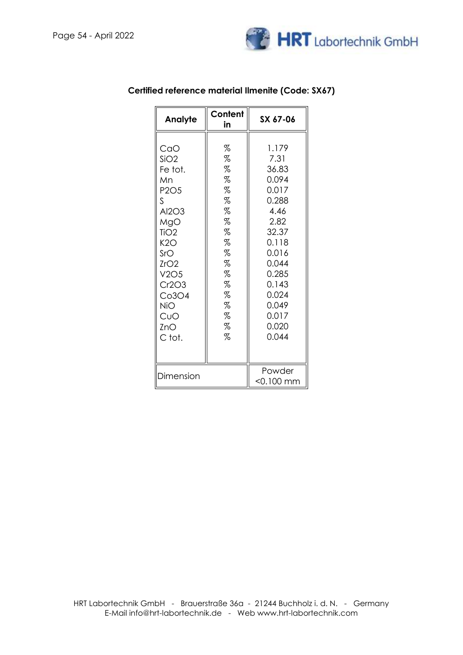

| Analyte                                                                                                                                                      | Content<br>in                                                                               | SX 67-06                                                                                                                                                             |
|--------------------------------------------------------------------------------------------------------------------------------------------------------------|---------------------------------------------------------------------------------------------|----------------------------------------------------------------------------------------------------------------------------------------------------------------------|
| CaO<br>SiO2<br>Fe tot.<br>Mn<br>P2O5<br>ς<br>Al2O3<br>MgO<br>TiO <sub>2</sub><br>K2O<br>SrO<br>ZrO2<br>V2O5<br>Cr2O3<br>Co3O4<br>NiO<br>CuO<br>ZnO<br>C tot. | %<br>%<br>%<br>%<br>%<br>%<br>%<br>%<br>%<br>%<br>%<br>%<br>%<br>%<br>%<br>%<br>%<br>%<br>% | 1.179<br>7.31<br>36.83<br>0.094<br>0.017<br>0.288<br>4.46<br>2.82<br>32.37<br>0.118<br>0.016<br>0.044<br>0.285<br>0.143<br>0.024<br>0.049<br>0.017<br>0.020<br>0.044 |
| Dimension                                                                                                                                                    |                                                                                             | Powder<br>$<$ 0.100 mm                                                                                                                                               |

### **Certified reference material Ilmenite (Code: SX67)**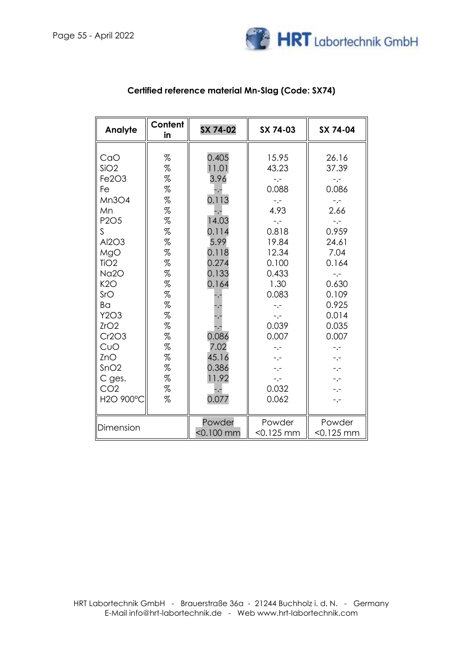

| Analyte                                                                                                                                                                                                                 | Content<br>in                                                                                                                                                              | SX 74-02                                                                                                                                                                                                  | SX 74-03                                                                                                                                                                                                           | SX 74-04                                                                                                                                                                                                                 |
|-------------------------------------------------------------------------------------------------------------------------------------------------------------------------------------------------------------------------|----------------------------------------------------------------------------------------------------------------------------------------------------------------------------|-----------------------------------------------------------------------------------------------------------------------------------------------------------------------------------------------------------|--------------------------------------------------------------------------------------------------------------------------------------------------------------------------------------------------------------------|--------------------------------------------------------------------------------------------------------------------------------------------------------------------------------------------------------------------------|
| CaO<br>SiO2<br>Fe2O3<br>Fe<br>Mn3O4<br>Mn<br><b>P2O5</b><br>S.<br>Al2O3<br>MgO<br>TiO <sub>2</sub><br>Na2O<br>K2O<br>SrO<br>Ba<br>Y2O3<br>ZrO2<br>Cr2O3<br>CuO<br>ZnO<br>SnO2<br>C ges.<br>CO <sub>2</sub><br>H2O 900°C | %<br>%<br>$\%$<br>$\%$<br>%<br>$\%$<br>%<br>$\%$<br>$\%$<br>$\%$<br>$\%$<br>$\%$<br>$\%$<br>$\%$<br>%<br>$\%$<br>$\%$<br>$\%$<br>$\%$<br>$\%$<br>$\%$<br>%<br>$\%$<br>$\%$ | 0.405<br>11.01<br>3.96<br>$\overline{\phantom{a}}$<br>0.113<br>-.-<br>14.03<br>0.114<br>5.99<br>0.118<br>0.274<br>0.133<br>0.164<br>-.-<br>0.086<br>7.02<br>45.16<br>0.386<br>11.92<br>$-$ . $-$<br>0.077 | 15.95<br>43.23<br>$-,-$<br>0.088<br>$-,-$<br>4.93<br>$-,-$<br>0.818<br>19.84<br>12.34<br>0.100<br>0.433<br>1.30<br>0.083<br>$-,-$<br>$-,-$<br>0.039<br>0.007<br>$-,-$<br>$-,-$<br>$-,-$<br>$-,-$<br>0.032<br>0.062 | 26.16<br>37.39<br>$-,-$<br>0.086<br>$-,-$<br>2.66<br>-.-<br>0.959<br>24.61<br>7.04<br>0.164<br>$-1 -$<br>0.630<br>0.109<br>0.925<br>0.014<br>0.035<br>0.007<br>$-,-$<br>$^{\circ}$ , $^{\circ}$<br>$-,-$<br>-.-<br>$-,-$ |
| Dimension                                                                                                                                                                                                               |                                                                                                                                                                            | Powder<br>$< 0.100$ mm                                                                                                                                                                                    | Powder<br>$< 0.125$ mm                                                                                                                                                                                             | Powder<br>$< 0.125$ mm                                                                                                                                                                                                   |

### **Certified reference material Mn-Slag (Code: SX74)**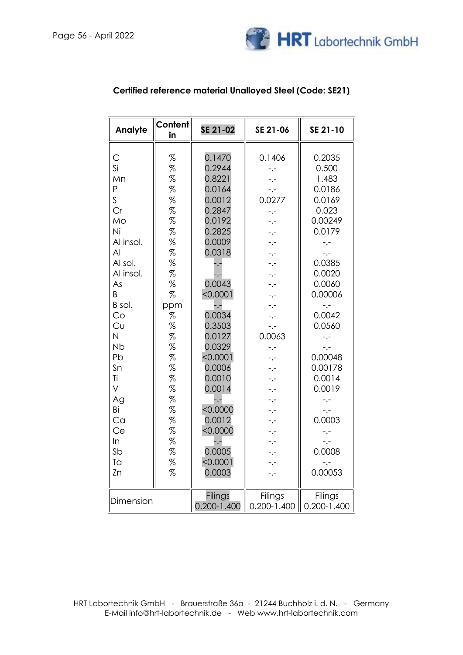

| Analyte                                                                                                                                                                                                                   | Content<br>in                                                                                                                                                                                                                                                                                                                                                                                                                                                       | SE 21-02                                                                                                                                                                                                                                                                                                       | SE 21-06                                                                                                                                                                                                                             | SE 21-10                                                                                                                                                                                                                                                                                            |
|---------------------------------------------------------------------------------------------------------------------------------------------------------------------------------------------------------------------------|---------------------------------------------------------------------------------------------------------------------------------------------------------------------------------------------------------------------------------------------------------------------------------------------------------------------------------------------------------------------------------------------------------------------------------------------------------------------|----------------------------------------------------------------------------------------------------------------------------------------------------------------------------------------------------------------------------------------------------------------------------------------------------------------|--------------------------------------------------------------------------------------------------------------------------------------------------------------------------------------------------------------------------------------|-----------------------------------------------------------------------------------------------------------------------------------------------------------------------------------------------------------------------------------------------------------------------------------------------------|
| С<br>Si<br>Mn<br>P<br>S<br>Cr<br>Mo<br>Ni<br>Al insol.<br>AI<br>Al sol.<br>Al insol.<br>As<br>B<br>B sol.<br>Co<br>Cu<br>N<br><b>N<sub>b</sub></b><br>Pb<br>Sn<br>Ti<br>V<br>Ag<br>Bi<br>Ca<br>Ce<br>In<br>Sb<br>Ta<br>Zn | %<br>%<br>%<br>$% \mathcal{L}_{\mathcal{A}}$<br>$% \mathcal{L}_{\mathcal{A}}$<br>$% \mathcal{L}_{\mathcal{A}}$<br>$% \mathcal{L}_{\mathcal{A}}$<br>$\%$<br>$% \mathcal{L}_{\mathcal{A}}$<br>%<br>$% \mathcal{L}_{\mathcal{A}}$<br>%<br>%<br>%<br>ppm<br>%<br>$\%$<br>%<br>%<br>%<br>%<br>%<br>$\%$<br>$\%$<br>$% \mathcal{L}_{\mathcal{A}}$<br>$% \mathcal{L}_{\mathcal{A}}$<br>$\%$<br>$% \mathcal{L}_{\mathcal{A}}$<br>$\%$<br>$% \mathcal{L}_{\mathcal{A}}$<br>% | 0.1470<br>0.2944<br>0.8221<br>0.0164<br>0.0012<br>0.2847<br>0.0192<br>0.2825<br>0.0009<br>0.0318<br>۰,-<br>$-1$<br>0.0043<br>< 0.0001<br>-.-<br>0.0034<br>0.3503<br>0.0127<br>0.0329<br>< 0.0001<br>0.0006<br>0.0010<br>0.0014<br>-.-<br>< 0.0000<br>0.0012<br>< 0.0000<br>-.-<br>0.0005<br>< 0.0001<br>0.0003 | 0.1406<br>-.-<br>-.-<br>$-,-$<br>0.0277<br>$-,-$<br>-.-<br>-.-<br>-.-<br>-.-<br>-.-<br>- .-<br>- 1-<br>$-1$<br>$-1$<br>$-1$<br>0.0063<br>$-,-$<br>-.-<br>-.-<br>-.-<br>-.-<br>-.-<br>-.-<br>-.-<br>-.-<br>-.-<br>$-,-$<br>-.-<br>-.- | 0.2035<br>0.500<br>1.483<br>0.0186<br>0.0169<br>0.023<br>0.00249<br>0.0179<br>-.-<br>-.-<br>0.0385<br>0.0020<br>0.0060<br>0.00006<br>$-,-$<br>0.0042<br>0.0560<br>$-,-$<br>$-,-$<br>0.00048<br>0.00178<br>0.0014<br>0.0019<br>$-,-$<br>$-,-$<br>0.0003<br>$-,-$<br>$-1$<br>0.0008<br>-.-<br>0.00053 |
| Dimension                                                                                                                                                                                                                 |                                                                                                                                                                                                                                                                                                                                                                                                                                                                     | Filings<br>$0.200 - 1.400$                                                                                                                                                                                                                                                                                     | Filings<br>$0.200 - 1.400$                                                                                                                                                                                                           | Filings<br>$0.200 - 1.400$                                                                                                                                                                                                                                                                          |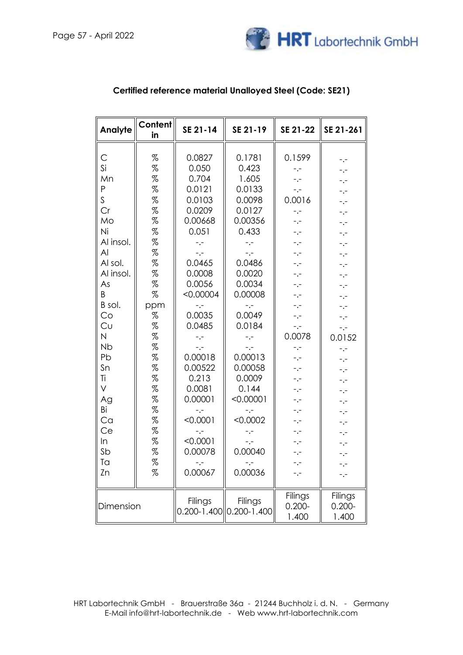

| Analyte                                                                                                                                                                                                                        | Content<br>in                                                                                                                                             | SE 21-14                                                                                                                                                                                                                                                                                                | SE 21-19                                                                                                                                                                                                                                                                                              | SE 21-22                                                                                                                                                                                                                                                                                     | SE 21-261                                                                                                                                                                                                                |
|--------------------------------------------------------------------------------------------------------------------------------------------------------------------------------------------------------------------------------|-----------------------------------------------------------------------------------------------------------------------------------------------------------|---------------------------------------------------------------------------------------------------------------------------------------------------------------------------------------------------------------------------------------------------------------------------------------------------------|-------------------------------------------------------------------------------------------------------------------------------------------------------------------------------------------------------------------------------------------------------------------------------------------------------|----------------------------------------------------------------------------------------------------------------------------------------------------------------------------------------------------------------------------------------------------------------------------------------------|--------------------------------------------------------------------------------------------------------------------------------------------------------------------------------------------------------------------------|
| C<br>Si<br>Mn<br>P<br>$\mathsf{S}$<br>Cr<br>Mo<br>Ni<br>Al insol.<br>AI<br>Al sol.<br>Al insol.<br>As<br>B<br>B sol.<br>Co<br>Cu<br>N<br><b>Nb</b><br>Pb<br>Sn<br>Ti<br>$\vee$<br>Ag<br>Вi<br>Ca<br>Ce<br>In<br>Sb<br>Ta<br>Zn | %<br>%<br>%<br>%<br>%<br>%<br>%<br>%<br>%<br>%<br>%<br>%<br>%<br>%<br>ppm<br>%<br>%<br>%<br>%<br>%<br>%<br>%<br>%<br>%<br>%<br>%<br>%<br>%<br>%<br>%<br>% | 0.0827<br>0.050<br>0.704<br>0.0121<br>0.0103<br>0.0209<br>0.00668<br>0.051<br>$-,-$<br>$-,-$<br>0.0465<br>0.0008<br>0.0056<br>< 0.00004<br>-.-<br>0.0035<br>0.0485<br>$-$ .-<br>$-,-$<br>0.00018<br>0.00522<br>0.213<br>0.0081<br>0.00001<br>$-,-$<br>< 0.0001<br>-.-<br>< 0.0001<br>0.00078<br>0.00067 | 0.1781<br>0.423<br>1.605<br>0.0133<br>0.0098<br>0.0127<br>0.00356<br>0.433<br>$-,-$<br>$-,-$<br>0.0486<br>0.0020<br>0.0034<br>0.00008<br>-.-<br>0.0049<br>0.0184<br>$-,-$<br>$-,-$<br>0.00013<br>0.00058<br>0.0009<br>0.144<br>< 0.00001<br>$-,-$<br>< 0.0002<br>$-,-$<br>$-,-$<br>0.00040<br>0.00036 | 0.1599<br>$-1$<br>$-,-$<br>$\mathbb{L}_\bullet\mathbb{L}$<br>0.0016<br>$-,-$<br>$-,-$<br>$ -$<br>$-,-$<br>$-,-$<br>$-,-$<br>$-1$<br>-.-<br>-.-<br>$-,-$<br>$-,-$<br>$-,-$<br>0.0078<br>$-,-$<br>$-,-$<br>$-,-$<br>$-,-$<br>$-,-$<br>$ -$<br>$-,-$<br>$-,-$<br>$-,-$<br>$-,-$<br>$-,-$<br>-.- | -.-<br>-.-<br>-.-<br>-.-<br>-.-<br>-.-<br>-.-<br>-.-<br>-.-<br>-.-<br>-.-<br>-.-<br>-.-<br>-.-<br>-.-<br>-.-<br>-.-<br>0.0152<br>-.-<br>-.-<br>-.-<br>-.-<br>-.-<br>-.-<br>-.-<br>-.-<br>-.-<br>-.-<br>-.-<br>-.-<br>-.- |
| Dimension                                                                                                                                                                                                                      |                                                                                                                                                           | Filings<br>0.200-1.400                                                                                                                                                                                                                                                                                  | Filings<br>$0.200 - 1.400$                                                                                                                                                                                                                                                                            | Filings<br>$0.200 -$<br>1.400                                                                                                                                                                                                                                                                | Filings<br>$0.200 -$<br>1.400                                                                                                                                                                                            |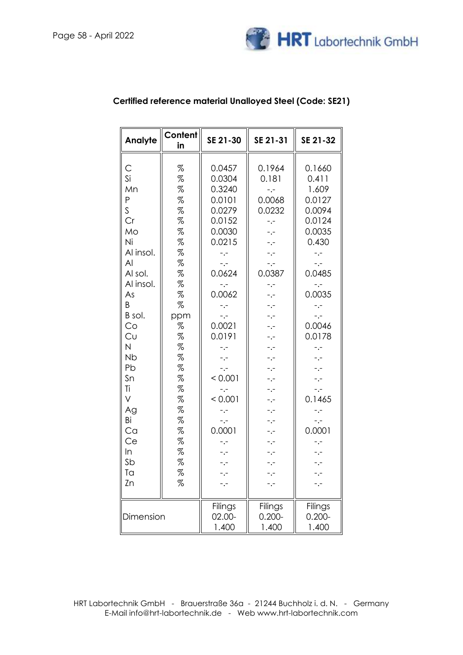

| Analyte                                                                                                                                                                                                                              | Content<br>in                                                                                                                                                                                   | SE 21-30                                                                                                                                                                                                                                                                                            | SE 21-31                                                                                                                                                                                                                                               | SE 21-32                                                                                                                                                                                                                                                                                                            |
|--------------------------------------------------------------------------------------------------------------------------------------------------------------------------------------------------------------------------------------|-------------------------------------------------------------------------------------------------------------------------------------------------------------------------------------------------|-----------------------------------------------------------------------------------------------------------------------------------------------------------------------------------------------------------------------------------------------------------------------------------------------------|--------------------------------------------------------------------------------------------------------------------------------------------------------------------------------------------------------------------------------------------------------|---------------------------------------------------------------------------------------------------------------------------------------------------------------------------------------------------------------------------------------------------------------------------------------------------------------------|
| С<br>Si<br>Mn<br>P<br>$\overline{\mathsf{S}}$<br>Cr<br>Mo<br>Ni<br>Al insol.<br>AI<br>Al sol.<br>Al insol.<br>As<br>B<br>B sol.<br>Co<br>Cυ<br>N<br><b>Nb</b><br>Pb<br>Sn<br>Τi<br>V<br>Ag<br>Вi<br>Ca<br>Ce<br>In<br>Sb<br>Ta<br>Zn | %<br>%<br>%<br>%<br>%<br>%<br>%<br>%<br>%<br>%<br>%<br>%<br>%<br>%<br>ppm<br>%<br>%<br>%<br>%<br>%<br>%<br>%<br>%<br>%<br>%<br>%<br>%<br>%<br>%<br>$% \mathcal{R} \rightarrow \mathcal{R}$<br>% | 0.0457<br>0.0304<br>0.3240<br>0.0101<br>0.0279<br>0.0152<br>0.0030<br>0.0215<br>$-,-$<br>$\ddotsc$<br>0.0624<br>-.-<br>0.0062<br>$\overline{\phantom{a}}$ .<br>$-,-$<br>0.0021<br>0.0191<br>-.-<br>-.-<br>-.-<br>< 0.001<br>$-1$<br>< 0.001<br>$\overline{\phantom{a}}$ .<br>$-,-$<br>0.0001<br>-.- | 0.1964<br>0.181<br>$-,-$<br>0.0068<br>0.0232<br>$-,-$<br>-.-<br>-.-<br>-.-<br>$\mathbb{R}^{\mathbb{Z}}$<br>0.0387<br>-.-<br>-.-<br>-.-<br>-.-<br>-.-<br>-.-<br>-.-<br>-.-<br>-.-<br>-.-<br>-.-<br>-.-<br>-.-<br>-.-<br>$\overline{\phantom{a}}$<br>-.- | 0.1660<br>0.411<br>1.609<br>0.0127<br>0.0094<br>0.0124<br>0.0035<br>0.430<br>$-,-$<br>$-,-$<br>0.0485<br>$\overline{\phantom{a}}$ .<br>0.0035<br>$-,-$<br>$-1$<br>0.0046<br>0.0178<br>-.-<br>$\cdot$ -<br>-.-<br>-.-<br>-.-<br>0.1465<br>$-$ , $-$<br>$\overline{\phantom{a}}$ , $\overline{\phantom{a}}$<br>0.0001 |
| Dimension                                                                                                                                                                                                                            |                                                                                                                                                                                                 | Filings<br>02.00-<br>1.400                                                                                                                                                                                                                                                                          | Filings<br>$0.200 -$<br>1.400                                                                                                                                                                                                                          | Filings<br>$0.200 -$<br>1.400                                                                                                                                                                                                                                                                                       |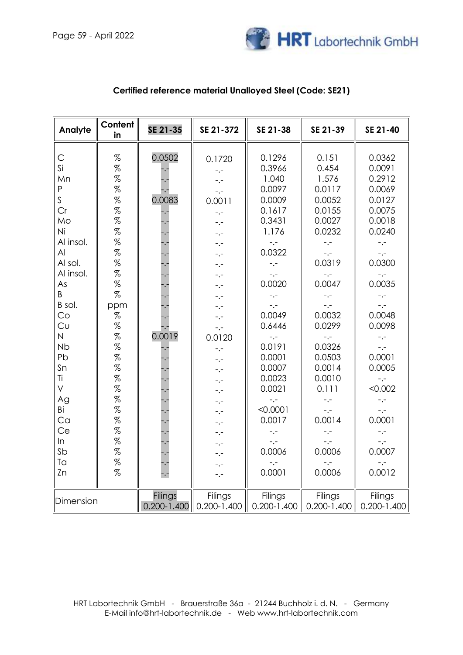

| Analyte                                                                                                                                                                                                                                           | Content<br>in                                                                                                                                                                                                                                                                              | SE 21-35                                                                                                                                               | SE 21-372                                                                                                                                                                                                                                                                                                                                          | SE 21-38                                                                                                                                                                                                                                                                                                    | SE 21-39                                                                                                                                                                                                                                                                                                                  | SE 21-40                                                                                                                                                                                                                                                                                                          |
|---------------------------------------------------------------------------------------------------------------------------------------------------------------------------------------------------------------------------------------------------|--------------------------------------------------------------------------------------------------------------------------------------------------------------------------------------------------------------------------------------------------------------------------------------------|--------------------------------------------------------------------------------------------------------------------------------------------------------|----------------------------------------------------------------------------------------------------------------------------------------------------------------------------------------------------------------------------------------------------------------------------------------------------------------------------------------------------|-------------------------------------------------------------------------------------------------------------------------------------------------------------------------------------------------------------------------------------------------------------------------------------------------------------|---------------------------------------------------------------------------------------------------------------------------------------------------------------------------------------------------------------------------------------------------------------------------------------------------------------------------|-------------------------------------------------------------------------------------------------------------------------------------------------------------------------------------------------------------------------------------------------------------------------------------------------------------------|
| $\mathsf{C}$<br>Si<br>Mn<br>P<br>$\mathsf S$<br>Cr<br>Mo<br>Ni<br>Al insol.<br>AI<br>Al sol.<br>Al insol.<br>As<br>B.<br>B sol.<br>Co<br>Cu<br>$\overline{N}$<br><b>Nb</b><br>Pb<br>Sn<br>Ti<br>V<br>Ag<br>Bi<br>Ca<br>Ce<br>ln<br>Sb<br>Ta<br>Zn | %<br>$\%$<br>%<br>%<br>%<br>%<br>%<br>%<br>$% \mathcal{R}$<br>$% \mathcal{R}$<br>$% \mathcal{R}$<br>$% \mathcal{R}$<br>$% \mathcal{R}$<br>%<br>ppm<br>%<br>%<br>$% \mathcal{R}$<br>%<br>%<br>%<br>%<br>%<br>$% \mathcal{R}$<br>%<br>%<br>%<br>$% \mathcal{R}$<br>$% \mathcal{R}$<br>%<br>% | 0.0502<br>0.0083<br>$\cdot$ -<br>$\ddotsc$<br>0.0019<br>$\cdot$<br>-.-<br>$\ddotsc$<br>$\ddot{\phantom{0}}$<br>$\ddot{\phantom{0}}$<br>$\frac{1}{1}$ . | 0.1720<br>$-1$<br>$-1$<br>$-,-$<br>0.0011<br>$ -$<br>$-,-$<br>$-,-$<br>$-,-$<br>$\overline{\phantom{a}}$<br>$-,-$<br>$-,-$<br>$-,-$<br>-.-<br>$-$ .-<br>$ -$<br>$-$ . $-$<br>0.0120<br>$\ddotsc$<br>$-1$<br>$-1$<br>$-,-$<br>$\overline{\phantom{a}}$ .<br>$-,-$<br>$-,-$<br>$-,-$<br>-.-<br>$-,-$<br>$-,-$<br>$\overline{\phantom{a}}$ .<br>$-,-$ | 0.1296<br>0.3966<br>1.040<br>0.0097<br>0.0009<br>0.1617<br>0.3431<br>1.176<br>$-,-$<br>0.0322<br>$-,-$<br>$-$ . $-$<br>0.0020<br>$-,-$<br>$-1$<br>0.0049<br>0.6446<br>$-1$<br>0.0191<br>0.0001<br>0.0007<br>0.0023<br>0.0021<br>$-,-$<br>< 0.0001<br>0.0017<br>$-,-$<br>$-,-$<br>0.0006<br>$-1 -$<br>0.0001 | 0.151<br>0.454<br>1.576<br>0.0117<br>0.0052<br>0.0155<br>0.0027<br>0.0232<br>$-,-$<br>$-,-$<br>0.0319<br>$-1 -$<br>0.0047<br>$ -$<br>$-,-$<br>0.0032<br>0.0299<br>$-1$<br>0.0326<br>0.0503<br>0.0014<br>0.0010<br>0.111<br>$\ddotsc$<br>$-,-$<br>0.0014<br>$\overline{\phantom{a}}$ .<br>$-,-$<br>0.0006<br>-.-<br>0.0006 | 0.0362<br>0.0091<br>0.2912<br>0.0069<br>0.0127<br>0.0075<br>0.0018<br>0.0240<br>$ -$<br>$-,-$<br>0.0300<br>$-1 -$<br>0.0035<br>$-,-$<br>$-,-$<br>0.0048<br>0.0098<br>$ -$<br>$\ddotsc$<br>0.0001<br>0.0005<br>$-,-$<br>< 0.002<br>$\ddotsc$<br>$-,-$<br>0.0001<br>$-,-$<br>$\ddotsc$<br>0.0007<br>$-,-$<br>0.0012 |
| Dimension                                                                                                                                                                                                                                         |                                                                                                                                                                                                                                                                                            | <b>Filings</b>                                                                                                                                         | Filings<br>$0.200 - 1.400$ 0.200-1.400                                                                                                                                                                                                                                                                                                             | Filings<br>$0.200 - 1.400$                                                                                                                                                                                                                                                                                  | Filings<br>$0.200 - 1.400$                                                                                                                                                                                                                                                                                                | Filings<br>$0.200 - 1.400$                                                                                                                                                                                                                                                                                        |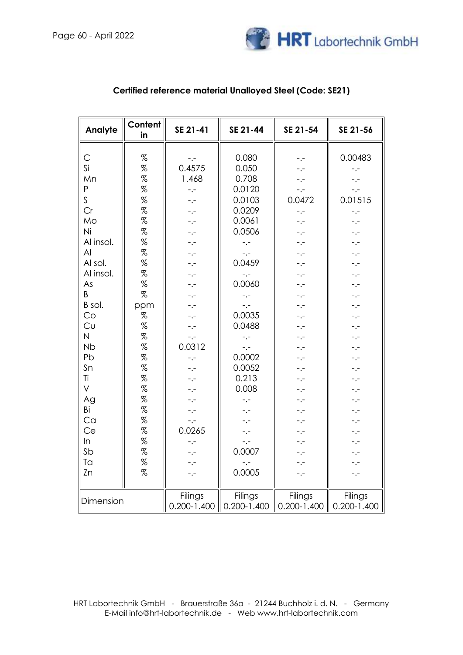

| Analyte                                                                                                                                                                                                                       | Content<br>in                                                                                                                       | SE 21-41                                                                                                                                                                                                            | SE 21-44                                                                                                                                                                                                                                                  | SE 21-54                                                                                                                                                                                  | SE 21-56                                                                                                                                                                                                                        |
|-------------------------------------------------------------------------------------------------------------------------------------------------------------------------------------------------------------------------------|-------------------------------------------------------------------------------------------------------------------------------------|---------------------------------------------------------------------------------------------------------------------------------------------------------------------------------------------------------------------|-----------------------------------------------------------------------------------------------------------------------------------------------------------------------------------------------------------------------------------------------------------|-------------------------------------------------------------------------------------------------------------------------------------------------------------------------------------------|---------------------------------------------------------------------------------------------------------------------------------------------------------------------------------------------------------------------------------|
| $\mathsf{C}$<br>Si<br>Mn<br>$\mathsf{P}$<br>$\mathsf S$<br>Cr<br>Mo<br>Ni<br>Al insol.<br>AI<br>Al sol.<br>Al insol.<br>As<br>B<br>B sol.<br>Co<br>Cu<br>$\overline{N}$<br><b>Nb</b><br>Pb<br>Sn<br>Ti<br>V<br>Ag<br>Bi<br>Ca | %<br>%<br>%<br>%<br>%<br>%<br>%<br>%<br>%<br>%<br>%<br>%<br>$\%$<br>%<br>ppm<br>%<br>%<br>%<br>%<br>%<br>%<br>%<br>%<br>%<br>%<br>% | -.-<br>0.4575<br>1.468<br>$-$ . $-$<br>-.-<br>-.-<br>-.-<br>-.-<br>$-,-$<br>-.-<br>-.-<br>$-,-$<br>$-,-$<br>-.-<br>$-,-$<br>-.-<br>$-,-$<br>$-,-$<br>0.0312<br>$-,-$<br>$-,-$<br>-.-<br>-.-<br>$-1$<br>-.-<br>$-,-$ | 0.080<br>0.050<br>0.708<br>0.0120<br>0.0103<br>0.0209<br>0.0061<br>0.0506<br>$-,-$<br>$-1 -$<br>0.0459<br>$-$ . $-$<br>0.0060<br>$-$ .-<br>$-$ . $-$<br>0.0035<br>0.0488<br>$-1 -$<br>$-1$<br>0.0002<br>0.0052<br>0.213<br>0.008<br>$-1$<br>$-1 -$<br>-.- | -.-<br>-.-<br>-.-<br>$-,-$<br>0.0472<br>$-,-$<br>-.-<br>-.-<br>-.-<br>-.-<br>-.-<br>-.-<br>-.-<br>-.-<br>-.-<br>-.-<br>-.-<br>-.-<br>-.-<br>-.-<br>-.-<br>-.-<br>-.-<br>-.-<br>-.-<br>-.- | 0.00483<br>$-,-$<br>$ -$<br>$-,-$<br>0.01515<br>-.-<br>$-1 -$<br>-.-<br>-.-<br>-.-<br>-.-<br>-.-<br>$-,-$<br>$-1$<br>-.-<br>$-,-$<br>-.-<br>-.-<br>$\overline{\phantom{a}}$ .<br>-.-<br>-.-<br>-.-<br>-.-<br>$-1$<br>-.-<br>-.- |
| Ce                                                                                                                                                                                                                            | $\%$                                                                                                                                | 0.0265                                                                                                                                                                                                              | -.-                                                                                                                                                                                                                                                       | -.-                                                                                                                                                                                       | -.-                                                                                                                                                                                                                             |
| In<br>Sb<br>Ta<br>Zn                                                                                                                                                                                                          | $% \mathcal{R}$<br>%<br>%<br>%                                                                                                      | -.-<br>-.-<br>$-,-$<br>$-,-$                                                                                                                                                                                        | $-,-$<br>0.0007<br>-.-<br>0.0005                                                                                                                                                                                                                          | -.-<br>-.-<br>-.-<br>-.-                                                                                                                                                                  | -.-<br>-.-<br>-.-<br>-.-                                                                                                                                                                                                        |
| Dimension                                                                                                                                                                                                                     |                                                                                                                                     | Filings<br>$0.200 - 1.400$                                                                                                                                                                                          | Filings<br>$0.200 - 1.400$                                                                                                                                                                                                                                | Filings<br>$0.200 - 1.400$                                                                                                                                                                | Filings<br>$0.200 - 1.400$                                                                                                                                                                                                      |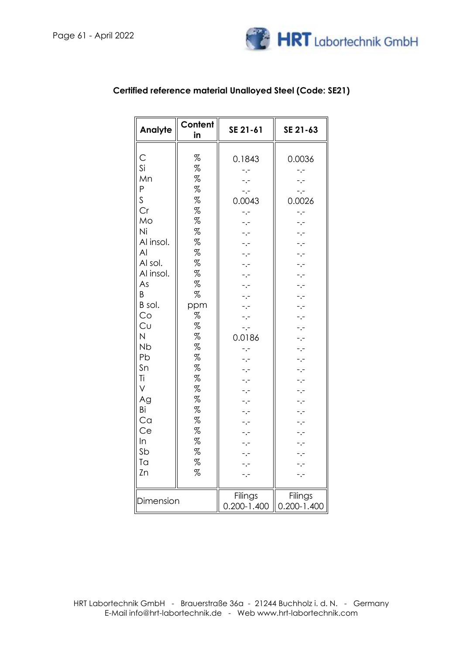

| Analyte                                                                                                                                                                                                        | Content<br>in                                                                                                                                                                                                                                                                                                     | SE 21-61                                                                                                                                                                                                                | SE 21-63                                                                                                                                                                                                                                               |
|----------------------------------------------------------------------------------------------------------------------------------------------------------------------------------------------------------------|-------------------------------------------------------------------------------------------------------------------------------------------------------------------------------------------------------------------------------------------------------------------------------------------------------------------|-------------------------------------------------------------------------------------------------------------------------------------------------------------------------------------------------------------------------|--------------------------------------------------------------------------------------------------------------------------------------------------------------------------------------------------------------------------------------------------------|
| С<br>Si<br>Mn<br>P<br>S<br>Cr<br>Mo<br>Ni<br>Al insol.<br>AI<br>Al sol.<br>Al insol.<br>As<br>Β<br>B sol.<br>Co<br>Cυ<br>N<br><b>Nb</b><br>Pb<br>Sn<br>Τi<br>V<br>Ag<br>Bi<br>Ca<br>Ce<br>In<br>Sb<br>Ta<br>Zn | %<br>%<br>%<br>%<br>%<br>%<br>%<br>$% \mathcal{L}_{\mathcal{A}}$<br>%<br>%<br>$% \mathcal{L}_{\mathcal{A}}$<br>%<br>$% \mathcal{L}_{\mathcal{A}}$<br>$\%$<br>ppm<br>%<br>%<br>$\%$<br>$\%$<br>%<br>$% \mathcal{L}_{\mathcal{A}}$<br>$\%$<br>%<br>$% \mathcal{L}_{\mathcal{A}}$<br>%<br>%<br>%<br>%<br>%<br>%<br>% | 0.1843<br>$-,-$<br>$\cdot$ -<br>-.-<br>0.0043<br>$-1$<br>$\cdot$ -<br>$\cdot$ -<br>$-$ . $-$<br>0.0186<br>$-1$<br>$\cdot$ -<br>$\cdot$ -<br>$\cdot$ -<br>$\cdot$ .<br>$-1$<br>-.-<br>-.-<br>$-1 -$<br>-.-<br>$\cdot$ .- | 0.0036<br>$-$ .-<br>$-$ . $-$<br>-.-<br>0.0026<br>$-1$<br>$-1$<br>$-1$<br>$-1$<br>-.-<br>$\overline{\phantom{a}}$ .<br>Ļ.<br>Ų.<br>$\cdot$ .<br>$\cdot$ .<br>$\cdot$ -<br>$\ddotsc$<br>$-1$<br>$-$ . $-$<br>-.-<br>$-1$<br>$-$ .-<br>$-$ . $-$<br>$-1$ |
| Dimension                                                                                                                                                                                                      |                                                                                                                                                                                                                                                                                                                   | -.-<br>Filings<br>$0.200 - 1.400$                                                                                                                                                                                       | $-$ .-<br>Filings<br>$0.200 - 1.400$                                                                                                                                                                                                                   |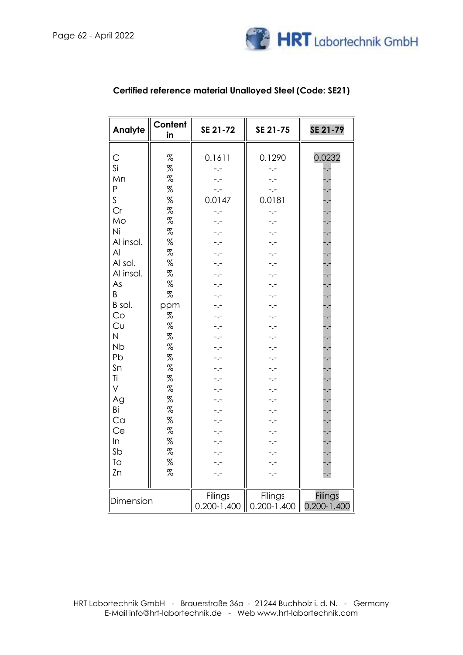

| Analyte                                                                                                                                                                                                                              | Content<br>in                                                                                                                                                                                     | SE 21-72                                                                                                                                                                                                                                                                            | SE 21-75                                                                                                                                                                                      | SE 21-79                                                 |
|--------------------------------------------------------------------------------------------------------------------------------------------------------------------------------------------------------------------------------------|---------------------------------------------------------------------------------------------------------------------------------------------------------------------------------------------------|-------------------------------------------------------------------------------------------------------------------------------------------------------------------------------------------------------------------------------------------------------------------------------------|-----------------------------------------------------------------------------------------------------------------------------------------------------------------------------------------------|----------------------------------------------------------|
| С<br>Si<br>Mn<br>P<br>S<br>Cr<br>Mo<br>Ni<br>Al insol.<br>AI<br>Al sol.<br>Al insol.<br>As<br>B<br>B sol.<br>Co<br>Cu<br>$\overline{\mathsf{N}}$<br><b>Nb</b><br>Pb<br>Sn<br>Ti<br>V<br>Ag<br>Bi<br>Ca<br>Ce<br>ln<br>Sb<br>Ta<br>Zn | $% \mathcal{R}$<br>%<br>%<br>%<br>%<br>%<br>%<br>$% \mathcal{R}$<br>%<br>%<br>%<br>%<br>%<br>%<br>ppm<br>$\%$<br>$\%$<br>$\%$<br>%<br>%<br>%<br>%<br>%<br>%<br>%<br>%<br>$\%$<br>%<br>%<br>%<br>% | 0.1611<br>-.-<br>$\ddotsc$<br>0.0147<br>$-,-$<br>- .-<br>-.-<br>-.-<br>$\cdot$ .<br>$\cdot$ $\cdot$<br>$\cdot$ .<br>-.-<br>$\cdot$ . –<br>$\cdot$ . –<br>$\cdot$ .-<br>-.-<br>-.-<br>$\ddotsc$<br>$-1$<br>$-1 -$<br>$-1 -$<br>-.-<br>$-,-$<br>$-1 -$<br>$-1 -$<br>-.-<br>-.-<br>-.- | 0.1290<br>$-,-$<br>$-1$<br>$-1$<br>0.0181<br>$-1$<br>-.-<br>-.-<br>-.-<br>۰.-<br>-.-<br>-.-<br>-.-<br>-.-<br>-.-<br>-.-<br>-.-<br>-.-<br>-.-<br>-.-<br>-.-<br>-.-<br>-.-<br>-.-<br>-.-<br>-.- | 0.0232<br>$\ddotsc$<br>计计算计计算计算计 计可分子 计可分子 计可分子 计分子 计计算机 |
| Dimension                                                                                                                                                                                                                            |                                                                                                                                                                                                   | Filings<br>$0.200 - 1.400$                                                                                                                                                                                                                                                          | Filings<br>$0.200 - 1.400$                                                                                                                                                                    | <b>Filings</b><br>$0.200 - 1.400$                        |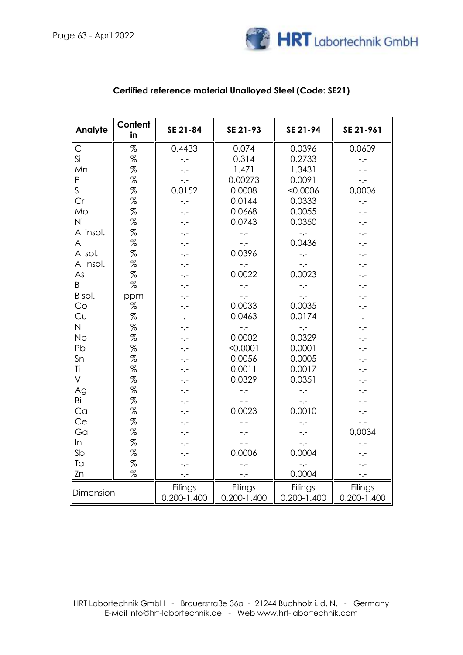

| Analyte      | Content<br>in                 | SE 21-84                   | SE 21-93                   | SE 21-94                   | SE 21-961                  |
|--------------|-------------------------------|----------------------------|----------------------------|----------------------------|----------------------------|
| $\mathsf{C}$ | $% \mathcal{L}_{\mathcal{A}}$ | 0.4433                     | 0.074                      | 0.0396                     | 0,0609                     |
| Si           | $\%$                          | $-,-$                      | 0.314                      | 0.2733                     | -.-                        |
| Mn           | %                             | $-,-$                      | 1.471                      | 1.3431                     | $-,-$                      |
| P            | %                             | $-,-$                      | 0.00273                    | 0.0091                     | $-,-$                      |
| S            | %                             | 0.0152                     | 0.0008                     | < 0.0006                   | 0,0006                     |
| Cr           | %                             | $ -$                       | 0.0144                     | 0.0333                     | $-1$                       |
| Mo           | %                             | $-,-$                      | 0.0668                     | 0.0055                     | $-,-$                      |
| Ni           | %                             | $-,-$                      | 0.0743                     | 0.0350                     | $-,-$                      |
| Al insol.    | %                             | $-,-$                      | $-,-$                      | $\ddotsc$                  | $-,-$                      |
| AI           | %                             | $- -$                      | $-1$                       | 0.0436                     | -.-                        |
| Al sol.      | %                             | -.-                        | 0.0396                     | $-,-$                      | $-,-$                      |
| Al insol.    | %                             | $-,-$                      | $-1$                       | $\ddotsc$                  | $-,-$                      |
| As           | $\%$                          | $-,-$                      | 0.0022                     | 0.0023                     | $-,-$                      |
| B            | %                             | -.-                        | $-,-$                      | $-,-$                      | -.-                        |
| B sol.       | ppm                           | -.-                        | $-$ . $-$                  | $-,-$                      | -.-                        |
| Co           | $% \mathcal{R}$               | -.-                        | 0.0033                     | 0.0035                     | -.-                        |
| Cu           | %                             | -.-                        | 0.0463                     | 0.0174                     | -.-                        |
| N            | %                             | -.-                        | $-,-$                      | $-,-$                      | -.-                        |
| <b>Nb</b>    | %                             | -.-                        | 0.0002                     | 0.0329                     | -.-                        |
| Pb           | %                             | -.-                        | < 0.0001                   | 0.0001                     | -.-                        |
| Sn           | %                             | -.-                        | 0.0056                     | 0.0005                     | $-1$                       |
| Ti           | %                             |                            | 0.0011                     | 0.0017                     | -.-                        |
| $\vee$       | %                             | -.-                        | 0.0329                     | 0.0351                     | -.-                        |
| Ag           | %                             | -.-                        | $-,-$                      | $-,-$                      | -.-                        |
| Bi           | %                             | -.-                        | $-,-$                      | $-,-$                      | -.-                        |
| Ca           | %                             | -.-                        | 0.0023                     | 0.0010                     | -.-                        |
| Ce           | %                             | -.-                        | $-$ .-                     | $-,-$                      | $-,-$                      |
| Ga           | %                             | -.-                        | $-,-$                      | -.-                        | 0,0034                     |
| In           | %                             | -.-                        | $\ddotsc$                  | $-,-$                      | -.-                        |
| Sb           | %                             | -.-                        | 0.0006                     | 0.0004                     | -.-                        |
| Ta           | %                             | -.-                        | $-,-$                      | -.-                        | -.-                        |
| Zn           | %                             | $-,-$                      | $ -$                       | 0.0004                     | $-,-$                      |
| Dimension    |                               | Filings<br>$0.200 - 1.400$ | Filings<br>$0.200 - 1.400$ | Filings<br>$0.200 - 1.400$ | Filings<br>$0.200 - 1.400$ |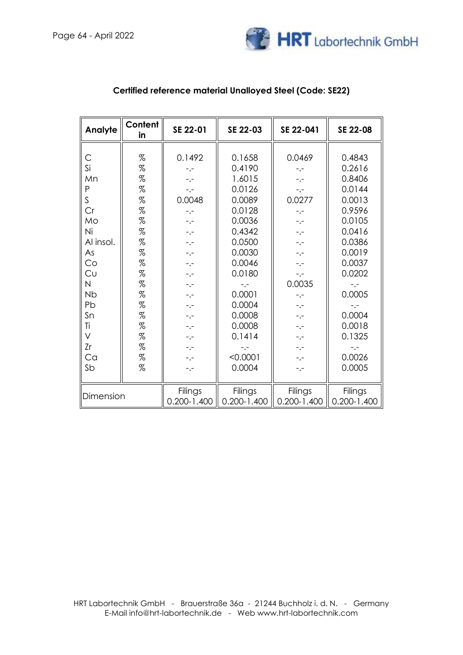

| Analyte      | Content<br>in                                                                                                                                                                                                                                                                                                                                                                                                                                                                                                                | SE 22-01        | SE 22-03        | SE 22-041       | SE 22-08        |
|--------------|------------------------------------------------------------------------------------------------------------------------------------------------------------------------------------------------------------------------------------------------------------------------------------------------------------------------------------------------------------------------------------------------------------------------------------------------------------------------------------------------------------------------------|-----------------|-----------------|-----------------|-----------------|
|              |                                                                                                                                                                                                                                                                                                                                                                                                                                                                                                                              |                 |                 |                 |                 |
| C            | $% \mathcal{L}_{\mathrm{C}}\times\mathcal{L}_{\mathrm{C}}\times\mathcal{L}_{\mathrm{C}}\times\mathcal{L}_{\mathrm{C}}\times\mathcal{L}_{\mathrm{C}}\times\mathcal{L}_{\mathrm{C}}\times\mathcal{L}_{\mathrm{C}}\times\mathcal{L}_{\mathrm{C}}\times\mathcal{L}_{\mathrm{C}}\times\mathcal{L}_{\mathrm{C}}\times\mathcal{L}_{\mathrm{C}}\times\mathcal{L}_{\mathrm{C}}\times\mathcal{L}_{\mathrm{C}}\times\mathcal{L}_{\mathrm{C}}\times\mathcal{L}_{\mathrm{C}}\times\mathcal{L}_{\mathrm{C}}\times\mathcal{L}_{\mathrm{C}}$ | 0.1492          | 0.1658          | 0.0469          | 0.4843          |
| Si           | $\%$                                                                                                                                                                                                                                                                                                                                                                                                                                                                                                                         | -.-             | 0.4190          | -.-             | 0.2616          |
| Mn           | %                                                                                                                                                                                                                                                                                                                                                                                                                                                                                                                            | -.-             | 1.6015          | -.-             | 0.8406          |
| P            | %                                                                                                                                                                                                                                                                                                                                                                                                                                                                                                                            | $-,-$           | 0.0126          | $-,-$           | 0.0144          |
| S            | %                                                                                                                                                                                                                                                                                                                                                                                                                                                                                                                            | 0.0048          | 0.0089          | 0.0277          | 0.0013          |
| Cr           | %                                                                                                                                                                                                                                                                                                                                                                                                                                                                                                                            | -.-             | 0.0128          | -.-             | 0.9596          |
| Mo           | %                                                                                                                                                                                                                                                                                                                                                                                                                                                                                                                            | $-,-$           | 0.0036          | $-1 -$          | 0.0105          |
| Ni           | $\%$                                                                                                                                                                                                                                                                                                                                                                                                                                                                                                                         | $-,-$           | 0.4342          | -.-             | 0.0416          |
| Al insol.    | %                                                                                                                                                                                                                                                                                                                                                                                                                                                                                                                            | -.-             | 0.0500          | -.-             | 0.0386          |
| As           | %                                                                                                                                                                                                                                                                                                                                                                                                                                                                                                                            | $-,-$           | 0.0030          | $-1 -$          | 0.0019          |
| Co           | %                                                                                                                                                                                                                                                                                                                                                                                                                                                                                                                            | $-,-$           | 0.0046          | -.-             | 0.0037          |
| Cυ           | %                                                                                                                                                                                                                                                                                                                                                                                                                                                                                                                            | -.-             | 0.0180          | -.-             | 0.0202          |
| $\mathsf{N}$ | %                                                                                                                                                                                                                                                                                                                                                                                                                                                                                                                            | $-,-$           | $-$ . $-$       | 0.0035          | -.-             |
| <b>Nb</b>    | %                                                                                                                                                                                                                                                                                                                                                                                                                                                                                                                            | $-,-$           | 0.0001          | $-1 -$          | 0.0005          |
| Pb           | $% \mathcal{L}_{\mathrm{C}}\times\mathcal{L}_{\mathrm{C}}\times\mathcal{L}_{\mathrm{C}}\times\mathcal{L}_{\mathrm{C}}\times\mathcal{L}_{\mathrm{C}}\times\mathcal{L}_{\mathrm{C}}\times\mathcal{L}_{\mathrm{C}}\times\mathcal{L}_{\mathrm{C}}\times\mathcal{L}_{\mathrm{C}}\times\mathcal{L}_{\mathrm{C}}\times\mathcal{L}_{\mathrm{C}}\times\mathcal{L}_{\mathrm{C}}\times\mathcal{L}_{\mathrm{C}}\times\mathcal{L}_{\mathrm{C}}\times\mathcal{L}_{\mathrm{C}}\times\mathcal{L}_{\mathrm{C}}\times\mathcal{L}_{\mathrm{C}}$ | -.-             | 0.0004          | -.-             |                 |
| Sn           | %                                                                                                                                                                                                                                                                                                                                                                                                                                                                                                                            | $-,-$           | 0.0008          | $-1 -$          | 0.0004          |
| Ti           | $\%$                                                                                                                                                                                                                                                                                                                                                                                                                                                                                                                         | $-,-$           | 0.0008          | $-1 -$          | 0.0018          |
| V            | %                                                                                                                                                                                                                                                                                                                                                                                                                                                                                                                            | $-,-$           | 0.1414          | -.-             | 0.1325          |
| Zr           | %                                                                                                                                                                                                                                                                                                                                                                                                                                                                                                                            | $-,-$           | $-1$            | $-,-$           | $-1 -$          |
| Ca           | $% \mathcal{L}_{\mathcal{A}}$                                                                                                                                                                                                                                                                                                                                                                                                                                                                                                | $-,-$           | < 0.0001        | -.-             | 0.0026          |
| Sb           | %                                                                                                                                                                                                                                                                                                                                                                                                                                                                                                                            | -.-             | 0.0004          | -.-             | 0.0005          |
|              |                                                                                                                                                                                                                                                                                                                                                                                                                                                                                                                              |                 |                 |                 |                 |
|              |                                                                                                                                                                                                                                                                                                                                                                                                                                                                                                                              | Filings         | Filings         | Filings         | <b>Filings</b>  |
| Dimension    |                                                                                                                                                                                                                                                                                                                                                                                                                                                                                                                              | $0.200 - 1.400$ | $0.200 - 1.400$ | $0.200 - 1.400$ | $0.200 - 1.400$ |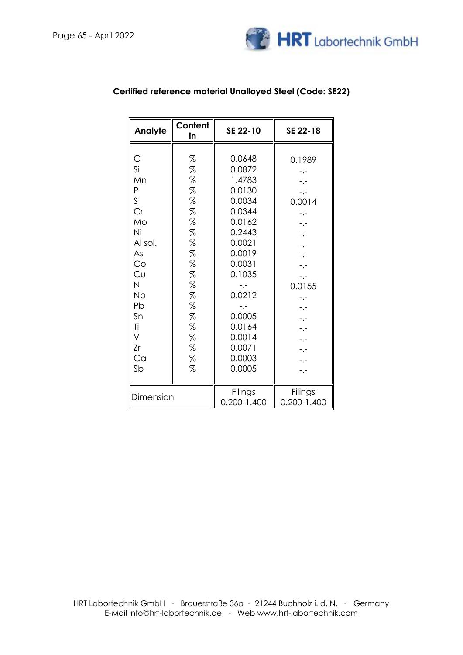

| Analyte                                                                                                                           | Content<br>in                                                                                                                          | SE 22-10                                                                                                                                                                                                 | SE 22-18                                                                                                                 |
|-----------------------------------------------------------------------------------------------------------------------------------|----------------------------------------------------------------------------------------------------------------------------------------|----------------------------------------------------------------------------------------------------------------------------------------------------------------------------------------------------------|--------------------------------------------------------------------------------------------------------------------------|
| С<br>Si<br>Mn<br>P<br>S<br>Cr<br>Mo<br>Ni<br>Al sol.<br>As<br>Co<br>Cυ<br>N<br><b>Nb</b><br>Pb<br>Sn<br>Ti<br>V<br>Zr<br>Ca<br>Sb | %<br>$\%$<br>%<br>$\%$<br>$\%$<br>%<br>$\%$<br>$\%$<br>%<br>$\%$<br>$\%$<br>%<br>%<br>$\%$<br>$\%$<br>%<br>$\%$<br>$\%$<br>%<br>%<br>% | 0.0648<br>0.0872<br>1.4783<br>0.0130<br>0.0034<br>0.0344<br>0.0162<br>0.2443<br>0.0021<br>0.0019<br>0.0031<br>0.1035<br>-.-<br>0.0212<br>-.-<br>0.0005<br>0.0164<br>0.0014<br>0.0071<br>0.0003<br>0.0005 | 0.1989<br>-.-<br>$-1$<br>0.0014<br>-.-<br>-.-<br>$-1$<br>-.-<br>$-1$<br>0.0155<br>-.-<br>-.-<br>$-1$<br>-.-<br>$\cdot$ . |
| Dimension                                                                                                                         |                                                                                                                                        | Filings<br>$0.200 - 1.400$                                                                                                                                                                               | Filings<br>0.200-1.400                                                                                                   |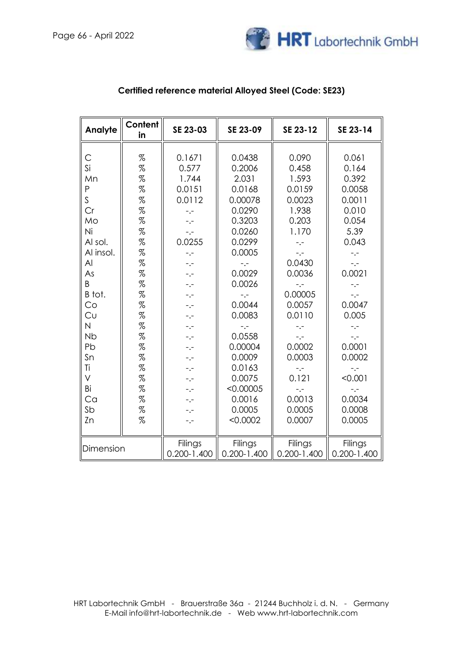

| Analyte        | Content<br>in   | SE 23-03                | SE 23-09        | SE 23-12        | SE 23-14        |
|----------------|-----------------|-------------------------|-----------------|-----------------|-----------------|
| С              | $\%$            | 0.1671                  | 0.0438          | 0.090           | 0.061           |
| Si             | %               | 0.577                   | 0.2006          | 0.458           | 0.164           |
| Mn             | %               | 1.744                   | 2.031           | 1.593           | 0.392           |
| $\mathsf{P}$   | %               | 0.0151                  | 0.0168          | 0.0159          | 0.0058          |
| S              | %               | 0.0112                  | 0.00078         | 0.0023          | 0.0011          |
| Cr             | %               | $-,-$                   | 0.0290          | 1.938           | 0.010           |
| Mo             | $\%$            | -.-                     | 0.3203          | 0.203           | 0.054           |
| Ni             | %               | $^{\circ}$ . $^{\circ}$ | 0.0260          | 1.170           | 5.39            |
| Al sol.        | %               | 0.0255                  | 0.0299          | $-,-$           | 0.043           |
| Al insol.      | $% \mathcal{R}$ | $-,-$                   | 0.0005          | $-$ . $-$       | $-1$            |
| $\overline{A}$ | $\%$            | -.-                     | -.-             | 0.0430          | $-,-$           |
| As             | %               | $-1$                    | 0.0029          | 0.0036          | 0.0021          |
| B              | %               | -.-                     | 0.0026          | -.-             | $-$ . $-$       |
| B tot.         | %               | -.-                     | -.-             | 0.00005         | -.-             |
| Co             | $% \mathcal{R}$ | -.-                     | 0.0044          | 0.0057          | 0.0047          |
| Cυ             | %               | $-1$                    | 0.0083          | 0.0110          | 0.005           |
| N              | %               | -.-                     | -.-             | $-$ .-          | $-,-$           |
| <b>Nb</b>      | %               | -.-                     | 0.0558          | $-,-$           | $-,-$           |
| Pb             | %               | $-,-$                   | 0.00004         | 0.0002          | 0.0001          |
| Sn             | $% \mathcal{R}$ | -.-                     | 0.0009          | 0.0003          | 0.0002          |
| Τi             | %               | -.-                     | 0.0163          | $-,-$           | -.-             |
| V              | %               | -.-                     | 0.0075          | 0.121           | < 0.001         |
| Bi             | %               | $-,-$                   | < 0.00005       | $-,-$           | -.-             |
| Ca             | %               | $-,-$                   | 0.0016          | 0.0013          | 0.0034          |
| Sb             | %               | $-,-$                   | 0.0005          | 0.0005          | 0.0008          |
| Zn             | $\%$            | -.-                     | < 0.0002        | 0.0007          | 0.0005          |
| Dimension      |                 | Filings                 | Filings         | Filings         | Filings         |
|                |                 | $0.200 - 1.400$         | $0.200 - 1.400$ | $0.200 - 1.400$ | $0.200 - 1.400$ |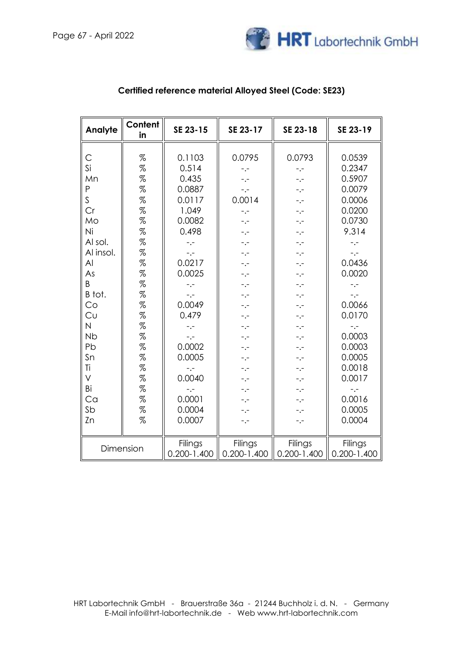

| Analyte                 | Content<br>in   | SE 23-15        | SE 23-17                | SE 23-18        | SE 23-19        |
|-------------------------|-----------------|-----------------|-------------------------|-----------------|-----------------|
|                         |                 |                 |                         |                 |                 |
| С                       | %               | 0.1103          | 0.0795                  | 0.0793          | 0.0539          |
| Si                      | %               | 0.514           | $-,-$                   | $-,-$           | 0.2347          |
| Mn                      | $\%$            | 0.435           | -.-                     | -.-             | 0.5907          |
| P                       | $\%$            | 0.0887          | $^{\circ}$ . $^{\circ}$ | -.-             | 0.0079          |
| S                       | %               | 0.0117          | 0.0014                  | -.-             | 0.0006          |
| Cr                      | %               | 1.049           | $-,-$                   |                 | 0.0200          |
| Mo                      | $% \mathcal{R}$ | 0.0082          | $-1 -$                  |                 | 0.0730          |
| Ni                      | %               | 0.498           | -.-                     |                 | 9.314           |
| Al sol.                 | %               | $-1$            | -.-                     |                 | $-1$            |
| Al insol.               | $\%$            | $\ddotsc$       | $-,-$                   | -.-             | $-,-$           |
| Al                      | $\%$            | 0.0217          | $-,-$                   | -.-             | 0.0436          |
| As                      | $% \mathcal{R}$ | 0.0025          | $-,-$                   | -.-             | 0.0020          |
| B                       | $% \mathcal{R}$ | $-,-$           | $-,-$                   | -.-             | $-,-$           |
| B tot.                  | %               | $-1$            | $-,-$                   |                 | $-,-$           |
| Co                      | $\%$            | 0.0049          | $-1$                    |                 | 0.0066          |
| Cu                      | %               | 0.479           | -.-                     | -.-             | 0.0170          |
| $\overline{\mathsf{N}}$ | %               | $-1$            | $-,-$                   | -.-             | $-,-$           |
| <b>Nb</b>               | $\%$            | $-,-$           | -.-                     | -.-             | 0.0003          |
| Pb                      | $\%$            | 0.0002          | -.-                     | -.-             | 0.0003          |
| Sn                      | %               | 0.0005          | -.-                     | -.-             | 0.0005          |
| Τi                      | $% \mathcal{R}$ | -.-             | -.-                     |                 | 0.0018          |
| V                       | $\%$            | 0.0040          | -.-                     |                 | 0.0017          |
| Bi                      | $\%$            | -.-             |                         |                 | -.-             |
| Ca                      | %               | 0.0001          | -.-                     | -.-             | 0.0016          |
| Sb                      | $% \mathcal{R}$ | 0.0004          | -.-                     | -.-             | 0.0005          |
| Zn                      | %               | 0.0007          | -.-                     |                 | 0.0004          |
|                         |                 |                 |                         |                 |                 |
|                         | Dimension       | Filings         | Filings                 | Filings         | Filings         |
|                         |                 | $0.200 - 1.400$ | $0.200 - 1.400$         | $0.200 - 1.400$ | $0.200 - 1.400$ |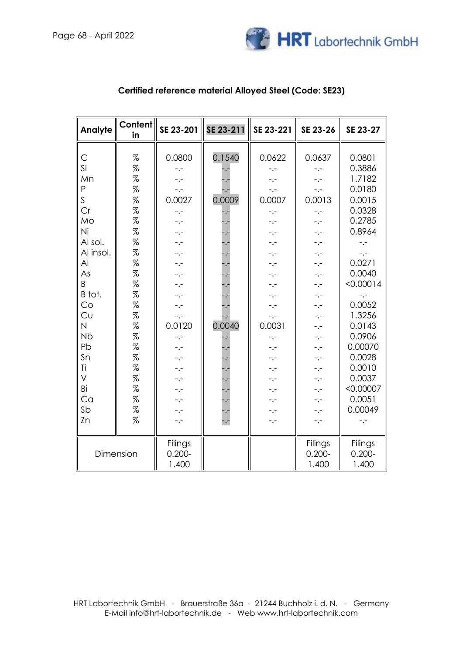

| Analyte                                                                                                                                                                   | <b>Content</b><br>in                                                                                                                                                                                                                  | SE 23-201                                                                                                                                                                                                                                                                                                                  | SE 23-211                                                                          | SE 23-221                                                                                                                                                                                                                                                                                              | SE 23-26                                                                                                                                                                                                                                | SE 23-27                                                                                                                                                                                                                                                       |
|---------------------------------------------------------------------------------------------------------------------------------------------------------------------------|---------------------------------------------------------------------------------------------------------------------------------------------------------------------------------------------------------------------------------------|----------------------------------------------------------------------------------------------------------------------------------------------------------------------------------------------------------------------------------------------------------------------------------------------------------------------------|------------------------------------------------------------------------------------|--------------------------------------------------------------------------------------------------------------------------------------------------------------------------------------------------------------------------------------------------------------------------------------------------------|-----------------------------------------------------------------------------------------------------------------------------------------------------------------------------------------------------------------------------------------|----------------------------------------------------------------------------------------------------------------------------------------------------------------------------------------------------------------------------------------------------------------|
| C<br>Si<br>Mn<br>P<br>S<br>Cr<br>Mo<br>Ni<br>Al sol.<br>Al insol.<br>AI<br>As<br>B<br>B tot.<br>Co<br>Cυ<br>N<br><b>Nb</b><br>Pb<br>Sn<br>Τi<br>V<br>Bi<br>Ca<br>Sb<br>Zn | $% \mathcal{L}_{\mathcal{A}}$<br>$\%$<br>$\%$<br>$\%$<br>%<br>%<br>%<br>%<br>%<br>$\%$<br>$\%$<br>$\%$<br>$\%$<br>%<br>$% \mathcal{R}$<br>%<br>$\%$<br>%<br>%<br>$\%$<br>$\%$<br>%<br>%<br>$\%$<br>$% \mathcal{L}_{\mathcal{A}}$<br>% | 0.0800<br>$-,-$<br>$-,-$<br>$\ddotsc$<br>0.0027<br>$-,-$<br>$\ddotsc$<br>$\overline{\phantom{a}}$<br>$ -$<br>$-,-$<br>$-1$<br>$-,-$<br>$ -$<br>$-,-$<br>÷,÷<br>$\mathord{\text{--}}\nolimits, \mathord{\text{--}}$<br>0.0120<br>$-$ . $-$<br>$-,-$<br>$-,-$<br>$-,-$<br>$-,-$<br>$\ddotsc$<br>$-$ , $-$<br>$-,-$<br>$-1 -$ | 0.1540<br>0.0009<br>Ŵ<br>$\cdot$<br>♦<br>$\frac{1}{1}$<br>0.0040<br>$\ddot{\cdot}$ | 0.0622<br>$-1$<br>$-$ . $-$<br>$-,-$<br>0.0007<br>$\ddotsc$<br>$\ddotsc$<br>$\ddotsc$<br>$\ddotsc$<br>$\ddotsc$<br>$\ddotsc$<br>$-,-$<br>$\ddotsc$<br>$-$ .-<br>$\ddotsc$<br>$-,-$<br>0.0031<br>$-$ .-<br>$-$ . $-$<br>$\ddotsc$<br>$\ddotsc$<br>$\ddotsc$<br>$\ddotsc$<br>$-,-$<br>$\ddotsc$<br>$-,-$ | 0.0637<br>$-,-$<br>$\ddotsc$<br>$-1$<br>0.0013<br>$ -$<br>$\ddotsc$<br>$-,-$<br>-.-<br>-.-<br>$\ddotsc$<br>$-,-$<br>$-,-$<br>$-,-$<br>$\ddotsc$<br>$-,-$<br>-.-<br>-.-<br>-.-<br>$-,-$<br>$-,-$<br>$-,-$<br>$-1$<br>$ -$<br>$ -$<br>-.- | 0.0801<br>0.3886<br>1.7182<br>0.0180<br>0.0015<br>0.0328<br>0.2785<br>0.8964<br>-.-<br>$-,-$<br>0.0271<br>0.0040<br>< 0.00014<br>-.-<br>0.0052<br>1.3256<br>0.0143<br>0.0906<br>0.00070<br>0.0028<br>0.0010<br>0.0037<br>< 0.00007<br>0.0051<br>0.00049<br>-.- |
|                                                                                                                                                                           | Dimension                                                                                                                                                                                                                             | Filings<br>$0.200 -$<br>1.400                                                                                                                                                                                                                                                                                              |                                                                                    |                                                                                                                                                                                                                                                                                                        | Filings<br>$0.200 -$<br>1.400                                                                                                                                                                                                           | Filings<br>$0.200 -$<br>1.400                                                                                                                                                                                                                                  |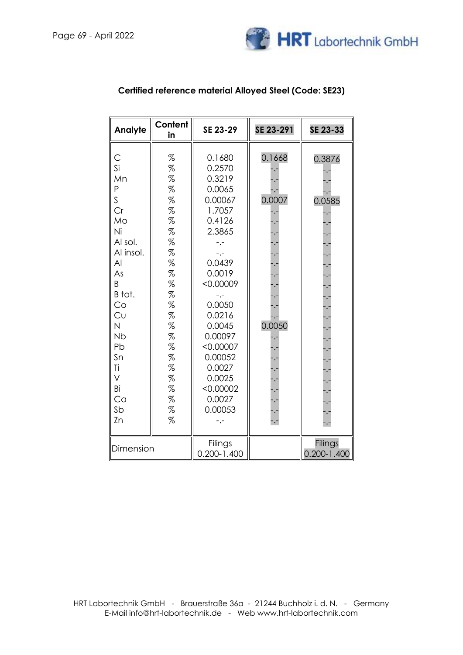

| Analyte                                                                                                                                                                                        | Content<br>in                                                                                                                                          | SE 23-29                                                                                                                                                                                                                                                                | SE 23-291                                                | SE 23-33                   |
|------------------------------------------------------------------------------------------------------------------------------------------------------------------------------------------------|--------------------------------------------------------------------------------------------------------------------------------------------------------|-------------------------------------------------------------------------------------------------------------------------------------------------------------------------------------------------------------------------------------------------------------------------|----------------------------------------------------------|----------------------------|
| С<br>Si<br>Mn<br>$\mathsf{P}$<br>$\mathsf S$<br>Cr<br>Mo<br>Ni<br>Al sol.<br>Al insol.<br>AI<br>As<br>B<br>B tot.<br>Co<br>Cu<br>N<br><b>Nb</b><br>Pb<br>Sn<br>Ti<br>V<br>Bi<br>Ca<br>Sb<br>Zn | %<br>%<br>%<br>$\%$<br>%<br>$\%$<br>%<br>%<br>%<br>$\%$<br>%<br>%<br>%<br>$\%$<br>%<br>$\%$<br>$\%$<br>%<br>%<br>%<br>%<br>%<br>$\%$<br>$\%$<br>%<br>% | 0.1680<br>0.2570<br>0.3219<br>0.0065<br>0.00067<br>1.7057<br>0.4126<br>2.3865<br>$-,-$<br>-.-<br>0.0439<br>0.0019<br>< 0.00009<br>$-,-$<br>0.0050<br>0.0216<br>0.0045<br>0.00097<br>< 0.00007<br>0.00052<br>0.0027<br>0.0025<br>< 0.00002<br>0.0027<br>0.00053<br>$-,-$ | 0.1668<br>0.0007<br>0.0050<br>$\overline{\phantom{a}}$ . | 0.3876<br>0.0585           |
| Dimension                                                                                                                                                                                      |                                                                                                                                                        | Filings<br>$0.200 - 1.400$                                                                                                                                                                                                                                              |                                                          | Filings<br>$0.200 - 1.400$ |